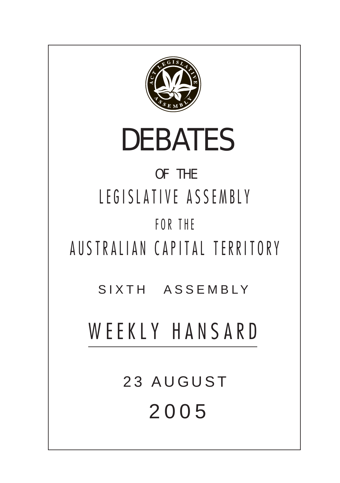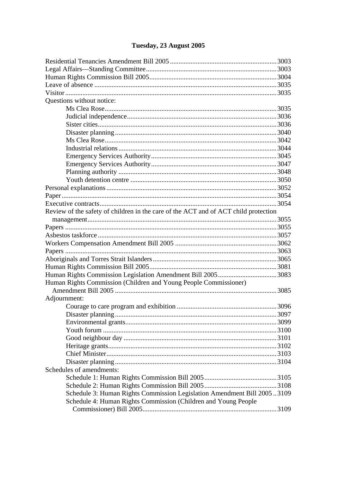# Tuesday, 23 August 2005

| Questions without notice:                                                           |
|-------------------------------------------------------------------------------------|
|                                                                                     |
|                                                                                     |
|                                                                                     |
|                                                                                     |
|                                                                                     |
|                                                                                     |
|                                                                                     |
|                                                                                     |
|                                                                                     |
|                                                                                     |
|                                                                                     |
|                                                                                     |
|                                                                                     |
|                                                                                     |
|                                                                                     |
|                                                                                     |
|                                                                                     |
|                                                                                     |
| Review of the safety of children in the care of the ACT and of ACT child protection |
|                                                                                     |
|                                                                                     |
|                                                                                     |
|                                                                                     |
|                                                                                     |
|                                                                                     |
|                                                                                     |
|                                                                                     |
| Human Rights Commission (Children and Young People Commissioner)                    |
|                                                                                     |
| Adjournment:                                                                        |
|                                                                                     |
|                                                                                     |
|                                                                                     |
|                                                                                     |
|                                                                                     |
|                                                                                     |
|                                                                                     |
|                                                                                     |
| Schedules of amendments:                                                            |
|                                                                                     |
|                                                                                     |
| Schedule 3: Human Rights Commission Legislation Amendment Bill 20053109             |
| Schedule 4: Human Rights Commission (Children and Young People                      |
|                                                                                     |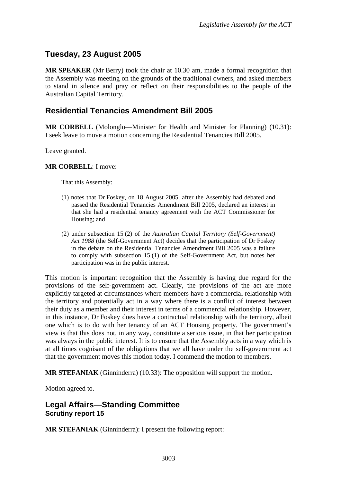# <span id="page-2-0"></span>**Tuesday, 23 August 2005**

**MR SPEAKER** (Mr Berry) took the chair at 10.30 am, made a formal recognition that the Assembly was meeting on the grounds of the traditional owners, and asked members to stand in silence and pray or reflect on their responsibilities to the people of the Australian Capital Territory.

## **Residential Tenancies Amendment Bill 2005**

**MR CORBELL** (Molonglo—Minister for Health and Minister for Planning) (10.31): I seek leave to move a motion concerning the Residential Tenancies Bill 2005.

Leave granted.

#### **MR CORBELL**: I move:

That this Assembly:

- (1) notes that Dr Foskey, on 18 August 2005, after the Assembly had debated and passed the Residential Tenancies Amendment Bill 2005, declared an interest in that she had a residential tenancy agreement with the ACT Commissioner for Housing; and
- (2) under subsection 15 (2) of the *Australian Capital Territory (Self-Government) Act 1988* (the Self-Government Act) decides that the participation of Dr Foskey in the debate on the Residential Tenancies Amendment Bill 2005 was a failure to comply with subsection 15 (1) of the Self-Government Act, but notes her participation was in the public interest.

This motion is important recognition that the Assembly is having due regard for the provisions of the self-government act. Clearly, the provisions of the act are more explicitly targeted at circumstances where members have a commercial relationship with the territory and potentially act in a way where there is a conflict of interest between their duty as a member and their interest in terms of a commercial relationship. However, in this instance, Dr Foskey does have a contractual relationship with the territory, albeit one which is to do with her tenancy of an ACT Housing property. The government's view is that this does not, in any way, constitute a serious issue, in that her participation was always in the public interest. It is to ensure that the Assembly acts in a way which is at all times cognisant of the obligations that we all have under the self-government act that the government moves this motion today. I commend the motion to members.

**MR STEFANIAK** (Ginninderra) (10.33): The opposition will support the motion.

Motion agreed to.

### **Legal Affairs—Standing Committee Scrutiny report 15**

**MR STEFANIAK** (Ginninderra): I present the following report: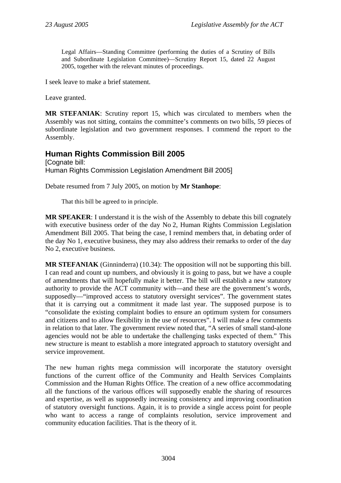<span id="page-3-0"></span>Legal Affairs—Standing Committee (performing the duties of a Scrutiny of Bills and Subordinate Legislation Committee)—Scrutiny Report 15, dated 22 August 2005, together with the relevant minutes of proceedings.

I seek leave to make a brief statement.

Leave granted.

**MR STEFANIAK**: Scrutiny report 15, which was circulated to members when the Assembly was not sitting, contains the committee's comments on two bills, 59 pieces of subordinate legislation and two government responses. I commend the report to the Assembly.

# **Human Rights Commission Bill 2005**

[Cognate bill: Human Rights Commission Legislation Amendment Bill 2005]

Debate resumed from 7 July 2005, on motion by **Mr Stanhope**:

That this bill be agreed to in principle.

**MR SPEAKER**: I understand it is the wish of the Assembly to debate this bill cognately with executive business order of the day No 2, Human Rights Commission Legislation Amendment Bill 2005. That being the case, I remind members that, in debating order of the day No 1, executive business, they may also address their remarks to order of the day No 2, executive business.

**MR STEFANIAK** (Ginninderra) (10.34): The opposition will not be supporting this bill. I can read and count up numbers, and obviously it is going to pass, but we have a couple of amendments that will hopefully make it better. The bill will establish a new statutory authority to provide the ACT community with—and these are the government's words, supposedly—"improved access to statutory oversight services". The government states that it is carrying out a commitment it made last year. The supposed purpose is to "consolidate the existing complaint bodies to ensure an optimum system for consumers and citizens and to allow flexibility in the use of resources". I will make a few comments in relation to that later. The government review noted that, "A series of small stand-alone agencies would not be able to undertake the challenging tasks expected of them." This new structure is meant to establish a more integrated approach to statutory oversight and service improvement.

The new human rights mega commission will incorporate the statutory oversight functions of the current office of the Community and Health Services Complaints Commission and the Human Rights Office. The creation of a new office accommodating all the functions of the various offices will supposedly enable the sharing of resources and expertise, as well as supposedly increasing consistency and improving coordination of statutory oversight functions. Again, it is to provide a single access point for people who want to access a range of complaints resolution, service improvement and community education facilities. That is the theory of it.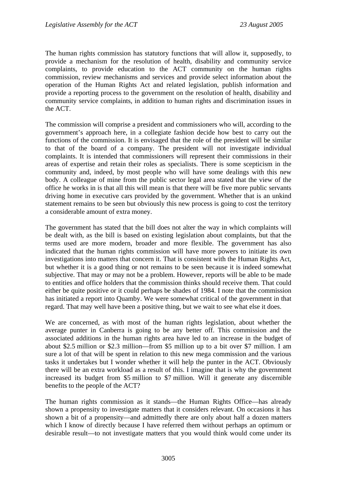The human rights commission has statutory functions that will allow it, supposedly, to provide a mechanism for the resolution of health, disability and community service complaints, to provide education to the ACT community on the human rights commission, review mechanisms and services and provide select information about the operation of the Human Rights Act and related legislation, publish information and provide a reporting process to the government on the resolution of health, disability and community service complaints, in addition to human rights and discrimination issues in the ACT.

The commission will comprise a president and commissioners who will, according to the government's approach here, in a collegiate fashion decide how best to carry out the functions of the commission. It is envisaged that the role of the president will be similar to that of the board of a company. The president will not investigate individual complaints. It is intended that commissioners will represent their commissions in their areas of expertise and retain their roles as specialists. There is some scepticism in the community and, indeed, by most people who will have some dealings with this new body. A colleague of mine from the public sector legal area stated that the view of the office he works in is that all this will mean is that there will be five more public servants driving home in executive cars provided by the government. Whether that is an unkind statement remains to be seen but obviously this new process is going to cost the territory a considerable amount of extra money.

The government has stated that the bill does not alter the way in which complaints will be dealt with, as the bill is based on existing legislation about complaints, but that the terms used are more modern, broader and more flexible. The government has also indicated that the human rights commission will have more powers to initiate its own investigations into matters that concern it. That is consistent with the Human Rights Act, but whether it is a good thing or not remains to be seen because it is indeed somewhat subjective. That may or may not be a problem. However, reports will be able to be made to entities and office holders that the commission thinks should receive them. That could either be quite positive or it could perhaps be shades of 1984. I note that the commission has initiated a report into Quamby. We were somewhat critical of the government in that regard. That may well have been a positive thing, but we wait to see what else it does.

We are concerned, as with most of the human rights legislation, about whether the average punter in Canberra is going to be any better off. This commission and the associated additions in the human rights area have led to an increase in the budget of about \$2.5 million or \$2.3 million—from \$5 million up to a bit over \$7 million. I am sure a lot of that will be spent in relation to this new mega commission and the various tasks it undertakes but I wonder whether it will help the punter in the ACT. Obviously there will be an extra workload as a result of this. I imagine that is why the government increased its budget from \$5 million to \$7 million. Will it generate any discernible benefits to the people of the ACT?

The human rights commission as it stands—the Human Rights Office—has already shown a propensity to investigate matters that it considers relevant. On occasions it has shown a bit of a propensity—and admittedly there are only about half a dozen matters which I know of directly because I have referred them without perhaps an optimum or desirable result—to not investigate matters that you would think would come under its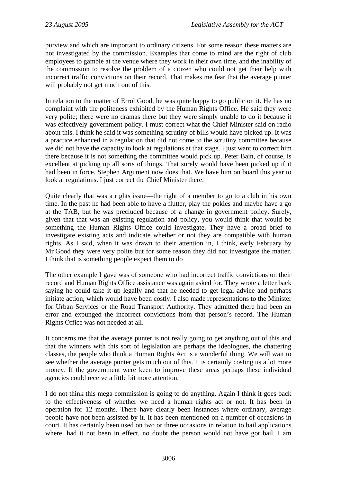purview and which are important to ordinary citizens. For some reason these matters are not investigated by the commission. Examples that come to mind are the right of club employees to gamble at the venue where they work in their own time, and the inability of the commission to resolve the problem of a citizen who could not get their help with incorrect traffic convictions on their record. That makes me fear that the average punter will probably not get much out of this.

In relation to the matter of Errol Good, he was quite happy to go public on it. He has no complaint with the politeness exhibited by the Human Rights Office. He said they were very polite; there were no dramas there but they were simply unable to do it because it was effectively government policy. I must correct what the Chief Minister said on radio about this. I think he said it was something scrutiny of bills would have picked up. It was a practice enhanced in a regulation that did not come to the scrutiny committee because we did not have the capacity to look at regulations at that stage. I just want to correct him there because it is not something the committee would pick up. Peter Bain, of course, is excellent at picking up all sorts of things. That surely would have been picked up if it had been in force. Stephen Argument now does that. We have him on board this year to look at regulations. I just correct the Chief Minister there.

Quite clearly that was a rights issue—the right of a member to go to a club in his own time. In the past he had been able to have a flutter, play the pokies and maybe have a go at the TAB, but he was precluded because of a change in government policy. Surely, given that that was an existing regulation and policy, you would think that would be something the Human Rights Office could investigate. They have a broad brief to investigate existing acts and indicate whether or not they are compatible with human rights. As I said, when it was drawn to their attention in, I think, early February by Mr Good they were very polite but for some reason they did not investigate the matter. I think that is something people expect them to do

The other example I gave was of someone who had incorrect traffic convictions on their record and Human Rights Office assistance was again asked for. They wrote a letter back saying he could take it up legally and that he needed to get legal advice and perhaps initiate action, which would have been costly. I also made representations to the Minister for Urban Services or the Road Transport Authority. They admitted there had been an error and expunged the incorrect convictions from that person's record. The Human Rights Office was not needed at all.

It concerns me that the average punter is not really going to get anything out of this and that the winners with this sort of legislation are perhaps the ideologues, the chattering classes, the people who think a Human Rights Act is a wonderful thing. We will wait to see whether the average punter gets much out of this. It is certainly costing us a lot more money. If the government were keen to improve these areas perhaps these individual agencies could receive a little bit more attention.

I do not think this mega commission is going to do anything. Again I think it goes back to the effectiveness of whether we need a human rights act or not. It has been in operation for 12 months. There have clearly been instances where ordinary, average people have not been assisted by it. It has been mentioned on a number of occasions in court. It has certainly been used on two or three occasions in relation to bail applications where, had it not been in effect, no doubt the person would not have got bail. I am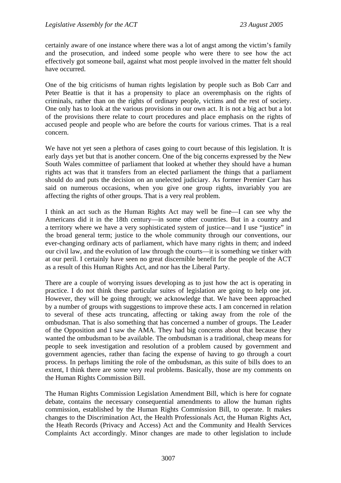certainly aware of one instance where there was a lot of angst among the victim's family and the prosecution, and indeed some people who were there to see how the act effectively got someone bail, against what most people involved in the matter felt should have occurred.

One of the big criticisms of human rights legislation by people such as Bob Carr and Peter Beattie is that it has a propensity to place an overemphasis on the rights of criminals, rather than on the rights of ordinary people, victims and the rest of society. One only has to look at the various provisions in our own act. It is not a big act but a lot of the provisions there relate to court procedures and place emphasis on the rights of accused people and people who are before the courts for various crimes. That is a real concern.

We have not yet seen a plethora of cases going to court because of this legislation. It is early days yet but that is another concern. One of the big concerns expressed by the New South Wales committee of parliament that looked at whether they should have a human rights act was that it transfers from an elected parliament the things that a parliament should do and puts the decision on an unelected judiciary. As former Premier Carr has said on numerous occasions, when you give one group rights, invariably you are affecting the rights of other groups. That is a very real problem.

I think an act such as the Human Rights Act may well be fine—I can see why the Americans did it in the 18th century—in some other countries. But in a country and a territory where we have a very sophisticated system of justice—and I use "justice" in the broad general term; justice to the whole community through our conventions, our ever-changing ordinary acts of parliament, which have many rights in them; and indeed our civil law, and the evolution of law through the courts—it is something we tinker with at our peril. I certainly have seen no great discernible benefit for the people of the ACT as a result of this Human Rights Act, and nor has the Liberal Party.

There are a couple of worrying issues developing as to just how the act is operating in practice. I do not think these particular suites of legislation are going to help one jot. However, they will be going through; we acknowledge that. We have been approached by a number of groups with suggestions to improve these acts. I am concerned in relation to several of these acts truncating, affecting or taking away from the role of the ombudsman. That is also something that has concerned a number of groups. The Leader of the Opposition and I saw the AMA. They had big concerns about that because they wanted the ombudsman to be available. The ombudsman is a traditional, cheap means for people to seek investigation and resolution of a problem caused by government and government agencies, rather than facing the expense of having to go through a court process. In perhaps limiting the role of the ombudsman, as this suite of bills does to an extent, I think there are some very real problems. Basically, those are my comments on the Human Rights Commission Bill.

The Human Rights Commission Legislation Amendment Bill, which is here for cognate debate, contains the necessary consequential amendments to allow the human rights commission, established by the Human Rights Commission Bill, to operate. It makes changes to the Discrimination Act, the Health Professionals Act, the Human Rights Act, the Heath Records (Privacy and Access) Act and the Community and Health Services Complaints Act accordingly. Minor changes are made to other legislation to include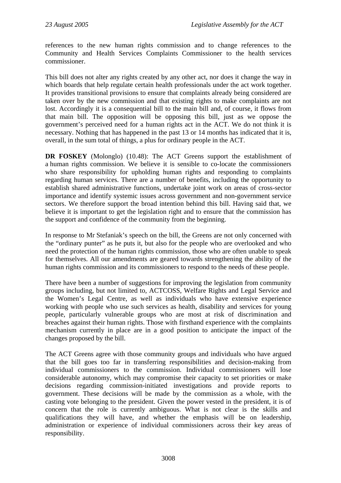references to the new human rights commission and to change references to the Community and Health Services Complaints Commissioner to the health services commissioner.

This bill does not alter any rights created by any other act, nor does it change the way in which boards that help regulate certain health professionals under the act work together. It provides transitional provisions to ensure that complaints already being considered are taken over by the new commission and that existing rights to make complaints are not lost. Accordingly it is a consequential bill to the main bill and, of course, it flows from that main bill. The opposition will be opposing this bill, just as we oppose the government's perceived need for a human rights act in the ACT. We do not think it is necessary. Nothing that has happened in the past 13 or 14 months has indicated that it is, overall, in the sum total of things, a plus for ordinary people in the ACT.

**DR FOSKEY** (Molonglo) (10.48): The ACT Greens support the establishment of a human rights commission. We believe it is sensible to co-locate the commissioners who share responsibility for upholding human rights and responding to complaints regarding human services. There are a number of benefits, including the opportunity to establish shared administrative functions, undertake joint work on areas of cross-sector importance and identify systemic issues across government and non-government service sectors. We therefore support the broad intention behind this bill. Having said that, we believe it is important to get the legislation right and to ensure that the commission has the support and confidence of the community from the beginning.

In response to Mr Stefaniak's speech on the bill, the Greens are not only concerned with the "ordinary punter" as he puts it, but also for the people who are overlooked and who need the protection of the human rights commission, those who are often unable to speak for themselves. All our amendments are geared towards strengthening the ability of the human rights commission and its commissioners to respond to the needs of these people.

There have been a number of suggestions for improving the legislation from community groups including, but not limited to, ACTCOSS, Welfare Rights and Legal Service and the Women's Legal Centre, as well as individuals who have extensive experience working with people who use such services as health, disability and services for young people, particularly vulnerable groups who are most at risk of discrimination and breaches against their human rights. Those with firsthand experience with the complaints mechanism currently in place are in a good position to anticipate the impact of the changes proposed by the bill.

The ACT Greens agree with those community groups and individuals who have argued that the bill goes too far in transferring responsibilities and decision-making from individual commissioners to the commission. Individual commissioners will lose considerable autonomy, which may compromise their capacity to set priorities or make decisions regarding commission-initiated investigations and provide reports to government. These decisions will be made by the commission as a whole, with the casting vote belonging to the president. Given the power vested in the president, it is of concern that the role is currently ambiguous. What is not clear is the skills and qualifications they will have, and whether the emphasis will be on leadership, administration or experience of individual commissioners across their key areas of responsibility.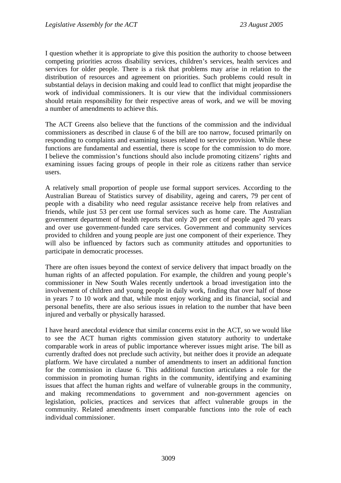I question whether it is appropriate to give this position the authority to choose between competing priorities across disability services, children's services, health services and services for older people. There is a risk that problems may arise in relation to the distribution of resources and agreement on priorities. Such problems could result in substantial delays in decision making and could lead to conflict that might jeopardise the work of individual commissioners. It is our view that the individual commissioners should retain responsibility for their respective areas of work, and we will be moving a number of amendments to achieve this.

The ACT Greens also believe that the functions of the commission and the individual commissioners as described in clause 6 of the bill are too narrow, focused primarily on responding to complaints and examining issues related to service provision. While these functions are fundamental and essential, there is scope for the commission to do more. I believe the commission's functions should also include promoting citizens' rights and examining issues facing groups of people in their role as citizens rather than service users.

A relatively small proportion of people use formal support services. According to the Australian Bureau of Statistics survey of disability, ageing and carers, 79 per cent of people with a disability who need regular assistance receive help from relatives and friends, while just 53 per cent use formal services such as home care. The Australian government department of health reports that only 20 per cent of people aged 70 years and over use government-funded care services. Government and community services provided to children and young people are just one component of their experience. They will also be influenced by factors such as community attitudes and opportunities to participate in democratic processes.

There are often issues beyond the context of service delivery that impact broadly on the human rights of an affected population. For example, the children and young people's commissioner in New South Wales recently undertook a broad investigation into the involvement of children and young people in daily work, finding that over half of those in years 7 to 10 work and that, while most enjoy working and its financial, social and personal benefits, there are also serious issues in relation to the number that have been injured and verbally or physically harassed.

I have heard anecdotal evidence that similar concerns exist in the ACT, so we would like to see the ACT human rights commission given statutory authority to undertake comparable work in areas of public importance wherever issues might arise. The bill as currently drafted does not preclude such activity, but neither does it provide an adequate platform. We have circulated a number of amendments to insert an additional function for the commission in clause 6. This additional function articulates a role for the commission in promoting human rights in the community, identifying and examining issues that affect the human rights and welfare of vulnerable groups in the community, and making recommendations to government and non-government agencies on legislation, policies, practices and services that affect vulnerable groups in the community. Related amendments insert comparable functions into the role of each individual commissioner.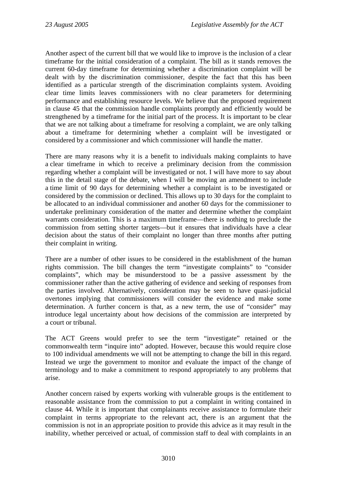Another aspect of the current bill that we would like to improve is the inclusion of a clear timeframe for the initial consideration of a complaint. The bill as it stands removes the current 60-day timeframe for determining whether a discrimination complaint will be dealt with by the discrimination commissioner, despite the fact that this has been identified as a particular strength of the discrimination complaints system. Avoiding clear time limits leaves commissioners with no clear parameters for determining performance and establishing resource levels. We believe that the proposed requirement in clause 45 that the commission handle complaints promptly and efficiently would be strengthened by a timeframe for the initial part of the process. It is important to be clear that we are not talking about a timeframe for resolving a complaint, we are only talking about a timeframe for determining whether a complaint will be investigated or considered by a commissioner and which commissioner will handle the matter.

There are many reasons why it is a benefit to individuals making complaints to have a clear timeframe in which to receive a preliminary decision from the commission regarding whether a complaint will be investigated or not. I will have more to say about this in the detail stage of the debate, when I will be moving an amendment to include a time limit of 90 days for determining whether a complaint is to be investigated or considered by the commission or declined. This allows up to 30 days for the complaint to be allocated to an individual commissioner and another 60 days for the commissioner to undertake preliminary consideration of the matter and determine whether the complaint warrants consideration. This is a maximum timeframe—there is nothing to preclude the commission from setting shorter targets—but it ensures that individuals have a clear decision about the status of their complaint no longer than three months after putting their complaint in writing.

There are a number of other issues to be considered in the establishment of the human rights commission. The bill changes the term "investigate complaints" to "consider complaints", which may be misunderstood to be a passive assessment by the commissioner rather than the active gathering of evidence and seeking of responses from the parties involved. Alternatively, consideration may be seen to have quasi-judicial overtones implying that commissioners will consider the evidence and make some determination. A further concern is that, as a new term, the use of "consider" may introduce legal uncertainty about how decisions of the commission are interpreted by a court or tribunal.

The ACT Greens would prefer to see the term "investigate" retained or the commonwealth term "inquire into" adopted. However, because this would require close to 100 individual amendments we will not be attempting to change the bill in this regard. Instead we urge the government to monitor and evaluate the impact of the change of terminology and to make a commitment to respond appropriately to any problems that arise.

Another concern raised by experts working with vulnerable groups is the entitlement to reasonable assistance from the commission to put a complaint in writing contained in clause 44. While it is important that complainants receive assistance to formulate their complaint in terms appropriate to the relevant act, there is an argument that the commission is not in an appropriate position to provide this advice as it may result in the inability, whether perceived or actual, of commission staff to deal with complaints in an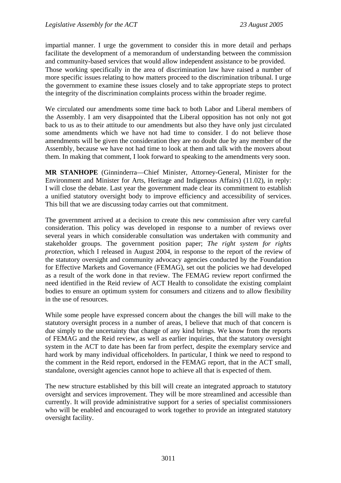impartial manner. I urge the government to consider this in more detail and perhaps facilitate the development of a memorandum of understanding between the commission and community-based services that would allow independent assistance to be provided. Those working specifically in the area of discrimination law have raised a number of more specific issues relating to how matters proceed to the discrimination tribunal. I urge the government to examine these issues closely and to take appropriate steps to protect the integrity of the discrimination complaints process within the broader regime.

We circulated our amendments some time back to both Labor and Liberal members of the Assembly. I am very disappointed that the Liberal opposition has not only not got back to us as to their attitude to our amendments but also they have only just circulated some amendments which we have not had time to consider. I do not believe those amendments will be given the consideration they are no doubt due by any member of the Assembly, because we have not had time to look at them and talk with the movers about them. In making that comment, I look forward to speaking to the amendments very soon.

**MR STANHOPE** (Ginninderra—Chief Minister, Attorney-General, Minister for the Environment and Minister for Arts, Heritage and Indigenous Affairs) (11.02), in reply: I will close the debate. Last year the government made clear its commitment to establish a unified statutory oversight body to improve efficiency and accessibility of services. This bill that we are discussing today carries out that commitment.

The government arrived at a decision to create this new commission after very careful consideration. This policy was developed in response to a number of reviews over several years in which considerable consultation was undertaken with community and stakeholder groups. The government position paper; *The right system for rights protection*, which I released in August 2004, in response to the report of the review of the statutory oversight and community advocacy agencies conducted by the Foundation for Effective Markets and Governance (FEMAG), set out the policies we had developed as a result of the work done in that review. The FEMAG review report confirmed the need identified in the Reid review of ACT Health to consolidate the existing complaint bodies to ensure an optimum system for consumers and citizens and to allow flexibility in the use of resources.

While some people have expressed concern about the changes the bill will make to the statutory oversight process in a number of areas, I believe that much of that concern is due simply to the uncertainty that change of any kind brings. We know from the reports of FEMAG and the Reid review, as well as earlier inquiries, that the statutory oversight system in the ACT to date has been far from perfect, despite the exemplary service and hard work by many individual officeholders. In particular, I think we need to respond to the comment in the Reid report, endorsed in the FEMAG report, that in the ACT small, standalone, oversight agencies cannot hope to achieve all that is expected of them.

The new structure established by this bill will create an integrated approach to statutory oversight and services improvement. They will be more streamlined and accessible than currently. It will provide administrative support for a series of specialist commissioners who will be enabled and encouraged to work together to provide an integrated statutory oversight facility.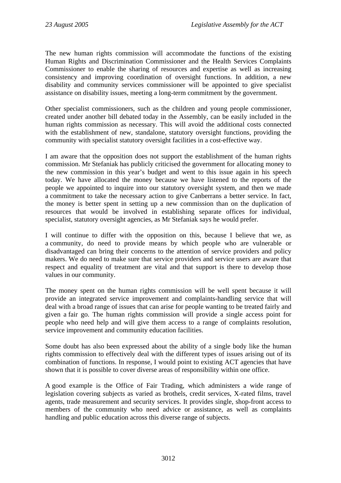The new human rights commission will accommodate the functions of the existing Human Rights and Discrimination Commissioner and the Health Services Complaints Commissioner to enable the sharing of resources and expertise as well as increasing consistency and improving coordination of oversight functions. In addition, a new disability and community services commissioner will be appointed to give specialist assistance on disability issues, meeting a long-term commitment by the government.

Other specialist commissioners, such as the children and young people commissioner, created under another bill debated today in the Assembly, can be easily included in the human rights commission as necessary. This will avoid the additional costs connected with the establishment of new, standalone, statutory oversight functions, providing the community with specialist statutory oversight facilities in a cost-effective way.

I am aware that the opposition does not support the establishment of the human rights commission. Mr Stefaniak has publicly criticised the government for allocating money to the new commission in this year's budget and went to this issue again in his speech today. We have allocated the money because we have listened to the reports of the people we appointed to inquire into our statutory oversight system, and then we made a commitment to take the necessary action to give Canberrans a better service. In fact, the money is better spent in setting up a new commission than on the duplication of resources that would be involved in establishing separate offices for individual, specialist, statutory oversight agencies, as Mr Stefaniak says he would prefer.

I will continue to differ with the opposition on this, because I believe that we, as a community, do need to provide means by which people who are vulnerable or disadvantaged can bring their concerns to the attention of service providers and policy makers. We do need to make sure that service providers and service users are aware that respect and equality of treatment are vital and that support is there to develop those values in our community.

The money spent on the human rights commission will be well spent because it will provide an integrated service improvement and complaints-handling service that will deal with a broad range of issues that can arise for people wanting to be treated fairly and given a fair go. The human rights commission will provide a single access point for people who need help and will give them access to a range of complaints resolution, service improvement and community education facilities.

Some doubt has also been expressed about the ability of a single body like the human rights commission to effectively deal with the different types of issues arising out of its combination of functions. In response, I would point to existing ACT agencies that have shown that it is possible to cover diverse areas of responsibility within one office.

A good example is the Office of Fair Trading, which administers a wide range of legislation covering subjects as varied as brothels, credit services, X-rated films, travel agents, trade measurement and security services. It provides single, shop-front access to members of the community who need advice or assistance, as well as complaints handling and public education across this diverse range of subjects.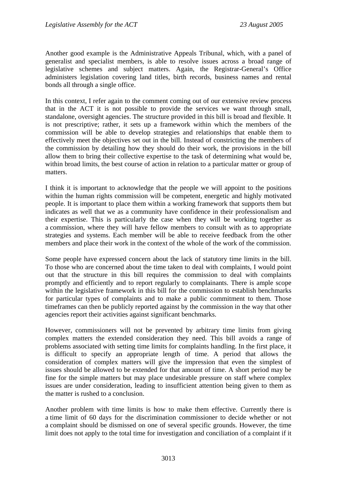Another good example is the Administrative Appeals Tribunal, which, with a panel of generalist and specialist members, is able to resolve issues across a broad range of legislative schemes and subject matters. Again, the Registrar-General's Office administers legislation covering land titles, birth records, business names and rental bonds all through a single office.

In this context, I refer again to the comment coming out of our extensive review process that in the ACT it is not possible to provide the services we want through small, standalone, oversight agencies. The structure provided in this bill is broad and flexible. It is not prescriptive; rather, it sets up a framework within which the members of the commission will be able to develop strategies and relationships that enable them to effectively meet the objectives set out in the bill. Instead of constricting the members of the commission by detailing how they should do their work, the provisions in the bill allow them to bring their collective expertise to the task of determining what would be, within broad limits, the best course of action in relation to a particular matter or group of matters.

I think it is important to acknowledge that the people we will appoint to the positions within the human rights commission will be competent, energetic and highly motivated people. It is important to place them within a working framework that supports them but indicates as well that we as a community have confidence in their professionalism and their expertise. This is particularly the case when they will be working together as a commission, where they will have fellow members to consult with as to appropriate strategies and systems. Each member will be able to receive feedback from the other members and place their work in the context of the whole of the work of the commission.

Some people have expressed concern about the lack of statutory time limits in the bill. To those who are concerned about the time taken to deal with complaints, I would point out that the structure in this bill requires the commission to deal with complaints promptly and efficiently and to report regularly to complainants. There is ample scope within the legislative framework in this bill for the commission to establish benchmarks for particular types of complaints and to make a public commitment to them. Those timeframes can then be publicly reported against by the commission in the way that other agencies report their activities against significant benchmarks.

However, commissioners will not be prevented by arbitrary time limits from giving complex matters the extended consideration they need. This bill avoids a range of problems associated with setting time limits for complaints handling. In the first place, it is difficult to specify an appropriate length of time. A period that allows the consideration of complex matters will give the impression that even the simplest of issues should be allowed to be extended for that amount of time. A short period may be fine for the simple matters but may place undesirable pressure on staff where complex issues are under consideration, leading to insufficient attention being given to them as the matter is rushed to a conclusion.

Another problem with time limits is how to make them effective. Currently there is a time limit of 60 days for the discrimination commissioner to decide whether or not a complaint should be dismissed on one of several specific grounds. However, the time limit does not apply to the total time for investigation and conciliation of a complaint if it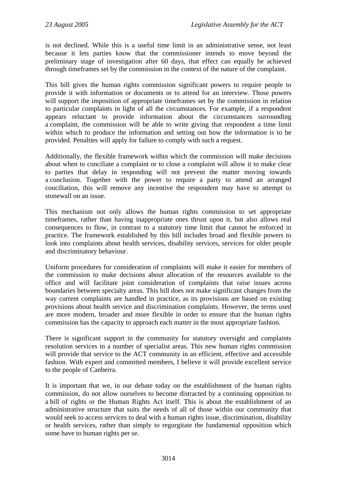is not declined. While this is a useful time limit in an administrative sense, not least because it lets parties know that the commissioner intends to move beyond the preliminary stage of investigation after 60 days, that effect can equally be achieved through timeframes set by the commission in the context of the nature of the complaint.

This bill gives the human rights commission significant powers to require people to provide it with information or documents or to attend for an interview. Those powers will support the imposition of appropriate timeframes set by the commission in relation to particular complaints in light of all the circumstances. For example, if a respondent appears reluctant to provide information about the circumstances surrounding a complaint, the commission will be able to write giving that respondent a time limit within which to produce the information and setting out how the information is to be provided. Penalties will apply for failure to comply with such a request.

Additionally, the flexible framework within which the commission will make decisions about when to conciliate a complaint or to close a complaint will allow it to make clear to parties that delay in responding will not prevent the matter moving towards a conclusion. Together with the power to require a party to attend an arranged conciliation, this will remove any incentive the respondent may have to attempt to stonewall on an issue.

This mechanism not only allows the human rights commission to set appropriate timeframes, rather than having inappropriate ones thrust upon it, but also allows real consequences to flow, in contrast to a statutory time limit that cannot be enforced in practice. The framework established by this bill includes broad and flexible powers to look into complaints about health services, disability services, services for older people and discriminatory behaviour.

Uniform procedures for consideration of complaints will make it easier for members of the commission to make decisions about allocation of the resources available to the office and will facilitate joint consideration of complaints that raise issues across boundaries between specialty areas. This bill does not make significant changes from the way current complaints are handled in practice, as its provisions are based on existing provisions about health service and discrimination complaints. However, the terms used are more modern, broader and more flexible in order to ensure that the human rights commission has the capacity to approach each matter in the most appropriate fashion.

There is significant support in the community for statutory oversight and complaints resolution services in a number of specialist areas. This new human rights commission will provide that service to the ACT community in an efficient, effective and accessible fashion. With expert and committed members, I believe it will provide excellent service to the people of Canberra.

It is important that we, in our debate today on the establishment of the human rights commission, do not allow ourselves to become distracted by a continuing opposition to a bill of rights or the Human Rights Act itself. This is about the establishment of an administrative structure that suits the needs of all of those within our community that would seek to access services to deal with a human rights issue, discrimination, disability or health services, rather than simply to regurgitate the fundamental opposition which some have to human rights per se.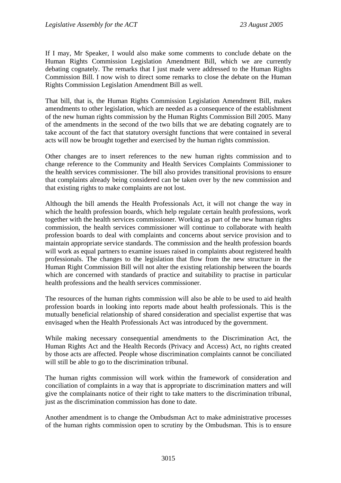If I may, Mr Speaker, I would also make some comments to conclude debate on the Human Rights Commission Legislation Amendment Bill, which we are currently debating cognately. The remarks that I just made were addressed to the Human Rights Commission Bill. I now wish to direct some remarks to close the debate on the Human Rights Commission Legislation Amendment Bill as well.

That bill, that is, the Human Rights Commission Legislation Amendment Bill, makes amendments to other legislation, which are needed as a consequence of the establishment of the new human rights commission by the Human Rights Commission Bill 2005. Many of the amendments in the second of the two bills that we are debating cognately are to take account of the fact that statutory oversight functions that were contained in several acts will now be brought together and exercised by the human rights commission.

Other changes are to insert references to the new human rights commission and to change reference to the Community and Health Services Complaints Commissioner to the health services commissioner. The bill also provides transitional provisions to ensure that complaints already being considered can be taken over by the new commission and that existing rights to make complaints are not lost.

Although the bill amends the Health Professionals Act, it will not change the way in which the health profession boards, which help regulate certain health professions, work together with the health services commissioner. Working as part of the new human rights commission, the health services commissioner will continue to collaborate with health profession boards to deal with complaints and concerns about service provision and to maintain appropriate service standards. The commission and the health profession boards will work as equal partners to examine issues raised in complaints about registered health professionals. The changes to the legislation that flow from the new structure in the Human Right Commission Bill will not alter the existing relationship between the boards which are concerned with standards of practice and suitability to practise in particular health professions and the health services commissioner.

The resources of the human rights commission will also be able to be used to aid health profession boards in looking into reports made about health professionals. This is the mutually beneficial relationship of shared consideration and specialist expertise that was envisaged when the Health Professionals Act was introduced by the government.

While making necessary consequential amendments to the Discrimination Act, the Human Rights Act and the Health Records (Privacy and Access) Act, no rights created by those acts are affected. People whose discrimination complaints cannot be conciliated will still be able to go to the discrimination tribunal.

The human rights commission will work within the framework of consideration and conciliation of complaints in a way that is appropriate to discrimination matters and will give the complainants notice of their right to take matters to the discrimination tribunal, just as the discrimination commission has done to date.

Another amendment is to change the Ombudsman Act to make administrative processes of the human rights commission open to scrutiny by the Ombudsman. This is to ensure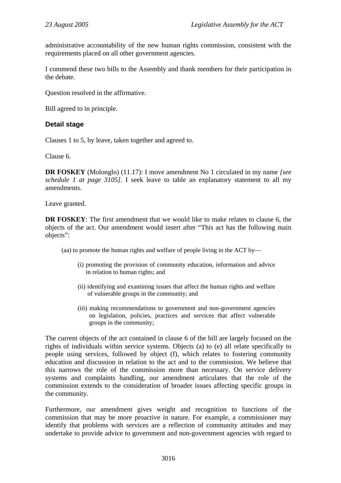administrative accountability of the new human rights commission, consistent with the requirements placed on all other government agencies.

I commend these two bills to the Assembly and thank members for their participation in the debate.

Question resolved in the affirmative.

Bill agreed to in principle.

### **Detail stage**

Clauses 1 to 5, by leave, taken together and agreed to.

Clause 6.

**DR FOSKEY** (Molonglo) (11.17): I move amendment No 1 circulated in my name *[see schedule 1 at page 3105]*. I seek leave to table an explanatory statement to all my amendments.

Leave granted.

**DR FOSKEY**: The first amendment that we would like to make relates to clause 6, the objects of the act. Our amendment would insert after "This act has the following main objects":

(aa) to promote the human rights and welfare of people living in the ACT by—

- (i) promoting the provision of community education, information and advice in relation to human rights; and
- (ii) identifying and examining issues that affect the human rights and welfare of vulnerable groups in the community; and
- (iii) making recommendations to government and non-government agencies on legislation, policies, practices and services that affect vulnerable groups in the community;

The current objects of the act contained in clause 6 of the bill are largely focused on the rights of individuals within service systems. Objects (a) to (e) all relate specifically to people using services, followed by object (f), which relates to fostering community education and discussion in relation to the act and to the commission. We believe that this narrows the role of the commission more than necessary. On service delivery systems and complaints handling, our amendment articulates that the role of the commission extends to the consideration of broader issues affecting specific groups in the community.

Furthermore, our amendment gives weight and recognition to functions of the commission that may be more proactive in nature. For example, a commissioner may identify that problems with services are a reflection of community attitudes and may undertake to provide advice to government and non-government agencies with regard to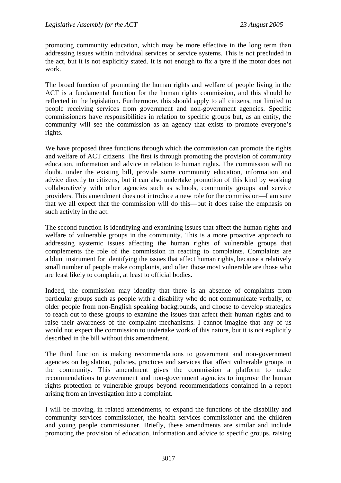promoting community education, which may be more effective in the long term than addressing issues within individual services or service systems. This is not precluded in the act, but it is not explicitly stated. It is not enough to fix a tyre if the motor does not work.

The broad function of promoting the human rights and welfare of people living in the ACT is a fundamental function for the human rights commission, and this should be reflected in the legislation. Furthermore, this should apply to all citizens, not limited to people receiving services from government and non-government agencies. Specific commissioners have responsibilities in relation to specific groups but, as an entity, the community will see the commission as an agency that exists to promote everyone's rights.

We have proposed three functions through which the commission can promote the rights and welfare of ACT citizens. The first is through promoting the provision of community education, information and advice in relation to human rights. The commission will no doubt, under the existing bill, provide some community education, information and advice directly to citizens, but it can also undertake promotion of this kind by working collaboratively with other agencies such as schools, community groups and service providers. This amendment does not introduce a new role for the commission—I am sure that we all expect that the commission will do this—but it does raise the emphasis on such activity in the act.

The second function is identifying and examining issues that affect the human rights and welfare of vulnerable groups in the community. This is a more proactive approach to addressing systemic issues affecting the human rights of vulnerable groups that complements the role of the commission in reacting to complaints. Complaints are a blunt instrument for identifying the issues that affect human rights, because a relatively small number of people make complaints, and often those most vulnerable are those who are least likely to complain, at least to official bodies.

Indeed, the commission may identify that there is an absence of complaints from particular groups such as people with a disability who do not communicate verbally, or older people from non-English speaking backgrounds, and choose to develop strategies to reach out to these groups to examine the issues that affect their human rights and to raise their awareness of the complaint mechanisms. I cannot imagine that any of us would not expect the commission to undertake work of this nature, but it is not explicitly described in the bill without this amendment.

The third function is making recommendations to government and non-government agencies on legislation, policies, practices and services that affect vulnerable groups in the community. This amendment gives the commission a platform to make recommendations to government and non-government agencies to improve the human rights protection of vulnerable groups beyond recommendations contained in a report arising from an investigation into a complaint.

I will be moving, in related amendments, to expand the functions of the disability and community services commissioner, the health services commissioner and the children and young people commissioner. Briefly, these amendments are similar and include promoting the provision of education, information and advice to specific groups, raising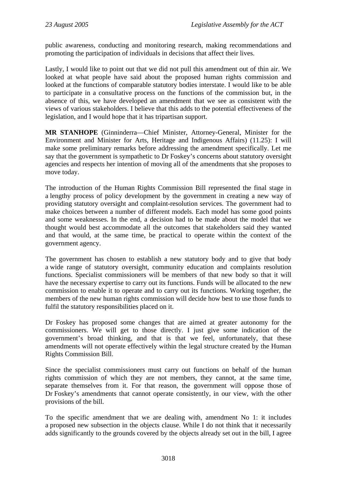public awareness, conducting and monitoring research, making recommendations and promoting the participation of individuals in decisions that affect their lives.

Lastly, I would like to point out that we did not pull this amendment out of thin air. We looked at what people have said about the proposed human rights commission and looked at the functions of comparable statutory bodies interstate. I would like to be able to participate in a consultative process on the functions of the commission but, in the absence of this, we have developed an amendment that we see as consistent with the views of various stakeholders. I believe that this adds to the potential effectiveness of the legislation, and I would hope that it has tripartisan support.

**MR STANHOPE** (Ginninderra—Chief Minister, Attorney-General, Minister for the Environment and Minister for Arts, Heritage and Indigenous Affairs) (11.25): I will make some preliminary remarks before addressing the amendment specifically. Let me say that the government is sympathetic to Dr Foskey's concerns about statutory oversight agencies and respects her intention of moving all of the amendments that she proposes to move today.

The introduction of the Human Rights Commission Bill represented the final stage in a lengthy process of policy development by the government in creating a new way of providing statutory oversight and complaint-resolution services. The government had to make choices between a number of different models. Each model has some good points and some weaknesses. In the end, a decision had to be made about the model that we thought would best accommodate all the outcomes that stakeholders said they wanted and that would, at the same time, be practical to operate within the context of the government agency.

The government has chosen to establish a new statutory body and to give that body a wide range of statutory oversight, community education and complaints resolution functions. Specialist commissioners will be members of that new body so that it will have the necessary expertise to carry out its functions. Funds will be allocated to the new commission to enable it to operate and to carry out its functions. Working together, the members of the new human rights commission will decide how best to use those funds to fulfil the statutory responsibilities placed on it.

Dr Foskey has proposed some changes that are aimed at greater autonomy for the commissioners. We will get to those directly. I just give some indication of the government's broad thinking, and that is that we feel, unfortunately, that these amendments will not operate effectively within the legal structure created by the Human Rights Commission Bill.

Since the specialist commissioners must carry out functions on behalf of the human rights commission of which they are not members, they cannot, at the same time, separate themselves from it. For that reason, the government will oppose those of Dr Foskey's amendments that cannot operate consistently, in our view, with the other provisions of the bill.

To the specific amendment that we are dealing with, amendment No 1: it includes a proposed new subsection in the objects clause. While I do not think that it necessarily adds significantly to the grounds covered by the objects already set out in the bill, I agree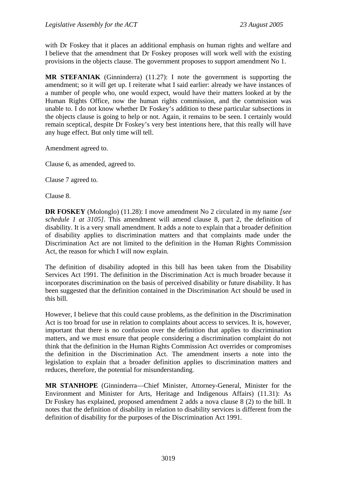with Dr Foskey that it places an additional emphasis on human rights and welfare and I believe that the amendment that Dr Foskey proposes will work well with the existing provisions in the objects clause. The government proposes to support amendment No 1.

**MR STEFANIAK** (Ginninderra) (11.27): I note the government is supporting the amendment; so it will get up. I reiterate what I said earlier: already we have instances of a number of people who, one would expect, would have their matters looked at by the Human Rights Office, now the human rights commission, and the commission was unable to. I do not know whether Dr Foskey's addition to these particular subsections in the objects clause is going to help or not. Again, it remains to be seen. I certainly would remain sceptical, despite Dr Foskey's very best intentions here, that this really will have any huge effect. But only time will tell.

Amendment agreed to.

Clause 6, as amended, agreed to.

Clause 7 agreed to.

Clause 8.

**DR FOSKEY** (Molonglo) (11.28): I move amendment No 2 circulated in my name *[see schedule 1 at 3105]*. This amendment will amend clause 8, part 2, the definition of disability. It is a very small amendment. It adds a note to explain that a broader definition of disability applies to discrimination matters and that complaints made under the Discrimination Act are not limited to the definition in the Human Rights Commission Act, the reason for which I will now explain.

The definition of disability adopted in this bill has been taken from the Disability Services Act 1991. The definition in the Discrimination Act is much broader because it incorporates discrimination on the basis of perceived disability or future disability. It has been suggested that the definition contained in the Discrimination Act should be used in this bill.

However, I believe that this could cause problems, as the definition in the Discrimination Act is too broad for use in relation to complaints about access to services. It is, however, important that there is no confusion over the definition that applies to discrimination matters, and we must ensure that people considering a discrimination complaint do not think that the definition in the Human Rights Commission Act overrides or compromises the definition in the Discrimination Act. The amendment inserts a note into the legislation to explain that a broader definition applies to discrimination matters and reduces, therefore, the potential for misunderstanding.

**MR STANHOPE** (Ginninderra—Chief Minister, Attorney-General, Minister for the Environment and Minister for Arts, Heritage and Indigenous Affairs) (11.31): As Dr Foskey has explained, proposed amendment 2 adds a nova clause 8 (2) to the bill. It notes that the definition of disability in relation to disability services is different from the definition of disability for the purposes of the Discrimination Act 1991.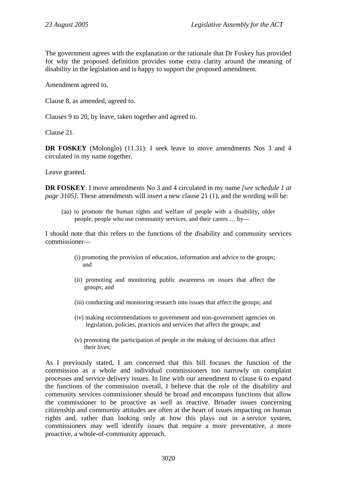The government agrees with the explanation or the rationale that Dr Foskey has provided for why the proposed definition provides some extra clarity around the meaning of disability in the legislation and is happy to support the proposed amendment.

Amendment agreed to.

Clause 8, as amended, agreed to.

Clauses 9 to 20, by leave, taken together and agreed to.

Clause 21.

**DR FOSKEY** (Molonglo) (11.31): I seek leave to move amendments Nos 3 and 4 circulated in my name together.

Leave granted.

**DR FOSKEY**: I move amendments No 3 and 4 circulated in my name *[see schedule 1 at page 3105]*. These amendments will insert a new clause 21 (1), and the wording will be:

(aa) to promote the human rights and welfare of people with a disability, older people, people who use community services, and their carers … by—

I should note that this refers to the functions of the disability and community services commissioner—

- (i) promoting the provision of education, information and advice to the groups; and
- (ii) promoting and monitoring public awareness on issues that affect the groups; and
- (iii) conducting and monitoring research into issues that affect the groups; and
- (iv) making recommendations to government and non-government agencies on legislation, policies, practices and services that affect the groups; and
- (v) promoting the participation of people in the making of decisions that affect their lives;

As I previously stated, I am concerned that this bill focuses the function of the commission as a whole and individual commissioners too narrowly on complaint processes and service delivery issues. In line with our amendment to clause 6 to expand the functions of the commission overall, I believe that the role of the disability and community services commissioner should be broad and encompass functions that allow the commissioner to be proactive as well as reactive. Broader issues concerning citizenship and community attitudes are often at the heart of issues impacting on human rights and, rather than looking only at how this plays out in a service system, commissioners may well identify issues that require a more preventative, a more proactive, a whole-of-community approach.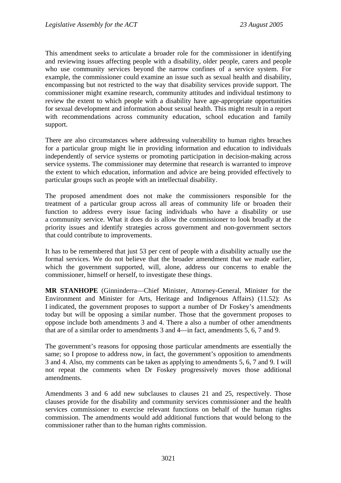This amendment seeks to articulate a broader role for the commissioner in identifying and reviewing issues affecting people with a disability, older people, carers and people who use community services beyond the narrow confines of a service system. For example, the commissioner could examine an issue such as sexual health and disability, encompassing but not restricted to the way that disability services provide support. The commissioner might examine research, community attitudes and individual testimony to review the extent to which people with a disability have age-appropriate opportunities for sexual development and information about sexual health. This might result in a report with recommendations across community education, school education and family support.

There are also circumstances where addressing vulnerability to human rights breaches for a particular group might lie in providing information and education to individuals independently of service systems or promoting participation in decision-making across service systems. The commissioner may determine that research is warranted to improve the extent to which education, information and advice are being provided effectively to particular groups such as people with an intellectual disability.

The proposed amendment does not make the commissioners responsible for the treatment of a particular group across all areas of community life or broaden their function to address every issue facing individuals who have a disability or use a community service. What it does do is allow the commissioner to look broadly at the priority issues and identify strategies across government and non-government sectors that could contribute to improvements.

It has to be remembered that just 53 per cent of people with a disability actually use the formal services. We do not believe that the broader amendment that we made earlier, which the government supported, will, alone, address our concerns to enable the commissioner, himself or herself, to investigate these things.

**MR STANHOPE** (Ginninderra—Chief Minister, Attorney-General, Minister for the Environment and Minister for Arts, Heritage and Indigenous Affairs) (11.52): As I indicated, the government proposes to support a number of Dr Foskey's amendments today but will be opposing a similar number. Those that the government proposes to oppose include both amendments 3 and 4. There a also a number of other amendments that are of a similar order to amendments 3 and 4—in fact, amendments 5, 6, 7 and 9.

The government's reasons for opposing those particular amendments are essentially the same; so I propose to address now, in fact, the government's opposition to amendments 3 and 4. Also, my comments can be taken as applying to amendments 5, 6, 7 and 9. I will not repeat the comments when Dr Foskey progressively moves those additional amendments.

Amendments 3 and 6 add new subclauses to clauses 21 and 25, respectively. Those clauses provide for the disability and community services commissioner and the health services commissioner to exercise relevant functions on behalf of the human rights commission. The amendments would add additional functions that would belong to the commissioner rather than to the human rights commission.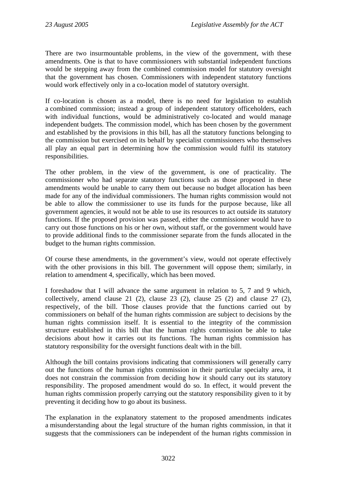There are two insurmountable problems, in the view of the government, with these amendments. One is that to have commissioners with substantial independent functions would be stepping away from the combined commission model for statutory oversight that the government has chosen. Commissioners with independent statutory functions would work effectively only in a co-location model of statutory oversight.

If co-location is chosen as a model, there is no need for legislation to establish a combined commission; instead a group of independent statutory officeholders, each with individual functions, would be administratively co-located and would manage independent budgets. The commission model, which has been chosen by the government and established by the provisions in this bill, has all the statutory functions belonging to the commission but exercised on its behalf by specialist commissioners who themselves all play an equal part in determining how the commission would fulfil its statutory responsibilities.

The other problem, in the view of the government, is one of practicality. The commissioner who had separate statutory functions such as those proposed in these amendments would be unable to carry them out because no budget allocation has been made for any of the individual commissioners. The human rights commission would not be able to allow the commissioner to use its funds for the purpose because, like all government agencies, it would not be able to use its resources to act outside its statutory functions. If the proposed provision was passed, either the commissioner would have to carry out those functions on his or her own, without staff, or the government would have to provide additional finds to the commissioner separate from the funds allocated in the budget to the human rights commission.

Of course these amendments, in the government's view, would not operate effectively with the other provisions in this bill. The government will oppose them; similarly, in relation to amendment 4, specifically, which has been moved.

I foreshadow that I will advance the same argument in relation to 5, 7 and 9 which, collectively, amend clause 21 (2), clause 23 (2), clause 25 (2) and clause 27 (2), respectively, of the bill. Those clauses provide that the functions carried out by commissioners on behalf of the human rights commission are subject to decisions by the human rights commission itself. It is essential to the integrity of the commission structure established in this bill that the human rights commission be able to take decisions about how it carries out its functions. The human rights commission has statutory responsibility for the oversight functions dealt with in the bill.

Although the bill contains provisions indicating that commissioners will generally carry out the functions of the human rights commission in their particular specialty area, it does not constrain the commission from deciding how it should carry out its statutory responsibility. The proposed amendment would do so. In effect, it would prevent the human rights commission properly carrying out the statutory responsibility given to it by preventing it deciding how to go about its business.

The explanation in the explanatory statement to the proposed amendments indicates a misunderstanding about the legal structure of the human rights commission, in that it suggests that the commissioners can be independent of the human rights commission in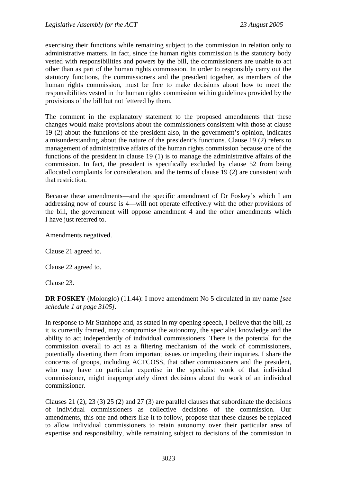exercising their functions while remaining subject to the commission in relation only to administrative matters. In fact, since the human rights commission is the statutory body vested with responsibilities and powers by the bill, the commissioners are unable to act other than as part of the human rights commission. In order to responsibly carry out the statutory functions, the commissioners and the president together, as members of the human rights commission, must be free to make decisions about how to meet the responsibilities vested in the human rights commission within guidelines provided by the provisions of the bill but not fettered by them.

The comment in the explanatory statement to the proposed amendments that these changes would make provisions about the commissioners consistent with those at clause 19 (2) about the functions of the president also, in the government's opinion, indicates a misunderstanding about the nature of the president's functions. Clause 19 (2) refers to management of administrative affairs of the human rights commission because one of the functions of the president in clause 19 (1) is to manage the administrative affairs of the commission. In fact, the president is specifically excluded by clause 52 from being allocated complaints for consideration, and the terms of clause 19 (2) are consistent with that restriction.

Because these amendments—and the specific amendment of Dr Foskey's which I am addressing now of course is 4—will not operate effectively with the other provisions of the bill, the government will oppose amendment 4 and the other amendments which I have just referred to.

Amendments negatived.

Clause 21 agreed to.

Clause 22 agreed to.

Clause 23.

**DR FOSKEY** (Molonglo) (11.44): I move amendment No 5 circulated in my name *[see schedule 1 at page 3105].*

In response to Mr Stanhope and, as stated in my opening speech, I believe that the bill, as it is currently framed, may compromise the autonomy, the specialist knowledge and the ability to act independently of individual commissioners. There is the potential for the commission overall to act as a filtering mechanism of the work of commissioners, potentially diverting them from important issues or impeding their inquiries. I share the concerns of groups, including ACTCOSS, that other commissioners and the president, who may have no particular expertise in the specialist work of that individual commissioner, might inappropriately direct decisions about the work of an individual commissioner.

Clauses 21 (2), 23 (3) 25 (2) and 27 (3) are parallel clauses that subordinate the decisions of individual commissioners as collective decisions of the commission. Our amendments, this one and others like it to follow, propose that these clauses be replaced to allow individual commissioners to retain autonomy over their particular area of expertise and responsibility, while remaining subject to decisions of the commission in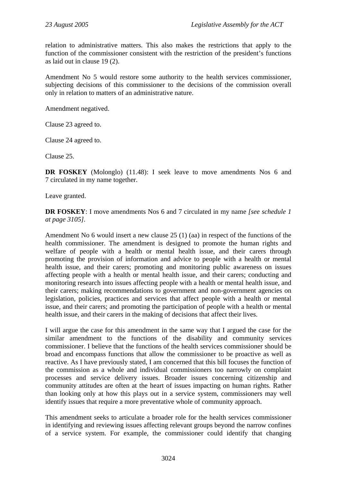relation to administrative matters. This also makes the restrictions that apply to the function of the commissioner consistent with the restriction of the president's functions as laid out in clause 19 (2).

Amendment No 5 would restore some authority to the health services commissioner, subjecting decisions of this commissioner to the decisions of the commission overall only in relation to matters of an administrative nature.

Amendment negatived.

Clause 23 agreed to.

Clause 24 agreed to.

Clause 25.

**DR FOSKEY** (Molonglo) (11.48): I seek leave to move amendments Nos 6 and 7 circulated in my name together.

Leave granted.

**DR FOSKEY**: I move amendments Nos 6 and 7 circulated in my name *[see schedule 1 at page 3105].*

Amendment No 6 would insert a new clause 25 (1) (aa) in respect of the functions of the health commissioner. The amendment is designed to promote the human rights and welfare of people with a health or mental health issue, and their carers through promoting the provision of information and advice to people with a health or mental health issue, and their carers; promoting and monitoring public awareness on issues affecting people with a health or mental health issue, and their carers; conducting and monitoring research into issues affecting people with a health or mental health issue, and their carers; making recommendations to government and non-government agencies on legislation, policies, practices and services that affect people with a health or mental issue, and their carers; and promoting the participation of people with a health or mental health issue, and their carers in the making of decisions that affect their lives.

I will argue the case for this amendment in the same way that I argued the case for the similar amendment to the functions of the disability and community services commissioner. I believe that the functions of the health services commissioner should be broad and encompass functions that allow the commissioner to be proactive as well as reactive. As I have previously stated, I am concerned that this bill focuses the function of the commission as a whole and individual commissioners too narrowly on complaint processes and service delivery issues. Broader issues concerning citizenship and community attitudes are often at the heart of issues impacting on human rights. Rather than looking only at how this plays out in a service system, commissioners may well identify issues that require a more preventative whole of community approach.

This amendment seeks to articulate a broader role for the health services commissioner in identifying and reviewing issues affecting relevant groups beyond the narrow confines of a service system. For example, the commissioner could identify that changing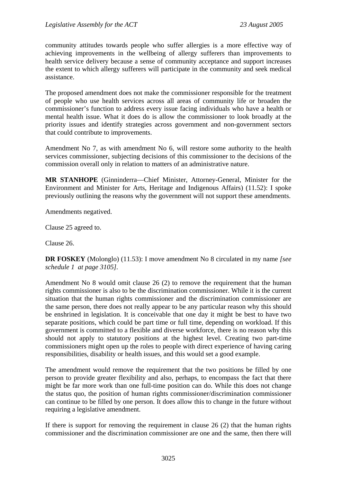community attitudes towards people who suffer allergies is a more effective way of achieving improvements in the wellbeing of allergy sufferers than improvements to health service delivery because a sense of community acceptance and support increases the extent to which allergy sufferers will participate in the community and seek medical assistance.

The proposed amendment does not make the commissioner responsible for the treatment of people who use health services across all areas of community life or broaden the commissioner's function to address every issue facing individuals who have a health or mental health issue. What it does do is allow the commissioner to look broadly at the priority issues and identify strategies across government and non-government sectors that could contribute to improvements.

Amendment No 7, as with amendment No 6, will restore some authority to the health services commissioner, subjecting decisions of this commissioner to the decisions of the commission overall only in relation to matters of an administrative nature.

**MR STANHOPE** (Ginninderra—Chief Minister, Attorney-General, Minister for the Environment and Minister for Arts, Heritage and Indigenous Affairs) (11.52): I spoke previously outlining the reasons why the government will not support these amendments.

Amendments negatived.

Clause 25 agreed to.

Clause 26.

**DR FOSKEY** (Molonglo) (11.53): I move amendment No 8 circulated in my name *[see schedule 1 at page 3105].*

Amendment No 8 would omit clause 26 (2) to remove the requirement that the human rights commissioner is also to be the discrimination commissioner. While it is the current situation that the human rights commissioner and the discrimination commissioner are the same person, there does not really appear to be any particular reason why this should be enshrined in legislation. It is conceivable that one day it might be best to have two separate positions, which could be part time or full time, depending on workload. If this government is committed to a flexible and diverse workforce, there is no reason why this should not apply to statutory positions at the highest level. Creating two part-time commissioners might open up the roles to people with direct experience of having caring responsibilities, disability or health issues, and this would set a good example.

The amendment would remove the requirement that the two positions be filled by one person to provide greater flexibility and also, perhaps, to encompass the fact that there might be far more work than one full-time position can do. While this does not change the status quo, the position of human rights commissioner/discrimination commissioner can continue to be filled by one person. It does allow this to change in the future without requiring a legislative amendment.

If there is support for removing the requirement in clause 26 (2) that the human rights commissioner and the discrimination commissioner are one and the same, then there will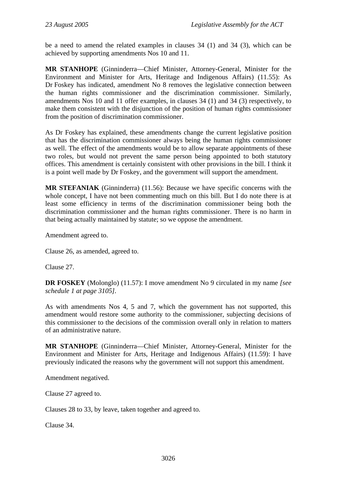be a need to amend the related examples in clauses 34 (1) and 34 (3), which can be achieved by supporting amendments Nos 10 and 11.

**MR STANHOPE** (Ginninderra—Chief Minister, Attorney-General, Minister for the Environment and Minister for Arts, Heritage and Indigenous Affairs) (11.55): As Dr Foskey has indicated, amendment No 8 removes the legislative connection between the human rights commissioner and the discrimination commissioner. Similarly, amendments Nos 10 and 11 offer examples, in clauses 34 (1) and 34 (3) respectively, to make them consistent with the disjunction of the position of human rights commissioner from the position of discrimination commissioner.

As Dr Foskey has explained, these amendments change the current legislative position that has the discrimination commissioner always being the human rights commissioner as well. The effect of the amendments would be to allow separate appointments of these two roles, but would not prevent the same person being appointed to both statutory offices. This amendment is certainly consistent with other provisions in the bill. I think it is a point well made by Dr Foskey, and the government will support the amendment.

**MR STEFANIAK** (Ginninderra) (11.56): Because we have specific concerns with the whole concept, I have not been commenting much on this bill. But I do note there is at least some efficiency in terms of the discrimination commissioner being both the discrimination commissioner and the human rights commissioner. There is no harm in that being actually maintained by statute; so we oppose the amendment.

Amendment agreed to.

Clause 26, as amended, agreed to.

Clause 27.

**DR FOSKEY** (Molonglo) (11.57): I move amendment No 9 circulated in my name *[see schedule 1 at page 3105].*

As with amendments Nos 4, 5 and 7, which the government has not supported, this amendment would restore some authority to the commissioner, subjecting decisions of this commissioner to the decisions of the commission overall only in relation to matters of an administrative nature.

**MR STANHOPE** (Ginninderra—Chief Minister, Attorney-General, Minister for the Environment and Minister for Arts, Heritage and Indigenous Affairs) (11.59): I have previously indicated the reasons why the government will not support this amendment.

Amendment negatived.

Clause 27 agreed to.

Clauses 28 to 33, by leave, taken together and agreed to.

Clause 34.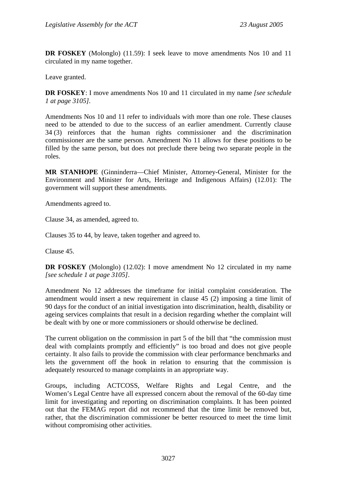**DR FOSKEY** (Molonglo) (11.59): I seek leave to move amendments Nos 10 and 11 circulated in my name together.

Leave granted.

**DR FOSKEY**: I move amendments Nos 10 and 11 circulated in my name *[see schedule 1 at page 3105].*

Amendments Nos 10 and 11 refer to individuals with more than one role. These clauses need to be attended to due to the success of an earlier amendment. Currently clause 34 (3) reinforces that the human rights commissioner and the discrimination commissioner are the same person. Amendment No 11 allows for these positions to be filled by the same person, but does not preclude there being two separate people in the roles.

**MR STANHOPE** (Ginninderra—Chief Minister, Attorney-General, Minister for the Environment and Minister for Arts, Heritage and Indigenous Affairs) (12.01): The government will support these amendments.

Amendments agreed to.

Clause 34, as amended, agreed to.

Clauses 35 to 44, by leave, taken together and agreed to.

Clause 45.

**DR FOSKEY** (Molonglo) (12.02): I move amendment No 12 circulated in my name *[see schedule 1 at page 3105]*.

Amendment No 12 addresses the timeframe for initial complaint consideration. The amendment would insert a new requirement in clause 45 (2) imposing a time limit of 90 days for the conduct of an initial investigation into discrimination, health, disability or ageing services complaints that result in a decision regarding whether the complaint will be dealt with by one or more commissioners or should otherwise be declined.

The current obligation on the commission in part 5 of the bill that "the commission must deal with complaints promptly and efficiently" is too broad and does not give people certainty. It also fails to provide the commission with clear performance benchmarks and lets the government off the hook in relation to ensuring that the commission is adequately resourced to manage complaints in an appropriate way.

Groups, including ACTCOSS, Welfare Rights and Legal Centre, and the Women's Legal Centre have all expressed concern about the removal of the 60-day time limit for investigating and reporting on discrimination complaints. It has been pointed out that the FEMAG report did not recommend that the time limit be removed but, rather, that the discrimination commissioner be better resourced to meet the time limit without compromising other activities.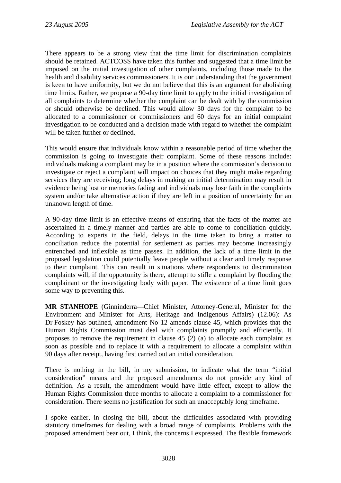There appears to be a strong view that the time limit for discrimination complaints should be retained. ACTCOSS have taken this further and suggested that a time limit be imposed on the initial investigation of other complaints, including those made to the health and disability services commissioners. It is our understanding that the government is keen to have uniformity, but we do not believe that this is an argument for abolishing time limits. Rather, we propose a 90-day time limit to apply to the initial investigation of all complaints to determine whether the complaint can be dealt with by the commission or should otherwise be declined. This would allow 30 days for the complaint to be allocated to a commissioner or commissioners and 60 days for an initial complaint investigation to be conducted and a decision made with regard to whether the complaint will be taken further or declined.

This would ensure that individuals know within a reasonable period of time whether the commission is going to investigate their complaint. Some of these reasons include: individuals making a complaint may be in a position where the commission's decision to investigate or reject a complaint will impact on choices that they might make regarding services they are receiving; long delays in making an initial determination may result in evidence being lost or memories fading and individuals may lose faith in the complaints system and/or take alternative action if they are left in a position of uncertainty for an unknown length of time.

A 90-day time limit is an effective means of ensuring that the facts of the matter are ascertained in a timely manner and parties are able to come to conciliation quickly. According to experts in the field, delays in the time taken to bring a matter to conciliation reduce the potential for settlement as parties may become increasingly entrenched and inflexible as time passes. In addition, the lack of a time limit in the proposed legislation could potentially leave people without a clear and timely response to their complaint. This can result in situations where respondents to discrimination complaints will, if the opportunity is there, attempt to stifle a complaint by flooding the complainant or the investigating body with paper. The existence of a time limit goes some way to preventing this.

**MR STANHOPE** (Ginninderra—Chief Minister, Attorney-General, Minister for the Environment and Minister for Arts, Heritage and Indigenous Affairs) (12.06): As Dr Foskey has outlined, amendment No 12 amends clause 45, which provides that the Human Rights Commission must deal with complaints promptly and efficiently. It proposes to remove the requirement in clause 45 (2) (a) to allocate each complaint as soon as possible and to replace it with a requirement to allocate a complaint within 90 days after receipt, having first carried out an initial consideration.

There is nothing in the bill, in my submission, to indicate what the term "initial consideration" means and the proposed amendments do not provide any kind of definition. As a result, the amendment would have little effect, except to allow the Human Rights Commission three months to allocate a complaint to a commissioner for consideration. There seems no justification for such an unacceptably long timeframe.

I spoke earlier, in closing the bill, about the difficulties associated with providing statutory timeframes for dealing with a broad range of complaints. Problems with the proposed amendment bear out, I think, the concerns I expressed. The flexible framework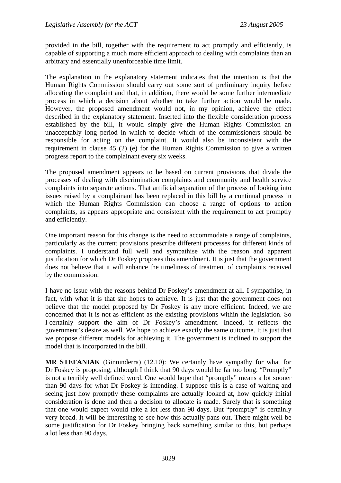provided in the bill, together with the requirement to act promptly and efficiently, is capable of supporting a much more efficient approach to dealing with complaints than an arbitrary and essentially unenforceable time limit.

The explanation in the explanatory statement indicates that the intention is that the Human Rights Commission should carry out some sort of preliminary inquiry before allocating the complaint and that, in addition, there would be some further intermediate process in which a decision about whether to take further action would be made. However, the proposed amendment would not, in my opinion, achieve the effect described in the explanatory statement. Inserted into the flexible consideration process established by the bill, it would simply give the Human Rights Commission an unacceptably long period in which to decide which of the commissioners should be responsible for acting on the complaint. It would also be inconsistent with the requirement in clause 45 (2) (e) for the Human Rights Commission to give a written progress report to the complainant every six weeks.

The proposed amendment appears to be based on current provisions that divide the processes of dealing with discrimination complaints and community and health service complaints into separate actions. That artificial separation of the process of looking into issues raised by a complainant has been replaced in this bill by a continual process in which the Human Rights Commission can choose a range of options to action complaints, as appears appropriate and consistent with the requirement to act promptly and efficiently.

One important reason for this change is the need to accommodate a range of complaints, particularly as the current provisions prescribe different processes for different kinds of complaints. I understand full well and sympathise with the reason and apparent justification for which Dr Foskey proposes this amendment. It is just that the government does not believe that it will enhance the timeliness of treatment of complaints received by the commission.

I have no issue with the reasons behind Dr Foskey's amendment at all. I sympathise, in fact, with what it is that she hopes to achieve. It is just that the government does not believe that the model proposed by Dr Foskey is any more efficient. Indeed, we are concerned that it is not as efficient as the existing provisions within the legislation. So I certainly support the aim of Dr Foskey's amendment. Indeed, it reflects the government's desire as well. We hope to achieve exactly the same outcome. It is just that we propose different models for achieving it. The government is inclined to support the model that is incorporated in the bill.

**MR STEFANIAK** (Ginninderra) (12.10): We certainly have sympathy for what for Dr Foskey is proposing, although I think that 90 days would be far too long. "Promptly" is not a terribly well defined word. One would hope that "promptly" means a lot sooner than 90 days for what Dr Foskey is intending. I suppose this is a case of waiting and seeing just how promptly these complaints are actually looked at, how quickly initial consideration is done and then a decision to allocate is made. Surely that is something that one would expect would take a lot less than 90 days. But "promptly" is certainly very broad. It will be interesting to see how this actually pans out. There might well be some justification for Dr Foskey bringing back something similar to this, but perhaps a lot less than 90 days.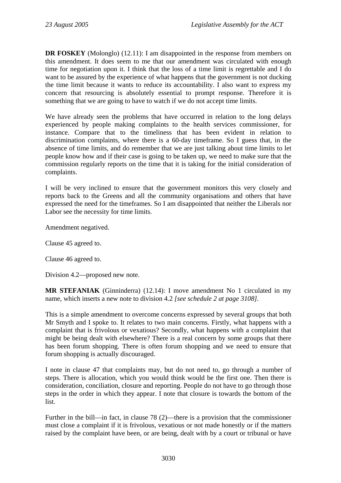**DR FOSKEY** (Molonglo) (12.11): I am disappointed in the response from members on this amendment. It does seem to me that our amendment was circulated with enough time for negotiation upon it. I think that the loss of a time limit is regrettable and I do want to be assured by the experience of what happens that the government is not ducking the time limit because it wants to reduce its accountability. I also want to express my concern that resourcing is absolutely essential to prompt response. Therefore it is something that we are going to have to watch if we do not accept time limits.

We have already seen the problems that have occurred in relation to the long delays experienced by people making complaints to the health services commissioner, for instance. Compare that to the timeliness that has been evident in relation to discrimination complaints, where there is a 60-day timeframe. So I guess that, in the absence of time limits, and do remember that we are just talking about time limits to let people know how and if their case is going to be taken up, we need to make sure that the commission regularly reports on the time that it is taking for the initial consideration of complaints.

I will be very inclined to ensure that the government monitors this very closely and reports back to the Greens and all the community organisations and others that have expressed the need for the timeframes. So I am disappointed that neither the Liberals nor Labor see the necessity for time limits.

Amendment negatived.

Clause 45 agreed to.

Clause 46 agreed to.

Division 4.2—proposed new note.

**MR STEFANIAK** (Ginninderra) (12.14): I move amendment No 1 circulated in my name, which inserts a new note to division 4.2 *[see schedule 2 at page 3108].*

This is a simple amendment to overcome concerns expressed by several groups that both Mr Smyth and I spoke to. It relates to two main concerns. Firstly, what happens with a complaint that is frivolous or vexatious? Secondly, what happens with a complaint that might be being dealt with elsewhere? There is a real concern by some groups that there has been forum shopping. There is often forum shopping and we need to ensure that forum shopping is actually discouraged.

I note in clause 47 that complaints may, but do not need to, go through a number of steps. There is allocation, which you would think would be the first one. Then there is consideration, conciliation, closure and reporting. People do not have to go through those steps in the order in which they appear. I note that closure is towards the bottom of the list.

Further in the bill—in fact, in clause 78 (2)—there is a provision that the commissioner must close a complaint if it is frivolous, vexatious or not made honestly or if the matters raised by the complaint have been, or are being, dealt with by a court or tribunal or have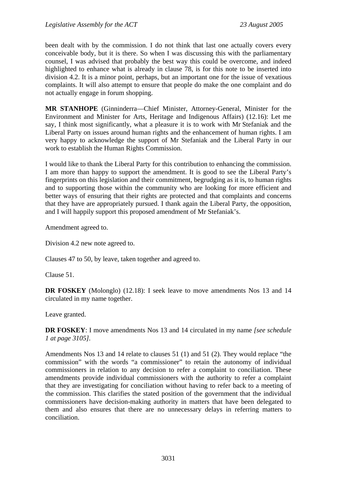been dealt with by the commission. I do not think that last one actually covers every conceivable body, but it is there. So when I was discussing this with the parliamentary counsel, I was advised that probably the best way this could be overcome, and indeed highlighted to enhance what is already in clause 78, is for this note to be inserted into division 4.2. It is a minor point, perhaps, but an important one for the issue of vexatious complaints. It will also attempt to ensure that people do make the one complaint and do not actually engage in forum shopping.

**MR STANHOPE** (Ginninderra—Chief Minister, Attorney-General, Minister for the Environment and Minister for Arts, Heritage and Indigenous Affairs) (12.16): Let me say, I think most significantly, what a pleasure it is to work with Mr Stefaniak and the Liberal Party on issues around human rights and the enhancement of human rights. I am very happy to acknowledge the support of Mr Stefaniak and the Liberal Party in our work to establish the Human Rights Commission.

I would like to thank the Liberal Party for this contribution to enhancing the commission. I am more than happy to support the amendment. It is good to see the Liberal Party's fingerprints on this legislation and their commitment, begrudging as it is, to human rights and to supporting those within the community who are looking for more efficient and better ways of ensuring that their rights are protected and that complaints and concerns that they have are appropriately pursued. I thank again the Liberal Party, the opposition, and I will happily support this proposed amendment of Mr Stefaniak's.

Amendment agreed to.

Division 4.2 new note agreed to.

Clauses 47 to 50, by leave, taken together and agreed to.

Clause 51.

**DR FOSKEY** (Molonglo) (12.18): I seek leave to move amendments Nos 13 and 14 circulated in my name together.

Leave granted.

**DR FOSKEY**: I move amendments Nos 13 and 14 circulated in my name *[see schedule 1 at page 3105].*

Amendments Nos 13 and 14 relate to clauses 51 (1) and 51 (2). They would replace "the commission" with the words "a commissioner" to retain the autonomy of individual commissioners in relation to any decision to refer a complaint to conciliation. These amendments provide individual commissioners with the authority to refer a complaint that they are investigating for conciliation without having to refer back to a meeting of the commission. This clarifies the stated position of the government that the individual commissioners have decision-making authority in matters that have been delegated to them and also ensures that there are no unnecessary delays in referring matters to conciliation.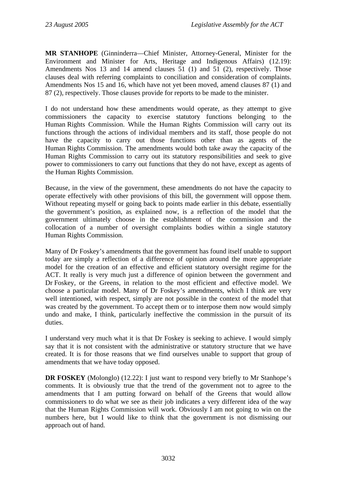**MR STANHOPE** (Ginninderra—Chief Minister, Attorney-General, Minister for the Environment and Minister for Arts, Heritage and Indigenous Affairs) (12.19): Amendments Nos 13 and 14 amend clauses 51 (1) and 51 (2), respectively. Those clauses deal with referring complaints to conciliation and consideration of complaints. Amendments Nos 15 and 16, which have not yet been moved, amend clauses 87 (1) and 87 (2), respectively. Those clauses provide for reports to be made to the minister.

I do not understand how these amendments would operate, as they attempt to give commissioners the capacity to exercise statutory functions belonging to the Human Rights Commission. While the Human Rights Commission will carry out its functions through the actions of individual members and its staff, those people do not have the capacity to carry out those functions other than as agents of the Human Rights Commission. The amendments would both take away the capacity of the Human Rights Commission to carry out its statutory responsibilities and seek to give power to commissioners to carry out functions that they do not have, except as agents of the Human Rights Commission.

Because, in the view of the government, these amendments do not have the capacity to operate effectively with other provisions of this bill, the government will oppose them. Without repeating myself or going back to points made earlier in this debate, essentially the government's position, as explained now, is a reflection of the model that the government ultimately choose in the establishment of the commission and the collocation of a number of oversight complaints bodies within a single statutory Human Rights Commission.

Many of Dr Foskey's amendments that the government has found itself unable to support today are simply a reflection of a difference of opinion around the more appropriate model for the creation of an effective and efficient statutory oversight regime for the ACT. It really is very much just a difference of opinion between the government and Dr Foskey, or the Greens, in relation to the most efficient and effective model. We choose a particular model. Many of Dr Foskey's amendments, which I think are very well intentioned, with respect, simply are not possible in the context of the model that was created by the government. To accept them or to interpose them now would simply undo and make, I think, particularly ineffective the commission in the pursuit of its duties.

I understand very much what it is that Dr Foskey is seeking to achieve. I would simply say that it is not consistent with the administrative or statutory structure that we have created. It is for those reasons that we find ourselves unable to support that group of amendments that we have today opposed.

**DR FOSKEY** (Molonglo) (12.22): I just want to respond very briefly to Mr Stanhope's comments. It is obviously true that the trend of the government not to agree to the amendments that I am putting forward on behalf of the Greens that would allow commissioners to do what we see as their job indicates a very different idea of the way that the Human Rights Commission will work. Obviously I am not going to win on the numbers here, but I would like to think that the government is not dismissing our approach out of hand.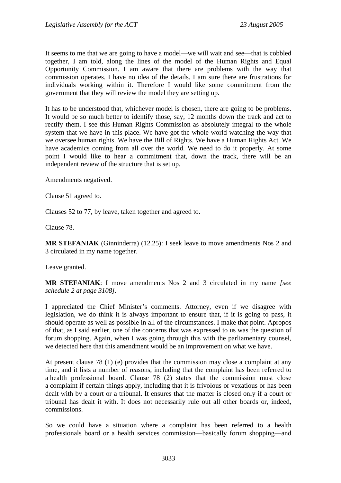It seems to me that we are going to have a model—we will wait and see—that is cobbled together, I am told, along the lines of the model of the Human Rights and Equal Opportunity Commission. I am aware that there are problems with the way that commission operates. I have no idea of the details. I am sure there are frustrations for individuals working within it. Therefore I would like some commitment from the government that they will review the model they are setting up.

It has to be understood that, whichever model is chosen, there are going to be problems. It would be so much better to identify those, say, 12 months down the track and act to rectify them. I see this Human Rights Commission as absolutely integral to the whole system that we have in this place. We have got the whole world watching the way that we oversee human rights. We have the Bill of Rights. We have a Human Rights Act. We have academics coming from all over the world. We need to do it properly. At some point I would like to hear a commitment that, down the track, there will be an independent review of the structure that is set up.

Amendments negatived.

Clause 51 agreed to.

Clauses 52 to 77, by leave, taken together and agreed to.

Clause 78.

**MR STEFANIAK** (Ginninderra) (12.25): I seek leave to move amendments Nos 2 and 3 circulated in my name together.

Leave granted.

**MR STEFANIAK**: I move amendments Nos 2 and 3 circulated in my name *[see schedule 2 at page 3108]*.

I appreciated the Chief Minister's comments. Attorney, even if we disagree with legislation, we do think it is always important to ensure that, if it is going to pass, it should operate as well as possible in all of the circumstances. I make that point. Apropos of that, as I said earlier, one of the concerns that was expressed to us was the question of forum shopping. Again, when I was going through this with the parliamentary counsel, we detected here that this amendment would be an improvement on what we have.

At present clause 78 (1) (e) provides that the commission may close a complaint at any time, and it lists a number of reasons, including that the complaint has been referred to a health professional board. Clause 78 (2) states that the commission must close a complaint if certain things apply, including that it is frivolous or vexatious or has been dealt with by a court or a tribunal. It ensures that the matter is closed only if a court or tribunal has dealt it with. It does not necessarily rule out all other boards or, indeed, commissions.

So we could have a situation where a complaint has been referred to a health professionals board or a health services commission—basically forum shopping—and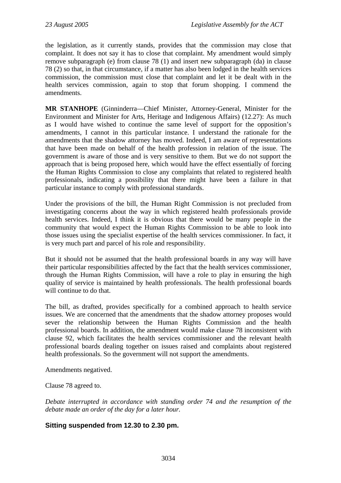the legislation, as it currently stands, provides that the commission may close that complaint. It does not say it has to close that complaint. My amendment would simply remove subparagraph (e) from clause 78 (1) and insert new subparagraph (da) in clause 78 (2) so that, in that circumstance, if a matter has also been lodged in the health services commission, the commission must close that complaint and let it be dealt with in the health services commission, again to stop that forum shopping. I commend the amendments.

**MR STANHOPE** (Ginninderra—Chief Minister, Attorney-General, Minister for the Environment and Minister for Arts, Heritage and Indigenous Affairs) (12.27): As much as I would have wished to continue the same level of support for the opposition's amendments, I cannot in this particular instance. I understand the rationale for the amendments that the shadow attorney has moved. Indeed, I am aware of representations that have been made on behalf of the health profession in relation of the issue. The government is aware of those and is very sensitive to them. But we do not support the approach that is being proposed here, which would have the effect essentially of forcing the Human Rights Commission to close any complaints that related to registered health professionals, indicating a possibility that there might have been a failure in that particular instance to comply with professional standards.

Under the provisions of the bill, the Human Right Commission is not precluded from investigating concerns about the way in which registered health professionals provide health services. Indeed, I think it is obvious that there would be many people in the community that would expect the Human Rights Commission to be able to look into those issues using the specialist expertise of the health services commissioner. In fact, it is very much part and parcel of his role and responsibility.

But it should not be assumed that the health professional boards in any way will have their particular responsibilities affected by the fact that the health services commissioner, through the Human Rights Commission, will have a role to play in ensuring the high quality of service is maintained by health professionals. The health professional boards will continue to do that.

The bill, as drafted, provides specifically for a combined approach to health service issues. We are concerned that the amendments that the shadow attorney proposes would sever the relationship between the Human Rights Commission and the health professional boards. In addition, the amendment would make clause 78 inconsistent with clause 92, which facilitates the health services commissioner and the relevant health professional boards dealing together on issues raised and complaints about registered health professionals. So the government will not support the amendments.

Amendments negatived.

Clause 78 agreed to.

*Debate interrupted in accordance with standing order 74 and the resumption of the debate made an order of the day for a later hour.* 

### **Sitting suspended from 12.30 to 2.30 pm.**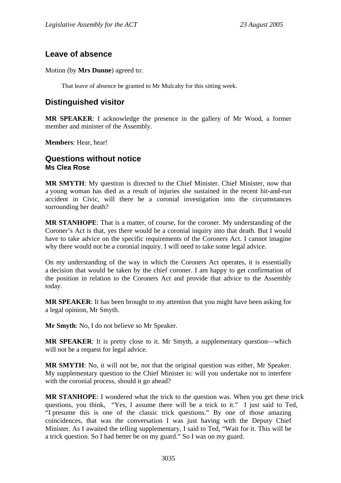# <span id="page-34-0"></span>**Leave of absence**

Motion (by **Mrs Dunne**) agreed to:

That leave of absence be granted to Mr Mulcahy for this sitting week.

## **Distinguished visitor**

**MR SPEAKER**: I acknowledge the presence in the gallery of Mr Wood, a former member and minister of the Assembly.

**Members**: Hear, hear!

### **Questions without notice Ms Clea Rose**

**MR SMYTH**: My question is directed to the Chief Minister. Chief Minister, now that a young woman has died as a result of injuries she sustained in the recent hit-and-run accident in Civic, will there be a coronial investigation into the circumstances surrounding her death?

**MR STANHOPE**: That is a matter, of course, for the coroner. My understanding of the Coroner's Act is that, yes there would be a coronial inquiry into that death. But I would have to take advice on the specific requirements of the Coroners Act. I cannot imagine why there would not be a coronial inquiry. I will need to take some legal advice.

On my understanding of the way in which the Coroners Act operates, it is essentially a decision that would be taken by the chief coroner. I am happy to get confirmation of the position in relation to the Coroners Act and provide that advice to the Assembly today.

**MR SPEAKER**: It has been brought to my attention that you might have been asking for a legal opinion, Mr Smyth.

**Mr Smyth**: No, I do not believe so Mr Speaker.

**MR SPEAKER**: It is pretty close to it. Mr Smyth, a supplementary question—which will not be a request for legal advice.

**MR SMYTH**: No, it will not be, not that the original question was either, Mr Speaker. My supplementary question to the Chief Minister is: will you undertake not to interfere with the coronial process, should it go ahead?

**MR STANHOPE**: I wondered what the trick to the question was. When you get these trick questions, you think, "Yes, I assume there will be a trick to it." I just said to Ted, "I presume this is one of the classic trick questions." By one of those amazing coincidences, that was the conversation I was just having with the Deputy Chief Minister. As I awaited the telling supplementary, I said to Ted, "Wait for it. This will be a trick question. So I had better be on my guard." So I was on my guard.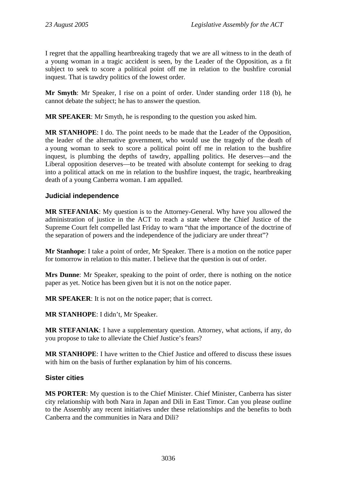<span id="page-35-0"></span>I regret that the appalling heartbreaking tragedy that we are all witness to in the death of a young woman in a tragic accident is seen, by the Leader of the Opposition, as a fit subject to seek to score a political point off me in relation to the bushfire coronial inquest. That is tawdry politics of the lowest order.

**Mr Smyth**: Mr Speaker, I rise on a point of order. Under standing order 118 (b), he cannot debate the subject; he has to answer the question.

**MR SPEAKER**: Mr Smyth, he is responding to the question you asked him.

**MR STANHOPE**: I do. The point needs to be made that the Leader of the Opposition, the leader of the alternative government, who would use the tragedy of the death of a young woman to seek to score a political point off me in relation to the bushfire inquest, is plumbing the depths of tawdry, appalling politics. He deserves—and the Liberal opposition deserves—to be treated with absolute contempt for seeking to drag into a political attack on me in relation to the bushfire inquest, the tragic, heartbreaking death of a young Canberra woman. I am appalled.

### **Judicial independence**

**MR STEFANIAK**: My question is to the Attorney-General. Why have you allowed the administration of justice in the ACT to reach a state where the Chief Justice of the Supreme Court felt compelled last Friday to warn "that the importance of the doctrine of the separation of powers and the independence of the judiciary are under threat"?

**Mr Stanhope**: I take a point of order, Mr Speaker. There is a motion on the notice paper for tomorrow in relation to this matter. I believe that the question is out of order.

**Mrs Dunne**: Mr Speaker, speaking to the point of order, there is nothing on the notice paper as yet. Notice has been given but it is not on the notice paper.

**MR SPEAKER**: It is not on the notice paper; that is correct.

**MR STANHOPE**: I didn't, Mr Speaker.

**MR STEFANIAK**: I have a supplementary question. Attorney, what actions, if any, do you propose to take to alleviate the Chief Justice's fears?

**MR STANHOPE**: I have written to the Chief Justice and offered to discuss these issues with him on the basis of further explanation by him of his concerns.

#### **Sister cities**

**MS PORTER**: My question is to the Chief Minister. Chief Minister, Canberra has sister city relationship with both Nara in Japan and Dili in East Timor. Can you please outline to the Assembly any recent initiatives under these relationships and the benefits to both Canberra and the communities in Nara and Dili?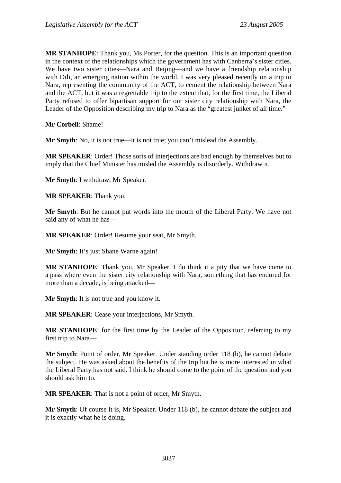**MR STANHOPE**: Thank you, Ms Porter, for the question. This is an important question in the context of the relationships which the government has with Canberra's sister cities. We have two sister cities—Nara and Beijing—and we have a friendship relationship with Dili, an emerging nation within the world. I was very pleased recently on a trip to Nara, representing the community of the ACT, to cement the relationship between Nara and the ACT, but it was a regrettable trip to the extent that, for the first time, the Liberal Party refused to offer bipartisan support for our sister city relationship with Nara, the Leader of the Opposition describing my trip to Nara as the "greatest junket of all time."

**Mr Corbell**: Shame!

**Mr Smyth**: No, it is not true—it is not true; you can't mislead the Assembly.

**MR SPEAKER**: Order! Those sorts of interjections are bad enough by themselves but to imply that the Chief Minister has misled the Assembly is disorderly. Withdraw it.

**Mr Smyth**: I withdraw, Mr Speaker.

**MR SPEAKER**: Thank you.

**Mr Smyth**: But he cannot put words into the mouth of the Liberal Party. We have not said any of what he has—

**MR SPEAKER**: Order! Resume your seat, Mr Smyth.

**Mr Smyth**: It's just Shane Warne again!

**MR STANHOPE**: Thank you, Mr Speaker. I do think it a pity that we have come to a pass where even the sister city relationship with Nara, something that has endured for more than a decade, is being attacked—

**Mr Smyth**: It is not true and you know it.

**MR SPEAKER**: Cease your interjections, Mr Smyth.

**MR STANHOPE**: for the first time by the Leader of the Opposition, referring to my first trip to Nara—

**Mr Smyth**: Point of order, Mr Speaker. Under standing order 118 (b), he cannot debate the subject. He was asked about the benefits of the trip but he is more interested in what the Liberal Party has not said. I think he should come to the point of the question and you should ask him to.

**MR SPEAKER**: That is not a point of order, Mr Smyth.

**Mr Smyth**: Of course it is, Mr Speaker. Under 118 (b), he cannot debate the subject and it is exactly what he is doing.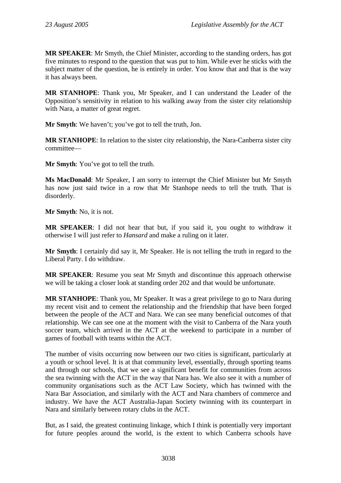**MR SPEAKER**: Mr Smyth, the Chief Minister, according to the standing orders, has got five minutes to respond to the question that was put to him. While ever he sticks with the subject matter of the question, he is entirely in order. You know that and that is the way it has always been.

**MR STANHOPE**: Thank you, Mr Speaker, and I can understand the Leader of the Opposition's sensitivity in relation to his walking away from the sister city relationship with Nara, a matter of great regret.

**Mr Smyth**: We haven't; you've got to tell the truth, Jon.

**MR STANHOPE**: In relation to the sister city relationship, the Nara-Canberra sister city committee—

**Mr Smyth**: You've got to tell the truth.

**Ms MacDonald**: Mr Speaker, I am sorry to interrupt the Chief Minister but Mr Smyth has now just said twice in a row that Mr Stanhope needs to tell the truth. That is disorderly.

**Mr Smyth**: No, it is not.

**MR SPEAKER**: I did not hear that but, if you said it, you ought to withdraw it otherwise I will just refer to *Hansard* and make a ruling on it later.

**Mr Smyth**: I certainly did say it, Mr Speaker. He is not telling the truth in regard to the Liberal Party. I do withdraw.

**MR SPEAKER**: Resume you seat Mr Smyth and discontinue this approach otherwise we will be taking a closer look at standing order 202 and that would be unfortunate.

**MR STANHOPE**: Thank you, Mr Speaker. It was a great privilege to go to Nara during my recent visit and to cement the relationship and the friendship that have been forged between the people of the ACT and Nara. We can see many beneficial outcomes of that relationship. We can see one at the moment with the visit to Canberra of the Nara youth soccer team, which arrived in the ACT at the weekend to participate in a number of games of football with teams within the ACT.

The number of visits occurring now between our two cities is significant, particularly at a youth or school level. It is at that community level, essentially, through sporting teams and through our schools, that we see a significant benefit for communities from across the sea twinning with the ACT in the way that Nara has. We also see it with a number of community organisations such as the ACT Law Society, which has twinned with the Nara Bar Association, and similarly with the ACT and Nara chambers of commerce and industry. We have the ACT Australia-Japan Society twinning with its counterpart in Nara and similarly between rotary clubs in the ACT.

But, as I said, the greatest continuing linkage, which I think is potentially very important for future peoples around the world, is the extent to which Canberra schools have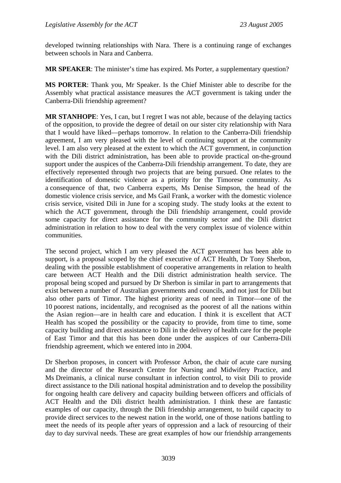developed twinning relationships with Nara. There is a continuing range of exchanges between schools in Nara and Canberra.

**MR SPEAKER**: The minister's time has expired. Ms Porter, a supplementary question?

**MS PORTER**: Thank you, Mr Speaker. Is the Chief Minister able to describe for the Assembly what practical assistance measures the ACT government is taking under the Canberra-Dili friendship agreement?

**MR STANHOPE**: Yes, I can, but I regret I was not able, because of the delaying tactics of the opposition, to provide the degree of detail on our sister city relationship with Nara that I would have liked—perhaps tomorrow. In relation to the Canberra-Dili friendship agreement, I am very pleased with the level of continuing support at the community level. I am also very pleased at the extent to which the ACT government, in conjunction with the Dili district administration, has been able to provide practical on-the-ground support under the auspices of the Canberra-Dili friendship arrangement. To date, they are effectively represented through two projects that are being pursued. One relates to the identification of domestic violence as a priority for the Timorese community. As a consequence of that, two Canberra experts, Ms Denise Simpson, the head of the domestic violence crisis service, and Ms Gail Frank, a worker with the domestic violence crisis service, visited Dili in June for a scoping study. The study looks at the extent to which the ACT government, through the Dili friendship arrangement, could provide some capacity for direct assistance for the community sector and the Dili district administration in relation to how to deal with the very complex issue of violence within communities.

The second project, which I am very pleased the ACT government has been able to support, is a proposal scoped by the chief executive of ACT Health, Dr Tony Sherbon, dealing with the possible establishment of cooperative arrangements in relation to health care between ACT Health and the Dili district administration health service. The proposal being scoped and pursued by Dr Sherbon is similar in part to arrangements that exist between a number of Australian governments and councils, and not just for Dili but also other parts of Timor. The highest priority areas of need in Timor—one of the 10 poorest nations, incidentally, and recognised as the poorest of all the nations within the Asian region—are in health care and education. I think it is excellent that ACT Health has scoped the possibility or the capacity to provide, from time to time, some capacity building and direct assistance to Dili in the delivery of health care for the people of East Timor and that this has been done under the auspices of our Canberra-Dili friendship agreement, which we entered into in 2004.

Dr Sherbon proposes, in concert with Professor Arbon, the chair of acute care nursing and the director of the Research Centre for Nursing and Midwifery Practice, and Ms Dreimanis, a clinical nurse consultant in infection control, to visit Dili to provide direct assistance to the Dili national hospital administration and to develop the possibility for ongoing health care delivery and capacity building between officers and officials of ACT Health and the Dili district health administration. I think these are fantastic examples of our capacity, through the Dili friendship arrangement, to build capacity to provide direct services to the newest nation in the world, one of those nations battling to meet the needs of its people after years of oppression and a lack of resourcing of their day to day survival needs. These are great examples of how our friendship arrangements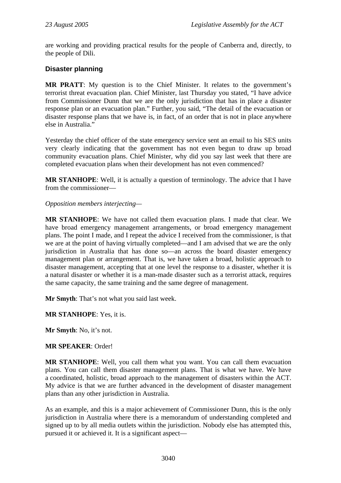are working and providing practical results for the people of Canberra and, directly, to the people of Dili.

### **Disaster planning**

**MR PRATT**: My question is to the Chief Minister. It relates to the government's terrorist threat evacuation plan. Chief Minister, last Thursday you stated, "I have advice from Commissioner Dunn that we are the only jurisdiction that has in place a disaster response plan or an evacuation plan." Further, you said, "The detail of the evacuation or disaster response plans that we have is, in fact, of an order that is not in place anywhere else in Australia."

Yesterday the chief officer of the state emergency service sent an email to his SES units very clearly indicating that the government has not even begun to draw up broad community evacuation plans. Chief Minister, why did you say last week that there are completed evacuation plans when their development has not even commenced?

**MR STANHOPE**: Well, it is actually a question of terminology. The advice that I have from the commissioner—

*Opposition members interjecting—* 

**MR STANHOPE**: We have not called them evacuation plans. I made that clear. We have broad emergency management arrangements, or broad emergency management plans. The point I made, and I repeat the advice I received from the commissioner, is that we are at the point of having virtually completed—and I am advised that we are the only jurisdiction in Australia that has done so—an across the board disaster emergency management plan or arrangement. That is, we have taken a broad, holistic approach to disaster management, accepting that at one level the response to a disaster, whether it is a natural disaster or whether it is a man-made disaster such as a terrorist attack, requires the same capacity, the same training and the same degree of management.

**Mr Smyth**: That's not what you said last week.

**MR STANHOPE**: Yes, it is.

**Mr Smyth**: No, it's not.

### **MR SPEAKER**: Order!

**MR STANHOPE**: Well, you call them what you want. You can call them evacuation plans. You can call them disaster management plans. That is what we have. We have a coordinated, holistic, broad approach to the management of disasters within the ACT. My advice is that we are further advanced in the development of disaster management plans than any other jurisdiction in Australia.

As an example, and this is a major achievement of Commissioner Dunn, this is the only jurisdiction in Australia where there is a memorandum of understanding completed and signed up to by all media outlets within the jurisdiction. Nobody else has attempted this, pursued it or achieved it. It is a significant aspect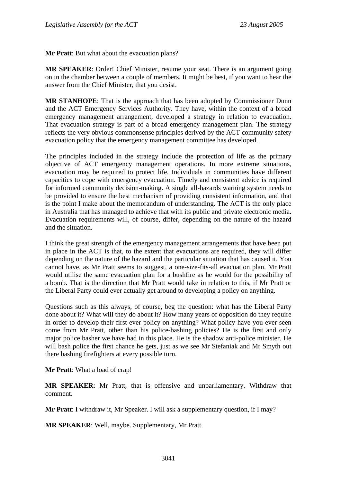**Mr Pratt**: But what about the evacuation plans?

**MR SPEAKER**: Order! Chief Minister, resume your seat. There is an argument going on in the chamber between a couple of members. It might be best, if you want to hear the answer from the Chief Minister, that you desist.

**MR STANHOPE**: That is the approach that has been adopted by Commissioner Dunn and the ACT Emergency Services Authority. They have, within the context of a broad emergency management arrangement, developed a strategy in relation to evacuation. That evacuation strategy is part of a broad emergency management plan. The strategy reflects the very obvious commonsense principles derived by the ACT community safety evacuation policy that the emergency management committee has developed.

The principles included in the strategy include the protection of life as the primary objective of ACT emergency management operations. In more extreme situations, evacuation may be required to protect life. Individuals in communities have different capacities to cope with emergency evacuation. Timely and consistent advice is required for informed community decision-making. A single all-hazards warning system needs to be provided to ensure the best mechanism of providing consistent information, and that is the point I make about the memorandum of understanding. The ACT is the only place in Australia that has managed to achieve that with its public and private electronic media. Evacuation requirements will, of course, differ, depending on the nature of the hazard and the situation.

I think the great strength of the emergency management arrangements that have been put in place in the ACT is that, to the extent that evacuations are required, they will differ depending on the nature of the hazard and the particular situation that has caused it. You cannot have, as Mr Pratt seems to suggest, a one-size-fits-all evacuation plan. Mr Pratt would utilise the same evacuation plan for a bushfire as he would for the possibility of a bomb. That is the direction that Mr Pratt would take in relation to this, if Mr Pratt or the Liberal Party could ever actually get around to developing a policy on anything.

Questions such as this always, of course, beg the question: what has the Liberal Party done about it? What will they do about it? How many years of opposition do they require in order to develop their first ever policy on anything? What policy have you ever seen come from Mr Pratt, other than his police-bashing policies? He is the first and only major police basher we have had in this place. He is the shadow anti-police minister. He will bash police the first chance he gets, just as we see Mr Stefaniak and Mr Smyth out there bashing firefighters at every possible turn.

**Mr Pratt**: What a load of crap!

**MR SPEAKER**: Mr Pratt, that is offensive and unparliamentary. Withdraw that comment.

**Mr Pratt**: I withdraw it, Mr Speaker. I will ask a supplementary question, if I may?

**MR SPEAKER**: Well, maybe. Supplementary, Mr Pratt.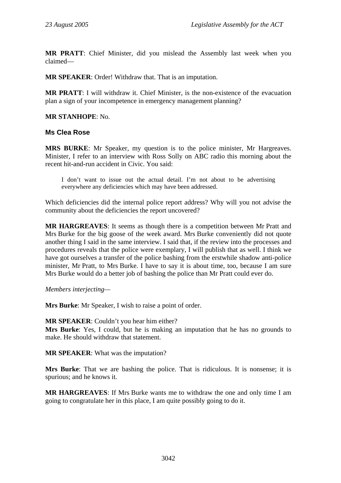**MR PRATT**: Chief Minister, did you mislead the Assembly last week when you claimed—

**MR SPEAKER**: Order! Withdraw that. That is an imputation.

**MR PRATT**: I will withdraw it. Chief Minister, is the non-existence of the evacuation plan a sign of your incompetence in emergency management planning?

**MR STANHOPE**: No.

#### **Ms Clea Rose**

**MRS BURKE**: Mr Speaker, my question is to the police minister, Mr Hargreaves. Minister, I refer to an interview with Ross Solly on ABC radio this morning about the recent hit-and-run accident in Civic. You said:

I don't want to issue out the actual detail. I'm not about to be advertising everywhere any deficiencies which may have been addressed.

Which deficiencies did the internal police report address? Why will you not advise the community about the deficiencies the report uncovered?

**MR HARGREAVES**: It seems as though there is a competition between Mr Pratt and Mrs Burke for the big goose of the week award. Mrs Burke conveniently did not quote another thing I said in the same interview. I said that, if the review into the processes and procedures reveals that the police were exemplary, I will publish that as well. I think we have got ourselves a transfer of the police bashing from the erstwhile shadow anti-police minister, Mr Pratt, to Mrs Burke. I have to say it is about time, too, because I am sure Mrs Burke would do a better job of bashing the police than Mr Pratt could ever do.

*Members interjecting—* 

**Mrs Burke**: Mr Speaker, I wish to raise a point of order.

**MR SPEAKER**: Couldn't you hear him either?

**Mrs Burke**: Yes, I could, but he is making an imputation that he has no grounds to make. He should withdraw that statement.

**MR SPEAKER**: What was the imputation?

**Mrs Burke**: That we are bashing the police. That is ridiculous. It is nonsense; it is spurious; and he knows it.

**MR HARGREAVES**: If Mrs Burke wants me to withdraw the one and only time I am going to congratulate her in this place, I am quite possibly going to do it.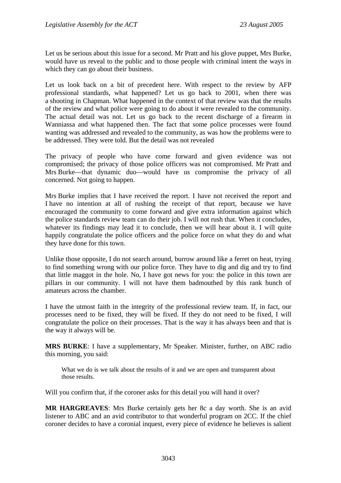Let us be serious about this issue for a second. Mr Pratt and his glove puppet, Mrs Burke, would have us reveal to the public and to those people with criminal intent the ways in which they can go about their business.

Let us look back on a bit of precedent here. With respect to the review by AFP professional standards, what happened? Let us go back to 2001, when there was a shooting in Chapman. What happened in the context of that review was that the results of the review and what police were going to do about it were revealed to the community. The actual detail was not. Let us go back to the recent discharge of a firearm in Wanniassa and what happened then. The fact that some police processes were found wanting was addressed and revealed to the community, as was how the problems were to be addressed. They were told. But the detail was not revealed

The privacy of people who have come forward and given evidence was not compromised; the privacy of those police officers was not compromised. Mr Pratt and Mrs Burke—that dynamic duo—would have us compromise the privacy of all concerned. Not going to happen.

Mrs Burke implies that I have received the report. I have not received the report and I have no intention at all of rushing the receipt of that report, because we have encouraged the community to come forward and give extra information against which the police standards review team can do their job. I will not rush that. When it concludes, whatever its findings may lead it to conclude, then we will hear about it. I will quite happily congratulate the police officers and the police force on what they do and what they have done for this town.

Unlike those opposite, I do not search around, burrow around like a ferret on heat, trying to find something wrong with our police force. They have to dig and dig and try to find that little maggot in the hole. No, I have got news for you: the police in this town are pillars in our community. I will not have them badmouthed by this rank bunch of amateurs across the chamber.

I have the utmost faith in the integrity of the professional review team. If, in fact, our processes need to be fixed, they will be fixed. If they do not need to be fixed, I will congratulate the police on their processes. That is the way it has always been and that is the way it always will be.

**MRS BURKE**: I have a supplementary, Mr Speaker. Minister, further, on ABC radio this morning, you said:

What we do is we talk about the results of it and we are open and transparent about those results.

Will you confirm that, if the coroner asks for this detail you will hand it over?

**MR HARGREAVES**: Mrs Burke certainly gets her 8c a day worth. She is an avid listener to ABC and an avid contributor to that wonderful program on 2CC. If the chief coroner decides to have a coronial inquest, every piece of evidence he believes is salient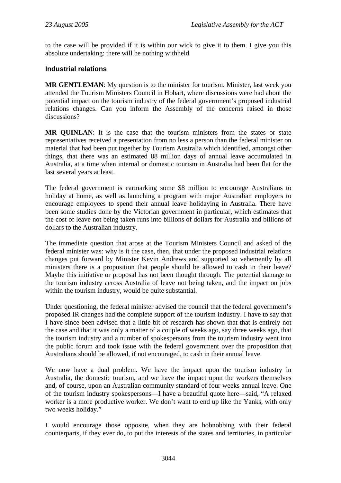to the case will be provided if it is within our wick to give it to them. I give you this absolute undertaking: there will be nothing withheld.

### **Industrial relations**

**MR GENTLEMAN**: My question is to the minister for tourism. Minister, last week you attended the Tourism Ministers Council in Hobart, where discussions were had about the potential impact on the tourism industry of the federal government's proposed industrial relations changes. Can you inform the Assembly of the concerns raised in those discussions?

**MR QUINLAN**: It is the case that the tourism ministers from the states or state representatives received a presentation from no less a person than the federal minister on material that had been put together by Tourism Australia which identified, amongst other things, that there was an estimated 88 million days of annual leave accumulated in Australia, at a time when internal or domestic tourism in Australia had been flat for the last several years at least.

The federal government is earmarking some \$8 million to encourage Australians to holiday at home, as well as launching a program with major Australian employers to encourage employees to spend their annual leave holidaying in Australia. There have been some studies done by the Victorian government in particular, which estimates that the cost of leave not being taken runs into billions of dollars for Australia and billions of dollars to the Australian industry.

The immediate question that arose at the Tourism Ministers Council and asked of the federal minister was: why is it the case, then, that under the proposed industrial relations changes put forward by Minister Kevin Andrews and supported so vehemently by all ministers there is a proposition that people should be allowed to cash in their leave? Maybe this initiative or proposal has not been thought through. The potential damage to the tourism industry across Australia of leave not being taken, and the impact on jobs within the tourism industry, would be quite substantial.

Under questioning, the federal minister advised the council that the federal government's proposed IR changes had the complete support of the tourism industry. I have to say that I have since been advised that a little bit of research has shown that that is entirely not the case and that it was only a matter of a couple of weeks ago, say three weeks ago, that the tourism industry and a number of spokespersons from the tourism industry went into the public forum and took issue with the federal government over the proposition that Australians should be allowed, if not encouraged, to cash in their annual leave.

We now have a dual problem. We have the impact upon the tourism industry in Australia, the domestic tourism, and we have the impact upon the workers themselves and, of course, upon an Australian community standard of four weeks annual leave. One of the tourism industry spokespersons—I have a beautiful quote here—said, "A relaxed worker is a more productive worker. We don't want to end up like the Yanks, with only two weeks holiday."

I would encourage those opposite, when they are hobnobbing with their federal counterparts, if they ever do, to put the interests of the states and territories, in particular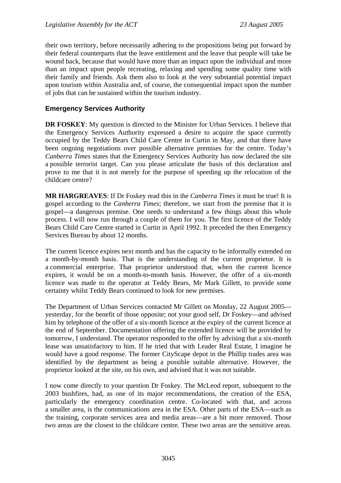their own territory, before necessarily adhering to the propositions being put forward by their federal counterparts that the leave entitlement and the leave that people will take be wound back, because that would have more than an impact upon the individual and more than an impact upon people recreating, relaxing and spending some quality time with their family and friends. Ask them also to look at the very substantial potential impact upon tourism within Australia and, of course, the consequential impact upon the number of jobs that can be sustained within the tourism industry.

### **Emergency Services Authority**

**DR FOSKEY**: My question is directed to the Minister for Urban Services. I believe that the Emergency Services Authority expressed a desire to acquire the space currently occupied by the Teddy Bears Child Care Centre in Curtin in May, and that there have been ongoing negotiations over possible alternative premises for the centre. Today's *Canberra Times* states that the Emergency Services Authority has now declared the site a possible terrorist target. Can you please articulate the basis of this declaration and prove to me that it is not merely for the purpose of speeding up the relocation of the childcare centre?

**MR HARGREAVES**: If Dr Foskey read this in the *Canberra Times* it must be true! It is gospel according to the *Canberra Times*; therefore, we start from the premise that it is gospel—a dangerous premise. One needs to understand a few things about this whole process. I will now run through a couple of them for you. The first licence of the Teddy Bears Child Care Centre started in Curtin in April 1992. It preceded the then Emergency Services Bureau by about 12 months.

The current licence expires next month and has the capacity to be informally extended on a month-by-month basis. That is the understanding of the current proprietor. It is a commercial enterprise. That proprietor understood that, when the current licence expires, it would be on a month-to-month basis. However, the offer of a six-month licence was made to the operator at Teddy Bears, Mr Mark Gillett, to provide some certainty whilst Teddy Bears continued to look for new premises.

The Department of Urban Services contacted Mr Gillett on Monday, 22 August 2005 yesterday, for the benefit of those opposite; not your good self, Dr Foskey—and advised him by telephone of the offer of a six-month licence at the expiry of the current licence at the end of September. Documentation offering the extended licence will be provided by tomorrow, I understand. The operator responded to the offer by advising that a six-month lease was unsatisfactory to him. If he tried that with Leader Real Estate, I imagine he would have a good response. The former CityScape depot in the Phillip trades area was identified by the department as being a possible suitable alternative. However, the proprietor looked at the site, on his own, and advised that it was not suitable.

I now come directly to your question Dr Foskey. The McLeod report, subsequent to the 2003 bushfires, had, as one of its major recommendations, the creation of the ESA, particularly the emergency coordination centre. Co-located with that, and across a smaller area, is the communications area in the ESA. Other parts of the ESA—such as the training, corporate services area and media areas—are a bit more removed. Those two areas are the closest to the childcare centre. These two areas are the sensitive areas.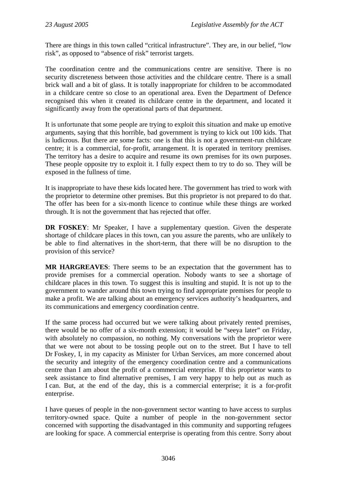There are things in this town called "critical infrastructure". They are, in our belief, "low risk", as opposed to "absence of risk" terrorist targets.

The coordination centre and the communications centre are sensitive. There is no security discreteness between those activities and the childcare centre. There is a small brick wall and a bit of glass. It is totally inappropriate for children to be accommodated in a childcare centre so close to an operational area. Even the Department of Defence recognised this when it created its childcare centre in the department, and located it significantly away from the operational parts of that department.

It is unfortunate that some people are trying to exploit this situation and make up emotive arguments, saying that this horrible, bad government is trying to kick out 100 kids. That is ludicrous. But there are some facts: one is that this is not a government-run childcare centre; it is a commercial, for-profit, arrangement. It is operated in territory premises. The territory has a desire to acquire and resume its own premises for its own purposes. These people opposite try to exploit it. I fully expect them to try to do so. They will be exposed in the fullness of time.

It is inappropriate to have these kids located here. The government has tried to work with the proprietor to determine other premises. But this proprietor is not prepared to do that. The offer has been for a six-month licence to continue while these things are worked through. It is not the government that has rejected that offer.

**DR FOSKEY**: Mr Speaker, I have a supplementary question. Given the desperate shortage of childcare places in this town, can you assure the parents, who are unlikely to be able to find alternatives in the short-term, that there will be no disruption to the provision of this service?

**MR HARGREAVES**: There seems to be an expectation that the government has to provide premises for a commercial operation. Nobody wants to see a shortage of childcare places in this town. To suggest this is insulting and stupid. It is not up to the government to wander around this town trying to find appropriate premises for people to make a profit. We are talking about an emergency services authority's headquarters, and its communications and emergency coordination centre.

If the same process had occurred but we were talking about privately rented premises, there would be no offer of a six-month extension; it would be "seeya later" on Friday, with absolutely no compassion, no nothing. My conversations with the proprietor were that we were not about to be tossing people out on to the street. But I have to tell Dr Foskey, I, in my capacity as Minister for Urban Services, am more concerned about the security and integrity of the emergency coordination centre and a communications centre than I am about the profit of a commercial enterprise. If this proprietor wants to seek assistance to find alternative premises, I am very happy to help out as much as I can. But, at the end of the day, this is a commercial enterprise; it is a for-profit enterprise.

I have queues of people in the non-government sector wanting to have access to surplus territory-owned space. Quite a number of people in the non-government sector concerned with supporting the disadvantaged in this community and supporting refugees are looking for space. A commercial enterprise is operating from this centre. Sorry about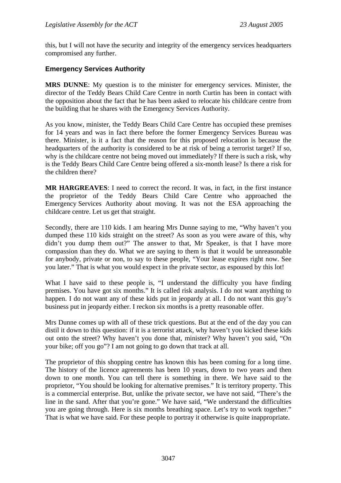this, but I will not have the security and integrity of the emergency services headquarters compromised any further.

### **Emergency Services Authority**

**MRS DUNNE**: My question is to the minister for emergency services. Minister, the director of the Teddy Bears Child Care Centre in north Curtin has been in contact with the opposition about the fact that he has been asked to relocate his childcare centre from the building that he shares with the Emergency Services Authority.

As you know, minister, the Teddy Bears Child Care Centre has occupied these premises for 14 years and was in fact there before the former Emergency Services Bureau was there. Minister, is it a fact that the reason for this proposed relocation is because the headquarters of the authority is considered to be at risk of being a terrorist target? If so, why is the childcare centre not being moved out immediately? If there is such a risk, why is the Teddy Bears Child Care Centre being offered a six-month lease? Is there a risk for the children there?

**MR HARGREAVES**: I need to correct the record. It was, in fact, in the first instance the proprietor of the Teddy Bears Child Care Centre who approached the Emergency Services Authority about moving. It was not the ESA approaching the childcare centre. Let us get that straight.

Secondly, there are 110 kids. I am hearing Mrs Dunne saying to me, "Why haven't you dumped these 110 kids straight on the street? As soon as you were aware of this, why didn't you dump them out?" The answer to that, Mr Speaker, is that I have more compassion than they do. What we are saying to them is that it would be unreasonable for anybody, private or non, to say to these people, "Your lease expires right now. See you later." That is what you would expect in the private sector, as espoused by this lot!

What I have said to these people is, "I understand the difficulty you have finding premises. You have got six months." It is called risk analysis. I do not want anything to happen. I do not want any of these kids put in jeopardy at all. I do not want this guy's business put in jeopardy either. I reckon six months is a pretty reasonable offer.

Mrs Dunne comes up with all of these trick questions. But at the end of the day you can distil it down to this question: if it is a terrorist attack, why haven't you kicked these kids out onto the street? Why haven't you done that, minister? Why haven't you said, "On your bike; off you go"? I am not going to go down that track at all.

The proprietor of this shopping centre has known this has been coming for a long time. The history of the licence agreements has been 10 years, down to two years and then down to one month. You can tell there is something in there. We have said to the proprietor, "You should be looking for alternative premises." It is territory property. This is a commercial enterprise. But, unlike the private sector, we have not said, "There's the line in the sand. After that you're gone." We have said, "We understand the difficulties you are going through. Here is six months breathing space. Let's try to work together." That is what we have said. For these people to portray it otherwise is quite inappropriate.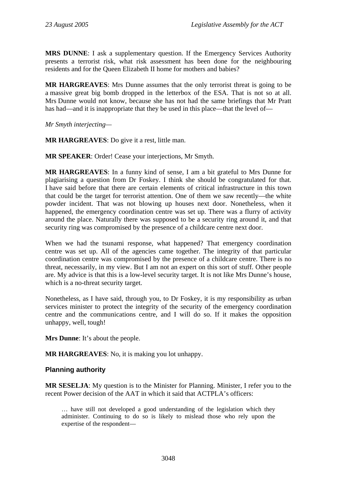**MRS DUNNE**: I ask a supplementary question. If the Emergency Services Authority presents a terrorist risk, what risk assessment has been done for the neighbouring residents and for the Queen Elizabeth II home for mothers and babies?

**MR HARGREAVES**: Mrs Dunne assumes that the only terrorist threat is going to be a massive great big bomb dropped in the letterbox of the ESA. That is not so at all. Mrs Dunne would not know, because she has not had the same briefings that Mr Pratt has had—and it is inappropriate that they be used in this place—that the level of—

*Mr Smyth interjecting—* 

**MR HARGREAVES**: Do give it a rest, little man.

**MR SPEAKER**: Order! Cease your interjections, Mr Smyth.

**MR HARGREAVES**: In a funny kind of sense, I am a bit grateful to Mrs Dunne for plagiarising a question from Dr Foskey. I think she should be congratulated for that. I have said before that there are certain elements of critical infrastructure in this town that could be the target for terrorist attention. One of them we saw recently—the white powder incident. That was not blowing up houses next door. Nonetheless, when it happened, the emergency coordination centre was set up. There was a flurry of activity around the place. Naturally there was supposed to be a security ring around it, and that security ring was compromised by the presence of a childcare centre next door.

When we had the tsunami response, what happened? That emergency coordination centre was set up. All of the agencies came together. The integrity of that particular coordination centre was compromised by the presence of a childcare centre. There is no threat, necessarily, in my view. But I am not an expert on this sort of stuff. Other people are. My advice is that this is a low-level security target. It is not like Mrs Dunne's house, which is a no-threat security target.

Nonetheless, as I have said, through you, to Dr Foskey, it is my responsibility as urban services minister to protect the integrity of the security of the emergency coordination centre and the communications centre, and I will do so. If it makes the opposition unhappy, well, tough!

**Mrs Dunne**: It's about the people.

**MR HARGREAVES**: No, it is making you lot unhappy.

### **Planning authority**

**MR SESELJA**: My question is to the Minister for Planning. Minister, I refer you to the recent Power decision of the AAT in which it said that ACTPLA's officers:

… have still not developed a good understanding of the legislation which they administer. Continuing to do so is likely to mislead those who rely upon the expertise of the respondent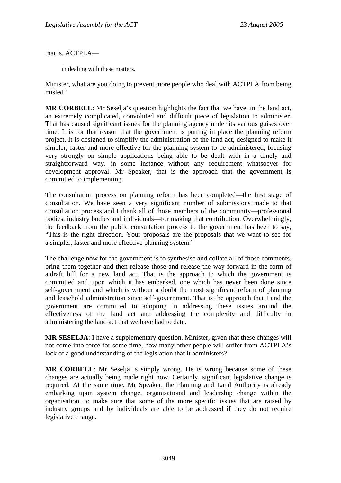that is, ACTPLA—

in dealing with these matters.

Minister, what are you doing to prevent more people who deal with ACTPLA from being misled?

**MR CORBELL**: Mr Seselja's question highlights the fact that we have, in the land act, an extremely complicated, convoluted and difficult piece of legislation to administer. That has caused significant issues for the planning agency under its various guises over time. It is for that reason that the government is putting in place the planning reform project. It is designed to simplify the administration of the land act, designed to make it simpler, faster and more effective for the planning system to be administered, focusing very strongly on simple applications being able to be dealt with in a timely and straightforward way, in some instance without any requirement whatsoever for development approval. Mr Speaker, that is the approach that the government is committed to implementing.

The consultation process on planning reform has been completed—the first stage of consultation. We have seen a very significant number of submissions made to that consultation process and I thank all of those members of the community—professional bodies, industry bodies and individuals—for making that contribution. Overwhelmingly, the feedback from the public consultation process to the government has been to say, "This is the right direction. Your proposals are the proposals that we want to see for a simpler, faster and more effective planning system."

The challenge now for the government is to synthesise and collate all of those comments, bring them together and then release those and release the way forward in the form of a draft bill for a new land act. That is the approach to which the government is committed and upon which it has embarked, one which has never been done since self-government and which is without a doubt the most significant reform of planning and leasehold administration since self-government. That is the approach that I and the government are committed to adopting in addressing these issues around the effectiveness of the land act and addressing the complexity and difficulty in administering the land act that we have had to date.

**MR SESELJA**: I have a supplementary question. Minister, given that these changes will not come into force for some time, how many other people will suffer from ACTPLA's lack of a good understanding of the legislation that it administers?

**MR CORBELL**: Mr Seselja is simply wrong. He is wrong because some of these changes are actually being made right now. Certainly, significant legislative change is required. At the same time, Mr Speaker, the Planning and Land Authority is already embarking upon system change, organisational and leadership change within the organisation, to make sure that some of the more specific issues that are raised by industry groups and by individuals are able to be addressed if they do not require legislative change.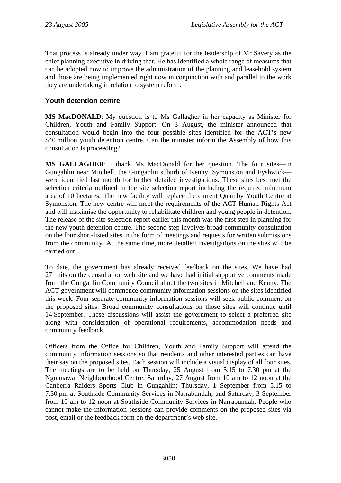That process is already under way. I am grateful for the leadership of Mr Savery as the chief planning executive in driving that. He has identified a whole range of measures that can be adopted now to improve the administration of the planning and leasehold system and those are being implemented right now in conjunction with and parallel to the work they are undertaking in relation to system reform.

### **Youth detention centre**

**MS MacDONALD**: My question is to Ms Gallagher in her capacity as Minister for Children, Youth and Family Support. On 3 August, the minister announced that consultation would begin into the four possible sites identified for the ACT's new \$40 million youth detention centre. Can the minister inform the Assembly of how this consultation is proceeding?

**MS GALLAGHER**: I thank Ms MacDonald for her question. The four sites—in Gungahlin near Mitchell, the Gungahlin suburb of Kenny, Symonston and Fyshwick were identified last month for further detailed investigations. These sites best met the selection criteria outlined in the site selection report including the required minimum area of 10 hectares. The new facility will replace the current Quamby Youth Centre at Symonston. The new centre will meet the requirements of the ACT Human Rights Act and will maximise the opportunity to rehabilitate children and young people in detention. The release of the site selection report earlier this month was the first step in planning for the new youth detention centre. The second step involves broad community consultation on the four short-listed sites in the form of meetings and requests for written submissions from the community. At the same time, more detailed investigations on the sites will be carried out.

To date, the government has already received feedback on the sites. We have had 271 hits on the consultation web site and we have had initial supportive comments made from the Gungahlin Community Council about the two sites in Mitchell and Kenny. The ACT government will commence community information sessions on the sites identified this week. Four separate community information sessions will seek public comment on the proposed sites. Broad community consultations on those sites will continue until 14 September. These discussions will assist the government to select a preferred site along with consideration of operational requirements, accommodation needs and community feedback.

Officers from the Office for Children, Youth and Family Support will attend the community information sessions so that residents and other interested parties can have their say on the proposed sites. Each session will include a visual display of all four sites. The meetings are to be held on Thursday, 25 August from 5.15 to 7.30 pm at the Ngunnawal Neighbourhood Centre; Saturday, 27 August from 10 am to 12 noon at the Canberra Raiders Sports Club in Gungahlin; Thursday, 1 September from 5.15 to 7.30 pm at Southside Community Services in Narrabundah; and Saturday, 3 September from 10 am to 12 noon at Southside Community Services in Narrabundah. People who cannot make the information sessions can provide comments on the proposed sites via post, email or the feedback form on the department's web site.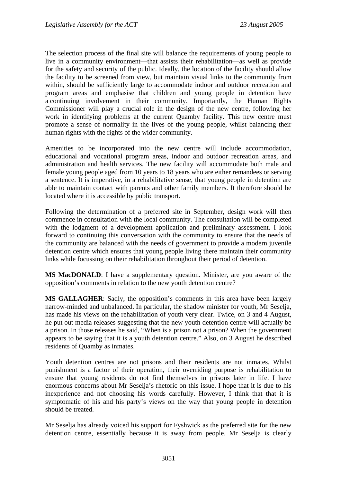The selection process of the final site will balance the requirements of young people to live in a community environment—that assists their rehabilitation—as well as provide for the safety and security of the public. Ideally, the location of the facility should allow the facility to be screened from view, but maintain visual links to the community from within, should be sufficiently large to accommodate indoor and outdoor recreation and program areas and emphasise that children and young people in detention have a continuing involvement in their community. Importantly, the Human Rights Commissioner will play a crucial role in the design of the new centre, following her work in identifying problems at the current Quamby facility. This new centre must promote a sense of normality in the lives of the young people, whilst balancing their human rights with the rights of the wider community.

Amenities to be incorporated into the new centre will include accommodation, educational and vocational program areas, indoor and outdoor recreation areas, and administration and health services. The new facility will accommodate both male and female young people aged from 10 years to 18 years who are either remandees or serving a sentence. It is imperative, in a rehabilitative sense, that young people in detention are able to maintain contact with parents and other family members. It therefore should be located where it is accessible by public transport.

Following the determination of a preferred site in September, design work will then commence in consultation with the local community. The consultation will be completed with the lodgment of a development application and preliminary assessment. I look forward to continuing this conversation with the community to ensure that the needs of the community are balanced with the needs of government to provide a modern juvenile detention centre which ensures that young people living there maintain their community links while focussing on their rehabilitation throughout their period of detention.

**MS MacDONALD**: I have a supplementary question. Minister, are you aware of the opposition's comments in relation to the new youth detention centre?

**MS GALLAGHER**: Sadly, the opposition's comments in this area have been largely narrow-minded and unbalanced. In particular, the shadow minister for youth, Mr Seselja, has made his views on the rehabilitation of youth very clear. Twice, on 3 and 4 August, he put out media releases suggesting that the new youth detention centre will actually be a prison. In those releases he said, "When is a prison not a prison? When the government appears to be saying that it is a youth detention centre." Also, on 3 August he described residents of Quamby as inmates.

Youth detention centres are not prisons and their residents are not inmates. Whilst punishment is a factor of their operation, their overriding purpose is rehabilitation to ensure that young residents do not find themselves in prisons later in life. I have enormous concerns about Mr Seselja's rhetoric on this issue. I hope that it is due to his inexperience and not choosing his words carefully. However, I think that that it is symptomatic of his and his party's views on the way that young people in detention should be treated.

Mr Seselja has already voiced his support for Fyshwick as the preferred site for the new detention centre, essentially because it is away from people. Mr Seselja is clearly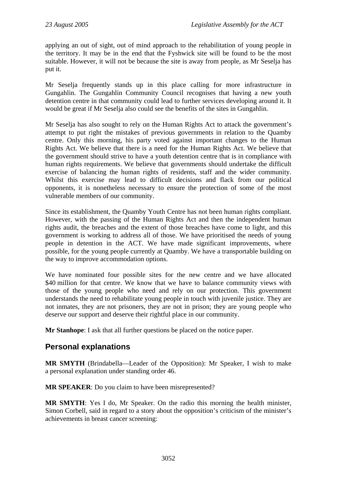applying an out of sight, out of mind approach to the rehabilitation of young people in the territory. It may be in the end that the Fyshwick site will be found to be the most suitable. However, it will not be because the site is away from people, as Mr Seselja has put it.

Mr Seselja frequently stands up in this place calling for more infrastructure in Gungahlin. The Gungahlin Community Council recognises that having a new youth detention centre in that community could lead to further services developing around it. It would be great if Mr Seselja also could see the benefits of the sites in Gungahlin.

Mr Seselja has also sought to rely on the Human Rights Act to attack the government's attempt to put right the mistakes of previous governments in relation to the Quamby centre. Only this morning, his party voted against important changes to the Human Rights Act. We believe that there is a need for the Human Rights Act. We believe that the government should strive to have a youth detention centre that is in compliance with human rights requirements. We believe that governments should undertake the difficult exercise of balancing the human rights of residents, staff and the wider community. Whilst this exercise may lead to difficult decisions and flack from our political opponents, it is nonetheless necessary to ensure the protection of some of the most vulnerable members of our community.

Since its establishment, the Quamby Youth Centre has not been human rights compliant. However, with the passing of the Human Rights Act and then the independent human rights audit, the breaches and the extent of those breaches have come to light, and this government is working to address all of those. We have prioritised the needs of young people in detention in the ACT. We have made significant improvements, where possible, for the young people currently at Quamby. We have a transportable building on the way to improve accommodation options.

We have nominated four possible sites for the new centre and we have allocated \$40 million for that centre. We know that we have to balance community views with those of the young people who need and rely on our protection. This government understands the need to rehabilitate young people in touch with juvenile justice. They are not inmates, they are not prisoners, they are not in prison; they are young people who deserve our support and deserve their rightful place in our community.

**Mr Stanhope:** I ask that all further questions be placed on the notice paper.

## **Personal explanations**

**MR SMYTH** (Brindabella—Leader of the Opposition): Mr Speaker, I wish to make a personal explanation under standing order 46.

**MR SPEAKER**: Do you claim to have been misrepresented?

**MR SMYTH**: Yes I do, Mr Speaker. On the radio this morning the health minister, Simon Corbell, said in regard to a story about the opposition's criticism of the minister's achievements in breast cancer screening: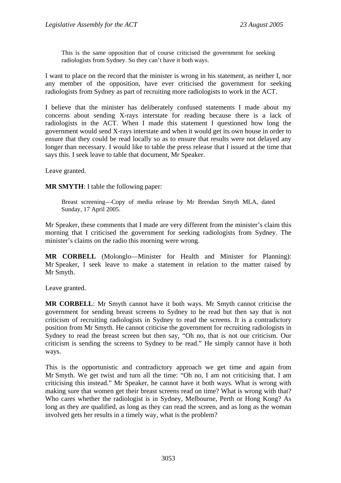This is the same opposition that of course criticised the government for seeking radiologists from Sydney. So they can't have it both ways.

I want to place on the record that the minister is wrong in his statement, as neither I, nor any member of the opposition, have ever criticised the government for seeking radiologists from Sydney as part of recruiting more radiologists to work in the ACT.

I believe that the minister has deliberately confused statements I made about my concerns about sending X-rays interstate for reading because there is a lack of radiologists in the ACT. When I made this statement I questioned how long the government would send X-rays interstate and when it would get its own house in order to ensure that they could be read locally so as to ensure that results were not delayed any longer than necessary. I would like to table the press release that I issued at the time that says this. I seek leave to table that document, Mr Speaker.

Leave granted.

**MR SMYTH**: I table the following paper:

Breast screening—Copy of media release by Mr Brendan Smyth MLA, dated Sunday, 17 April 2005.

Mr Speaker, these comments that I made are very different from the minister's claim this morning that I criticised the government for seeking radiologists from Sydney. The minister's claims on the radio this morning were wrong.

**MR CORBELL** (Molonglo—Minister for Health and Minister for Planning): Mr Speaker, I seek leave to make a statement in relation to the matter raised by Mr Smyth.

Leave granted.

**MR CORBELL**: Mr Smyth cannot have it both ways. Mr Smyth cannot criticise the government for sending breast screens to Sydney to be read but then say that is not criticism of recruiting radiologists in Sydney to read the screens. It is a contradictory position from Mr Smyth. He cannot criticise the government for recruiting radiologists in Sydney to read the breast screen but then say, "Oh no, that is not our criticism. Our criticism is sending the screens to Sydney to be read." He simply cannot have it both ways.

This is the opportunistic and contradictory approach we get time and again from Mr Smyth. We get twist and turn all the time: "Oh no, I am not criticising that. I am criticising this instead." Mr Speaker, he cannot have it both ways. What is wrong with making sure that women get their breast screens read on time? What is wrong with that? Who cares whether the radiologist is in Sydney, Melbourne, Perth or Hong Kong? As long as they are qualified, as long as they can read the screen, and as long as the woman involved gets her results in a timely way, what is the problem?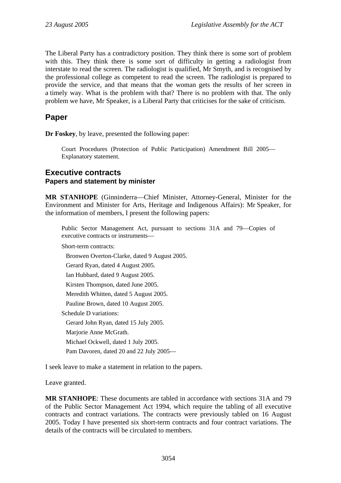The Liberal Party has a contradictory position. They think there is some sort of problem with this. They think there is some sort of difficulty in getting a radiologist from interstate to read the screen. The radiologist is qualified, Mr Smyth, and is recognised by the professional college as competent to read the screen. The radiologist is prepared to provide the service, and that means that the woman gets the results of her screen in a timely way. What is the problem with that? There is no problem with that. The only problem we have, Mr Speaker, is a Liberal Party that criticises for the sake of criticism.

# **Paper**

**Dr Foskey**, by leave, presented the following paper:

Court Procedures (Protection of Public Participation) Amendment Bill 2005— Explanatory statement.

### **Executive contracts Papers and statement by minister**

**MR STANHOPE** (Ginninderra—Chief Minister, Attorney-General, Minister for the Environment and Minister for Arts, Heritage and Indigenous Affairs): Mr Speaker, for the information of members, I present the following papers:

Public Sector Management Act, pursuant to sections 31A and 79—Copies of executive contracts or instruments—

Short-term contracts:

Bronwen Overton-Clarke, dated 9 August 2005.

Gerard Ryan, dated 4 August 2005.

Ian Hubbard, dated 9 August 2005.

Kirsten Thompson, dated June 2005.

Meredith Whitten, dated 5 August 2005.

Pauline Brown, dated 10 August 2005.

Schedule D variations:

Gerard John Ryan, dated 15 July 2005.

Marjorie Anne McGrath.

Michael Ockwell, dated 1 July 2005.

Pam Davoren, dated 20 and 22 July 2005—

I seek leave to make a statement in relation to the papers.

Leave granted.

**MR STANHOPE**: These documents are tabled in accordance with sections 31A and 79 of the Public Sector Management Act 1994, which require the tabling of all executive contracts and contract variations. The contracts were previously tabled on 16 August 2005. Today I have presented six short-term contracts and four contract variations. The details of the contracts will be circulated to members.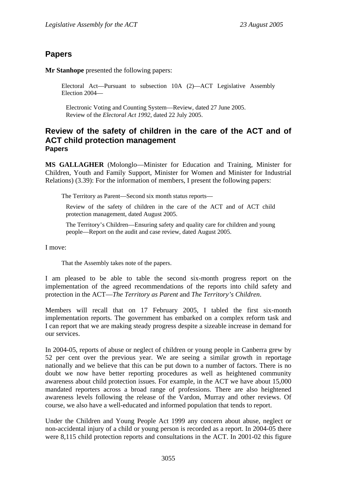# **Papers**

**Mr Stanhope** presented the following papers:

Electoral Act—Pursuant to subsection 10A (2)—ACT Legislative Assembly Election 2004—

Electronic Voting and Counting System—Review, dated 27 June 2005. Review of the *Electoral Act 1992*, dated 22 July 2005.

### **Review of the safety of children in the care of the ACT and of ACT child protection management Papers**

**MS GALLAGHER** (Molonglo—Minister for Education and Training, Minister for Children, Youth and Family Support, Minister for Women and Minister for Industrial Relations) (3.39): For the information of members, I present the following papers:

The Territory as Parent—Second six month status reports—

Review of the safety of children in the care of the ACT and of ACT child protection management, dated August 2005.

The Territory's Children—Ensuring safety and quality care for children and young people—Report on the audit and case review, dated August 2005.

I move:

That the Assembly takes note of the papers.

I am pleased to be able to table the second six-month progress report on the implementation of the agreed recommendations of the reports into child safety and protection in the ACT—*The Territory as Parent* and *The Territory's Children*.

Members will recall that on 17 February 2005, I tabled the first six-month implementation reports. The government has embarked on a complex reform task and I can report that we are making steady progress despite a sizeable increase in demand for our services.

In 2004-05, reports of abuse or neglect of children or young people in Canberra grew by 52 per cent over the previous year. We are seeing a similar growth in reportage nationally and we believe that this can be put down to a number of factors. There is no doubt we now have better reporting procedures as well as heightened community awareness about child protection issues. For example, in the ACT we have about 15,000 mandated reporters across a broad range of professions. There are also heightened awareness levels following the release of the Vardon, Murray and other reviews. Of course, we also have a well-educated and informed population that tends to report.

Under the Children and Young People Act 1999 any concern about abuse, neglect or non-accidental injury of a child or young person is recorded as a report. In 2004-05 there were 8,115 child protection reports and consultations in the ACT. In 2001-02 this figure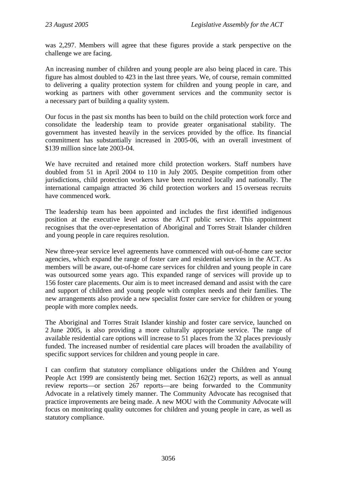was 2,297. Members will agree that these figures provide a stark perspective on the challenge we are facing.

An increasing number of children and young people are also being placed in care. This figure has almost doubled to 423 in the last three years. We, of course, remain committed to delivering a quality protection system for children and young people in care, and working as partners with other government services and the community sector is a necessary part of building a quality system.

Our focus in the past six months has been to build on the child protection work force and consolidate the leadership team to provide greater organisational stability. The government has invested heavily in the services provided by the office. Its financial commitment has substantially increased in 2005-06, with an overall investment of \$139 million since late 2003-04.

We have recruited and retained more child protection workers. Staff numbers have doubled from 51 in April 2004 to 110 in July 2005. Despite competition from other jurisdictions, child protection workers have been recruited locally and nationally. The international campaign attracted 36 child protection workers and 15 overseas recruits have commenced work.

The leadership team has been appointed and includes the first identified indigenous position at the executive level across the ACT public service. This appointment recognises that the over-representation of Aboriginal and Torres Strait Islander children and young people in care requires resolution.

New three-year service level agreements have commenced with out-of-home care sector agencies, which expand the range of foster care and residential services in the ACT. As members will be aware, out-of-home care services for children and young people in care was outsourced some years ago. This expanded range of services will provide up to 156 foster care placements. Our aim is to meet increased demand and assist with the care and support of children and young people with complex needs and their families. The new arrangements also provide a new specialist foster care service for children or young people with more complex needs.

The Aboriginal and Torres Strait Islander kinship and foster care service, launched on 2 June 2005, is also providing a more culturally appropriate service. The range of available residential care options will increase to 51 places from the 32 places previously funded. The increased number of residential care places will broaden the availability of specific support services for children and young people in care.

I can confirm that statutory compliance obligations under the Children and Young People Act 1999 are consistently being met. Section 162(2) reports, as well as annual review reports—or section 267 reports—are being forwarded to the Community Advocate in a relatively timely manner. The Community Advocate has recognised that practice improvements are being made. A new MOU with the Community Advocate will focus on monitoring quality outcomes for children and young people in care, as well as statutory compliance.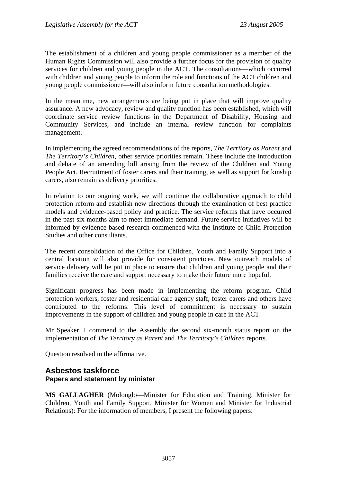The establishment of a children and young people commissioner as a member of the Human Rights Commission will also provide a further focus for the provision of quality services for children and young people in the ACT. The consultations—which occurred with children and young people to inform the role and functions of the ACT children and young people commissioner—will also inform future consultation methodologies.

In the meantime, new arrangements are being put in place that will improve quality assurance. A new advocacy, review and quality function has been established, which will coordinate service review functions in the Department of Disability, Housing and Community Services, and include an internal review function for complaints management.

In implementing the agreed recommendations of the reports, *The Territory as Parent* and *The Territory's Children*, other service priorities remain. These include the introduction and debate of an amending bill arising from the review of the Children and Young People Act. Recruitment of foster carers and their training, as well as support for kinship carers, also remain as delivery priorities.

In relation to our ongoing work, we will continue the collaborative approach to child protection reform and establish new directions through the examination of best practice models and evidence-based policy and practice. The service reforms that have occurred in the past six months aim to meet immediate demand. Future service initiatives will be informed by evidence-based research commenced with the Institute of Child Protection Studies and other consultants.

The recent consolidation of the Office for Children, Youth and Family Support into a central location will also provide for consistent practices. New outreach models of service delivery will be put in place to ensure that children and young people and their families receive the care and support necessary to make their future more hopeful.

Significant progress has been made in implementing the reform program. Child protection workers, foster and residential care agency staff, foster carers and others have contributed to the reforms. This level of commitment is necessary to sustain improvements in the support of children and young people in care in the ACT.

Mr Speaker, I commend to the Assembly the second six-month status report on the implementation of *The Territory as Parent* and *The Territory's Children* reports.

Question resolved in the affirmative.

## **Asbestos taskforce Papers and statement by minister**

**MS GALLAGHER** (Molonglo—Minister for Education and Training, Minister for Children, Youth and Family Support, Minister for Women and Minister for Industrial Relations): For the information of members, I present the following papers: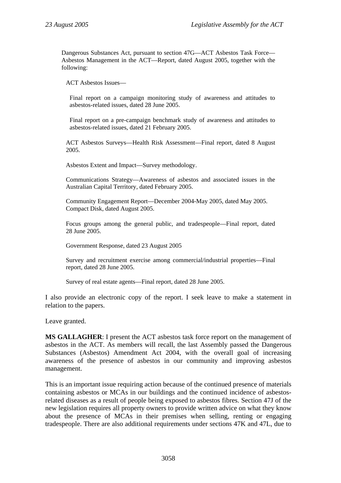Dangerous Substances Act, pursuant to section 47G—ACT Asbestos Task Force— Asbestos Management in the ACT—Report, dated August 2005, together with the following:

ACT Asbestos Issues—

Final report on a campaign monitoring study of awareness and attitudes to asbestos-related issues, dated 28 June 2005.

Final report on a pre-campaign benchmark study of awareness and attitudes to asbestos-related issues, dated 21 February 2005.

ACT Asbestos Surveys—Health Risk Assessment—Final report, dated 8 August 2005.

Asbestos Extent and Impact—Survey methodology.

Communications Strategy—Awareness of asbestos and associated issues in the Australian Capital Territory, dated February 2005.

Community Engagement Report—December 2004-May 2005, dated May 2005. Compact Disk, dated August 2005.

Focus groups among the general public, and tradespeople—Final report, dated 28 June 2005.

Government Response, dated 23 August 2005

Survey and recruitment exercise among commercial/industrial properties—Final report, dated 28 June 2005.

Survey of real estate agents—Final report, dated 28 June 2005.

I also provide an electronic copy of the report. I seek leave to make a statement in relation to the papers.

Leave granted.

**MS GALLAGHER**: I present the ACT asbestos task force report on the management of asbestos in the ACT. As members will recall, the last Assembly passed the Dangerous Substances (Asbestos) Amendment Act 2004, with the overall goal of increasing awareness of the presence of asbestos in our community and improving asbestos management.

This is an important issue requiring action because of the continued presence of materials containing asbestos or MCAs in our buildings and the continued incidence of asbestosrelated diseases as a result of people being exposed to asbestos fibres. Section 47J of the new legislation requires all property owners to provide written advice on what they know about the presence of MCAs in their premises when selling, renting or engaging tradespeople. There are also additional requirements under sections 47K and 47L, due to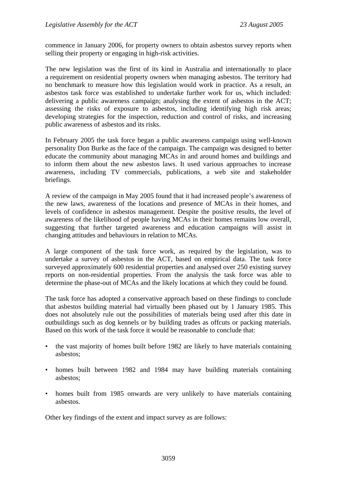commence in January 2006, for property owners to obtain asbestos survey reports when selling their property or engaging in high-risk activities.

The new legislation was the first of its kind in Australia and internationally to place a requirement on residential property owners when managing asbestos. The territory had no benchmark to measure how this legislation would work in practice. As a result, an asbestos task force was established to undertake further work for us, which included: delivering a public awareness campaign; analysing the extent of asbestos in the ACT; assessing the risks of exposure to asbestos, including identifying high risk areas; developing strategies for the inspection, reduction and control of risks, and increasing public awareness of asbestos and its risks.

In February 2005 the task force began a public awareness campaign using well-known personality Don Burke as the face of the campaign. The campaign was designed to better educate the community about managing MCAs in and around homes and buildings and to inform them about the new asbestos laws. It used various approaches to increase awareness, including TV commercials, publications, a web site and stakeholder briefings.

A review of the campaign in May 2005 found that it had increased people's awareness of the new laws, awareness of the locations and presence of MCAs in their homes, and levels of confidence in asbestos management. Despite the positive results, the level of awareness of the likelihood of people having MCAs in their homes remains low overall, suggesting that further targeted awareness and education campaigns will assist in changing attitudes and behaviours in relation to MCAs.

A large component of the task force work, as required by the legislation, was to undertake a survey of asbestos in the ACT, based on empirical data. The task force surveyed approximately 600 residential properties and analysed over 250 existing survey reports on non-residential properties. From the analysis the task force was able to determine the phase-out of MCAs and the likely locations at which they could be found.

The task force has adopted a conservative approach based on these findings to conclude that asbestos building material had virtually been phased out by 1 January 1985. This does not absolutely rule out the possibilities of materials being used after this date in outbuildings such as dog kennels or by building trades as offcuts or packing materials. Based on this work of the task force it would be reasonable to conclude that:

- the vast majority of homes built before 1982 are likely to have materials containing asbestos;
- homes built between 1982 and 1984 may have building materials containing asbestos;
- homes built from 1985 onwards are very unlikely to have materials containing asbestos.

Other key findings of the extent and impact survey as are follows: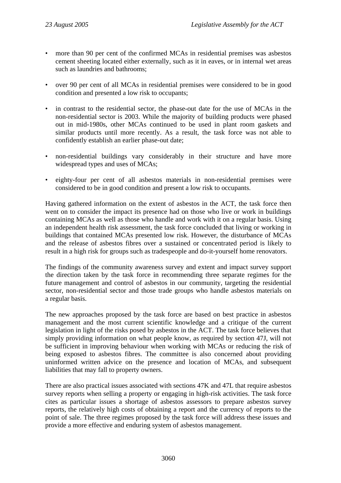- more than 90 per cent of the confirmed MCAs in residential premises was asbestos cement sheeting located either externally, such as it in eaves, or in internal wet areas such as laundries and bathrooms;
- over 90 per cent of all MCAs in residential premises were considered to be in good condition and presented a low risk to occupants;
- in contrast to the residential sector, the phase-out date for the use of MCAs in the non-residential sector is 2003. While the majority of building products were phased out in mid-1980s, other MCAs continued to be used in plant room gaskets and similar products until more recently. As a result, the task force was not able to confidently establish an earlier phase-out date;
- non-residential buildings vary considerably in their structure and have more widespread types and uses of MCAs;
- eighty-four per cent of all asbestos materials in non-residential premises were considered to be in good condition and present a low risk to occupants.

Having gathered information on the extent of asbestos in the ACT, the task force then went on to consider the impact its presence had on those who live or work in buildings containing MCAs as well as those who handle and work with it on a regular basis. Using an independent health risk assessment, the task force concluded that living or working in buildings that contained MCAs presented low risk. However, the disturbance of MCAs and the release of asbestos fibres over a sustained or concentrated period is likely to result in a high risk for groups such as tradespeople and do-it-yourself home renovators.

The findings of the community awareness survey and extent and impact survey support the direction taken by the task force in recommending three separate regimes for the future management and control of asbestos in our community, targeting the residential sector, non-residential sector and those trade groups who handle asbestos materials on a regular basis.

The new approaches proposed by the task force are based on best practice in asbestos management and the most current scientific knowledge and a critique of the current legislation in light of the risks posed by asbestos in the ACT. The task force believes that simply providing information on what people know, as required by section 47J, will not be sufficient in improving behaviour when working with MCAs or reducing the risk of being exposed to asbestos fibres. The committee is also concerned about providing uninformed written advice on the presence and location of MCAs, and subsequent liabilities that may fall to property owners.

There are also practical issues associated with sections 47K and 47L that require asbestos survey reports when selling a property or engaging in high-risk activities. The task force cites as particular issues a shortage of asbestos assessors to prepare asbestos survey reports, the relatively high costs of obtaining a report and the currency of reports to the point of sale. The three regimes proposed by the task force will address these issues and provide a more effective and enduring system of asbestos management.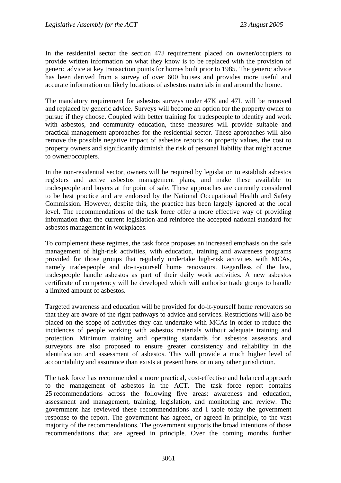In the residential sector the section 47J requirement placed on owner/occupiers to provide written information on what they know is to be replaced with the provision of generic advice at key transaction points for homes built prior to 1985. The generic advice has been derived from a survey of over 600 houses and provides more useful and accurate information on likely locations of asbestos materials in and around the home.

The mandatory requirement for asbestos surveys under 47K and 47L will be removed and replaced by generic advice. Surveys will become an option for the property owner to pursue if they choose. Coupled with better training for tradespeople to identify and work with asbestos, and community education, these measures will provide suitable and practical management approaches for the residential sector. These approaches will also remove the possible negative impact of asbestos reports on property values, the cost to property owners and significantly diminish the risk of personal liability that might accrue to owner/occupiers.

In the non-residential sector, owners will be required by legislation to establish asbestos registers and active asbestos management plans, and make these available to tradespeople and buyers at the point of sale. These approaches are currently considered to be best practice and are endorsed by the National Occupational Health and Safety Commission. However, despite this, the practice has been largely ignored at the local level. The recommendations of the task force offer a more effective way of providing information than the current legislation and reinforce the accepted national standard for asbestos management in workplaces.

To complement these regimes, the task force proposes an increased emphasis on the safe management of high-risk activities, with education, training and awareness programs provided for those groups that regularly undertake high-risk activities with MCAs, namely tradespeople and do-it-yourself home renovators. Regardless of the law, tradespeople handle asbestos as part of their daily work activities. A new asbestos certificate of competency will be developed which will authorise trade groups to handle a limited amount of asbestos.

Targeted awareness and education will be provided for do-it-yourself home renovators so that they are aware of the right pathways to advice and services. Restrictions will also be placed on the scope of activities they can undertake with MCAs in order to reduce the incidences of people working with asbestos materials without adequate training and protection. Minimum training and operating standards for asbestos assessors and surveyors are also proposed to ensure greater consistency and reliability in the identification and assessment of asbestos. This will provide a much higher level of accountability and assurance than exists at present here, or in any other jurisdiction.

The task force has recommended a more practical, cost-effective and balanced approach to the management of asbestos in the ACT. The task force report contains 25 recommendations across the following five areas: awareness and education, assessment and management, training, legislation, and monitoring and review. The government has reviewed these recommendations and I table today the government response to the report. The government has agreed, or agreed in principle, to the vast majority of the recommendations. The government supports the broad intentions of those recommendations that are agreed in principle. Over the coming months further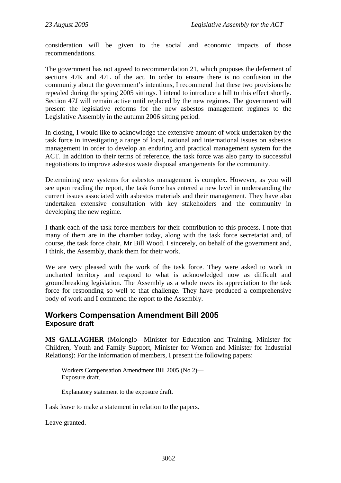consideration will be given to the social and economic impacts of those recommendations.

The government has not agreed to recommendation 21, which proposes the deferment of sections 47K and 47L of the act. In order to ensure there is no confusion in the community about the government's intentions, I recommend that these two provisions be repealed during the spring 2005 sittings. I intend to introduce a bill to this effect shortly. Section 47J will remain active until replaced by the new regimes. The government will present the legislative reforms for the new asbestos management regimes to the Legislative Assembly in the autumn 2006 sitting period.

In closing, I would like to acknowledge the extensive amount of work undertaken by the task force in investigating a range of local, national and international issues on asbestos management in order to develop an enduring and practical management system for the ACT. In addition to their terms of reference, the task force was also party to successful negotiations to improve asbestos waste disposal arrangements for the community.

Determining new systems for asbestos management is complex. However, as you will see upon reading the report, the task force has entered a new level in understanding the current issues associated with asbestos materials and their management. They have also undertaken extensive consultation with key stakeholders and the community in developing the new regime.

I thank each of the task force members for their contribution to this process. I note that many of them are in the chamber today, along with the task force secretariat and, of course, the task force chair, Mr Bill Wood. I sincerely, on behalf of the government and, I think, the Assembly, thank them for their work.

We are very pleased with the work of the task force. They were asked to work in uncharted territory and respond to what is acknowledged now as difficult and groundbreaking legislation. The Assembly as a whole owes its appreciation to the task force for responding so well to that challenge. They have produced a comprehensive body of work and I commend the report to the Assembly.

### **Workers Compensation Amendment Bill 2005 Exposure draft**

**MS GALLAGHER** (Molonglo—Minister for Education and Training, Minister for Children, Youth and Family Support, Minister for Women and Minister for Industrial Relations): For the information of members, I present the following papers:

Workers Compensation Amendment Bill 2005 (No 2)— Exposure draft.

Explanatory statement to the exposure draft.

I ask leave to make a statement in relation to the papers.

Leave granted.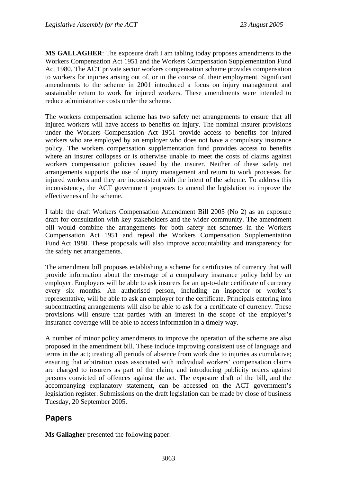**MS GALLAGHER**: The exposure draft I am tabling today proposes amendments to the Workers Compensation Act 1951 and the Workers Compensation Supplementation Fund Act 1980. The ACT private sector workers compensation scheme provides compensation to workers for injuries arising out of, or in the course of, their employment. Significant amendments to the scheme in 2001 introduced a focus on injury management and sustainable return to work for injured workers. These amendments were intended to reduce administrative costs under the scheme.

The workers compensation scheme has two safety net arrangements to ensure that all injured workers will have access to benefits on injury. The nominal insurer provisions under the Workers Compensation Act 1951 provide access to benefits for injured workers who are employed by an employer who does not have a compulsory insurance policy. The workers compensation supplementation fund provides access to benefits where an insurer collapses or is otherwise unable to meet the costs of claims against workers compensation policies issued by the insurer. Neither of these safety net arrangements supports the use of injury management and return to work processes for injured workers and they are inconsistent with the intent of the scheme. To address this inconsistency, the ACT government proposes to amend the legislation to improve the effectiveness of the scheme.

I table the draft Workers Compensation Amendment Bill 2005 (No 2) as an exposure draft for consultation with key stakeholders and the wider community. The amendment bill would combine the arrangements for both safety net schemes in the Workers Compensation Act 1951 and repeal the Workers Compensation Supplementation Fund Act 1980. These proposals will also improve accountability and transparency for the safety net arrangements.

The amendment bill proposes establishing a scheme for certificates of currency that will provide information about the coverage of a compulsory insurance policy held by an employer. Employers will be able to ask insurers for an up-to-date certificate of currency every six months. An authorised person, including an inspector or worker's representative, will be able to ask an employer for the certificate. Principals entering into subcontracting arrangements will also be able to ask for a certificate of currency. These provisions will ensure that parties with an interest in the scope of the employer's insurance coverage will be able to access information in a timely way.

A number of minor policy amendments to improve the operation of the scheme are also proposed in the amendment bill. These include improving consistent use of language and terms in the act; treating all periods of absence from work due to injuries as cumulative; ensuring that arbitration costs associated with individual workers' compensation claims are charged to insurers as part of the claim; and introducing publicity orders against persons convicted of offences against the act. The exposure draft of the bill, and the accompanying explanatory statement, can be accessed on the ACT government's legislation register. Submissions on the draft legislation can be made by close of business Tuesday, 20 September 2005.

# **Papers**

**Ms Gallagher** presented the following paper: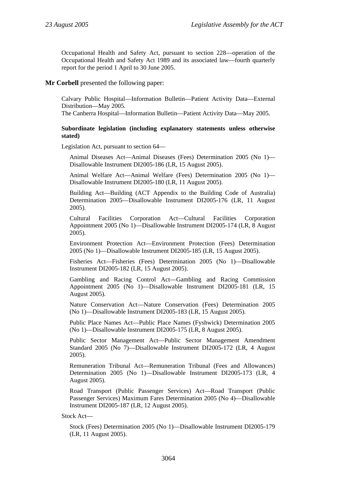Occupational Health and Safety Act, pursuant to section 228—operation of the Occupational Health and Safety Act 1989 and its associated law—fourth quarterly report for the period 1 April to 30 June 2005.

**Mr Corbell** presented the following paper:

Calvary Public Hospital—Information Bulletin—Patient Activity Data—External Distribution—May 2005.

The Canberra Hospital—Information Bulletin—Patient Activity Data—May 2005.

#### **Subordinate legislation (including explanatory statements unless otherwise stated)**

Legislation Act, pursuant to section 64—

Animal Diseases Act—Animal Diseases (Fees) Determination 2005 (No 1)— Disallowable Instrument DI2005-186 (LR, 15 August 2005).

Animal Welfare Act—Animal Welfare (Fees) Determination 2005 (No 1)— Disallowable Instrument DI2005-180 (LR, 11 August 2005).

Building Act—Building (ACT Appendix to the Building Code of Australia) Determination 2005—Disallowable Instrument DI2005-176 (LR, 11 August 2005).

Cultural Facilities Corporation Act—Cultural Facilities Corporation Appointment 2005 (No 1)—Disallowable Instrument DI2005-174 (LR, 8 August 2005).

Environment Protection Act—Environment Protection (Fees) Determination 2005 (No 1)—Disallowable Instrument DI2005-185 (LR, 15 August 2005).

Fisheries Act—Fisheries (Fees) Determination 2005 (No 1)—Disallowable Instrument DI2005-182 (LR, 15 August 2005).

Gambling and Racing Control Act—Gambling and Racing Commission Appointment 2005 (No 1)—Disallowable Instrument DI2005-181 (LR, 15 August 2005).

Nature Conservation Act—Nature Conservation (Fees) Determination 2005 (No 1)—Disallowable Instrument DI2005-183 (LR, 15 August 2005).

Public Place Names Act—Public Place Names (Fyshwick) Determination 2005 (No 1)—Disallowable Instrument DI2005-175 (LR, 8 August 2005).

Public Sector Management Act—Public Sector Management Amendment Standard 2005 (No 7)—Disallowable Instrument DI2005-172 (LR, 4 August 2005).

Remuneration Tribunal Act—Remuneration Tribunal (Fees and Allowances) Determination 2005 (No 1)—Disallowable Instrument DI2005-173 (LR, 4 August 2005).

Road Transport (Public Passenger Services) Act—Road Transport (Public Passenger Services) Maximum Fares Determination 2005 (No 4)—Disallowable Instrument DI2005-187 (LR, 12 August 2005).

Stock Act—

Stock (Fees) Determination 2005 (No 1)—Disallowable Instrument DI2005-179 (LR, 11 August 2005).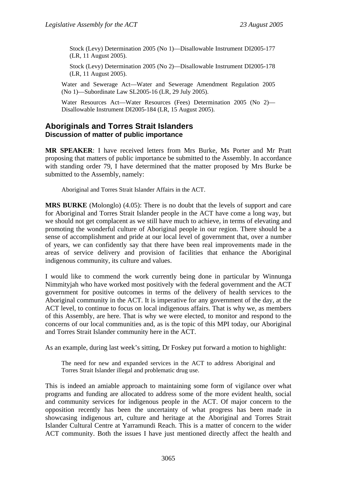Stock (Levy) Determination 2005 (No 1)—Disallowable Instrument DI2005-177 (LR, 11 August 2005).

Stock (Levy) Determination 2005 (No 2)—Disallowable Instrument DI2005-178 (LR, 11 August 2005).

Water and Sewerage Act—Water and Sewerage Amendment Regulation 2005 (No 1)—Subordinate Law SL2005-16 (LR, 29 July 2005).

Water Resources Act—Water Resources (Fees) Determination 2005 (No 2)— Disallowable Instrument DI2005-184 (LR, 15 August 2005).

### **Aboriginals and Torres Strait Islanders Discussion of matter of public importance**

**MR SPEAKER**: I have received letters from Mrs Burke, Ms Porter and Mr Pratt proposing that matters of public importance be submitted to the Assembly. In accordance with standing order 79, I have determined that the matter proposed by Mrs Burke be submitted to the Assembly, namely:

Aboriginal and Torres Strait Islander Affairs in the ACT.

**MRS BURKE** (Molonglo) (4.05): There is no doubt that the levels of support and care for Aboriginal and Torres Strait Islander people in the ACT have come a long way, but we should not get complacent as we still have much to achieve, in terms of elevating and promoting the wonderful culture of Aboriginal people in our region. There should be a sense of accomplishment and pride at our local level of government that, over a number of years, we can confidently say that there have been real improvements made in the areas of service delivery and provision of facilities that enhance the Aboriginal indigenous community, its culture and values.

I would like to commend the work currently being done in particular by Winnunga Nimmityjah who have worked most positively with the federal government and the ACT government for positive outcomes in terms of the delivery of health services to the Aboriginal community in the ACT. It is imperative for any government of the day, at the ACT level, to continue to focus on local indigenous affairs. That is why we, as members of this Assembly, are here. That is why we were elected, to monitor and respond to the concerns of our local communities and, as is the topic of this MPI today, our Aboriginal and Torres Strait Islander community here in the ACT.

As an example, during last week's sitting, Dr Foskey put forward a motion to highlight:

The need for new and expanded services in the ACT to address Aboriginal and Torres Strait Islander illegal and problematic drug use.

This is indeed an amiable approach to maintaining some form of vigilance over what programs and funding are allocated to address some of the more evident health, social and community services for indigenous people in the ACT. Of major concern to the opposition recently has been the uncertainty of what progress has been made in showcasing indigenous art, culture and heritage at the Aboriginal and Torres Strait Islander Cultural Centre at Yarramundi Reach. This is a matter of concern to the wider ACT community. Both the issues I have just mentioned directly affect the health and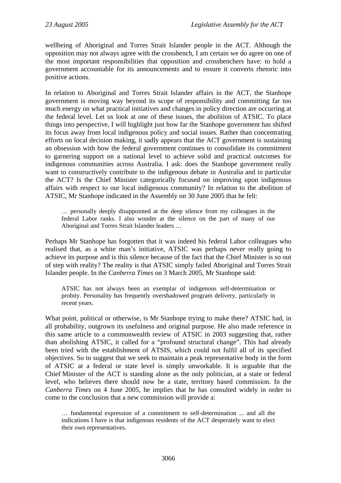wellbeing of Aboriginal and Torres Strait Islander people in the ACT. Although the opposition may not always agree with the crossbench, I am certain we do agree on one of the most important responsibilities that opposition and crossbenchers have: to hold a government accountable for its announcements and to ensure it converts rhetoric into positive actions.

In relation to Aboriginal and Torres Strait Islander affairs in the ACT, the Stanhope government is moving way beyond its scope of responsibility and committing far too much energy on what practical initiatives and changes in policy direction are occurring at the federal level. Let us look at one of these issues, the abolition of ATSIC. To place things into perspective, I will highlight just how far the Stanhope government has shifted its focus away from local indigenous policy and social issues. Rather than concentrating efforts on local decision making, it sadly appears that the ACT government is sustaining an obsession with how the federal government continues to consolidate its commitment to garnering support on a national level to achieve solid and practical outcomes for indigenous communities across Australia. I ask: does the Stanhope government really want to constructively contribute to the indigenous debate in Australia and in particular the ACT? Is the Chief Minister categorically focused on improving upon indigenous affairs with respect to our local indigenous community? In relation to the abolition of ATSIC, Mr Stanhope indicated in the Assembly on 30 June 2005 that he felt:

… personally deeply disappointed at the deep silence from my colleagues in the federal Labor ranks. I also wonder at the silence on the part of many of our Aboriginal and Torres Strait Islander leaders …

Perhaps Mr Stanhope has forgotten that it was indeed his federal Labor colleagues who realised that, as a white man's initiative, ATSIC was perhaps never really going to achieve its purpose and is this silence because of the fact that the Chief Minister is so out of step with reality? The reality is that ATSIC simply failed Aboriginal and Torres Strait Islander people. In the *Canberra Times* on 3 March 2005, Mr Stanhope said:

ATSIC has not always been an exemplar of indigenous self-determination or probity. Personality has frequently overshadowed program delivery, particularly in recent years.

What point, political or otherwise, is Mr Stanhope trying to make there? ATSIC had, in all probability, outgrown its usefulness and original purpose. He also made reference in this same article to a commonwealth review of ATSIC in 2003 suggesting that, rather than abolishing ATSIC, it called for a "profound structural change". This had already been tried with the establishment of ATSIS, which could not fulfil all of its specified objectives. So to suggest that we seek to maintain a peak representative body in the form of ATSIC at a federal or state level is simply unworkable. It is arguable that the Chief Minister of the ACT is standing alone as the only politician, at a state or federal level, who believes there should now be a state, territory based commission. In the *Canberra Times* on 4 June 2005, he implies that he has consulted widely in order to come to the conclusion that a new commission will provide a:

… fundamental expression of a commitment to self-determination ... and all the indications I have is that indigenous residents of the ACT desperately want to elect their own representatives.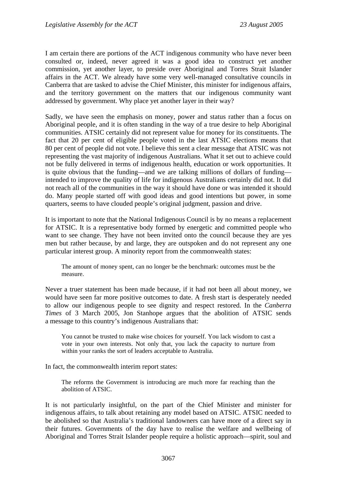I am certain there are portions of the ACT indigenous community who have never been consulted or, indeed, never agreed it was a good idea to construct yet another commission, yet another layer, to preside over Aboriginal and Torres Strait Islander affairs in the ACT. We already have some very well-managed consultative councils in Canberra that are tasked to advise the Chief Minister, this minister for indigenous affairs, and the territory government on the matters that our indigenous community want addressed by government. Why place yet another layer in their way?

Sadly, we have seen the emphasis on money, power and status rather than a focus on Aboriginal people, and it is often standing in the way of a true desire to help Aboriginal communities. ATSIC certainly did not represent value for money for its constituents. The fact that 20 per cent of eligible people voted in the last ATSIC elections means that 80 per cent of people did not vote. I believe this sent a clear message that ATSIC was not representing the vast majority of indigenous Australians. What it set out to achieve could not be fully delivered in terms of indigenous health, education or work opportunities. It is quite obvious that the funding—and we are talking millions of dollars of funding intended to improve the quality of life for indigenous Australians certainly did not. It did not reach all of the communities in the way it should have done or was intended it should do. Many people started off with good ideas and good intentions but power, in some quarters, seems to have clouded people's original judgment, passion and drive.

It is important to note that the National Indigenous Council is by no means a replacement for ATSIC. It is a representative body formed by energetic and committed people who want to see change. They have not been invited onto the council because they are yes men but rather because, by and large, they are outspoken and do not represent any one particular interest group. A minority report from the commonwealth states:

The amount of money spent, can no longer be the benchmark: outcomes must be the measure.

Never a truer statement has been made because, if it had not been all about money, we would have seen far more positive outcomes to date. A fresh start is desperately needed to allow our indigenous people to see dignity and respect restored. In the *Canberra Times* of 3 March 2005, Jon Stanhope argues that the abolition of ATSIC sends a message to this country's indigenous Australians that:

You cannot be trusted to make wise choices for yourself. You lack wisdom to cast a vote in your own interests. Not only that, you lack the capacity to nurture from within your ranks the sort of leaders acceptable to Australia.

In fact, the commonwealth interim report states:

The reforms the Government is introducing are much more far reaching than the abolition of ATSIC.

It is not particularly insightful, on the part of the Chief Minister and minister for indigenous affairs, to talk about retaining any model based on ATSIC. ATSIC needed to be abolished so that Australia's traditional landowners can have more of a direct say in their futures. Governments of the day have to realise the welfare and wellbeing of Aboriginal and Torres Strait Islander people require a holistic approach—spirit, soul and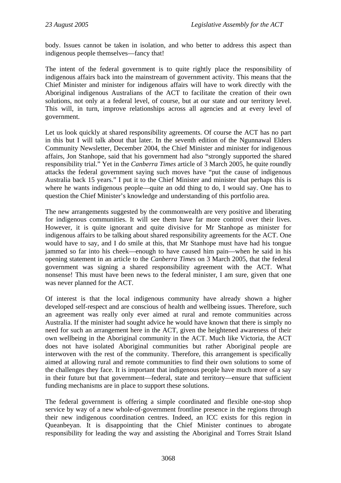body. Issues cannot be taken in isolation, and who better to address this aspect than indigenous people themselves—fancy that!

The intent of the federal government is to quite rightly place the responsibility of indigenous affairs back into the mainstream of government activity. This means that the Chief Minister and minister for indigenous affairs will have to work directly with the Aboriginal indigenous Australians of the ACT to facilitate the creation of their own solutions, not only at a federal level, of course, but at our state and our territory level. This will, in turn, improve relationships across all agencies and at every level of government.

Let us look quickly at shared responsibility agreements. Of course the ACT has no part in this but I will talk about that later. In the seventh edition of the Ngunnawal Elders Community Newsletter, December 2004, the Chief Minister and minister for indigenous affairs, Jon Stanhope, said that his government had also "strongly supported the shared responsibility trial." Yet in the *Canberra Times* article of 3 March 2005, he quite roundly attacks the federal government saying such moves have "put the cause of indigenous Australia back 15 years." I put it to the Chief Minister and minister that perhaps this is where he wants indigenous people—quite an odd thing to do, I would say. One has to question the Chief Minister's knowledge and understanding of this portfolio area.

The new arrangements suggested by the commonwealth are very positive and liberating for indigenous communities. It will see them have far more control over their lives. However, it is quite ignorant and quite divisive for Mr Stanhope as minister for indigenous affairs to be talking about shared responsibility agreements for the ACT. One would have to say, and I do smile at this, that Mr Stanhope must have had his tongue jammed so far into his cheek—enough to have caused him pain—when he said in his opening statement in an article to the *Canberra Times* on 3 March 2005, that the federal government was signing a shared responsibility agreement with the ACT. What nonsense! This must have been news to the federal minister, I am sure, given that one was never planned for the ACT.

Of interest is that the local indigenous community have already shown a higher developed self-respect and are conscious of health and wellbeing issues. Therefore, such an agreement was really only ever aimed at rural and remote communities across Australia. If the minister had sought advice he would have known that there is simply no need for such an arrangement here in the ACT, given the heightened awareness of their own wellbeing in the Aboriginal community in the ACT. Much like Victoria, the ACT does not have isolated Aboriginal communities but rather Aboriginal people are interwoven with the rest of the community. Therefore, this arrangement is specifically aimed at allowing rural and remote communities to find their own solutions to some of the challenges they face. It is important that indigenous people have much more of a say in their future but that government—federal, state and territory—ensure that sufficient funding mechanisms are in place to support these solutions.

The federal government is offering a simple coordinated and flexible one-stop shop service by way of a new whole-of-government frontline presence in the regions through their new indigenous coordination centres. Indeed, an ICC exists for this region in Queanbeyan. It is disappointing that the Chief Minister continues to abrogate responsibility for leading the way and assisting the Aboriginal and Torres Strait Island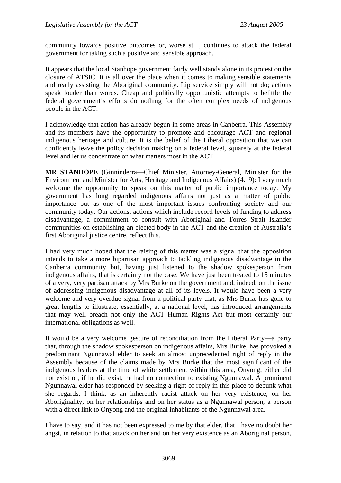community towards positive outcomes or, worse still, continues to attack the federal government for taking such a positive and sensible approach.

It appears that the local Stanhope government fairly well stands alone in its protest on the closure of ATSIC. It is all over the place when it comes to making sensible statements and really assisting the Aboriginal community. Lip service simply will not do; actions speak louder than words. Cheap and politically opportunistic attempts to belittle the federal government's efforts do nothing for the often complex needs of indigenous people in the ACT.

I acknowledge that action has already begun in some areas in Canberra. This Assembly and its members have the opportunity to promote and encourage ACT and regional indigenous heritage and culture. It is the belief of the Liberal opposition that we can confidently leave the policy decision making on a federal level, squarely at the federal level and let us concentrate on what matters most in the ACT.

**MR STANHOPE** (Ginninderra—Chief Minister, Attorney-General, Minister for the Environment and Minister for Arts, Heritage and Indigenous Affairs) (4.19): I very much welcome the opportunity to speak on this matter of public importance today. My government has long regarded indigenous affairs not just as a matter of public importance but as one of the most important issues confronting society and our community today. Our actions, actions which include record levels of funding to address disadvantage, a commitment to consult with Aboriginal and Torres Strait Islander communities on establishing an elected body in the ACT and the creation of Australia's first Aboriginal justice centre, reflect this.

I had very much hoped that the raising of this matter was a signal that the opposition intends to take a more bipartisan approach to tackling indigenous disadvantage in the Canberra community but, having just listened to the shadow spokesperson from indigenous affairs, that is certainly not the case. We have just been treated to 15 minutes of a very, very partisan attack by Mrs Burke on the government and, indeed, on the issue of addressing indigenous disadvantage at all of its levels. It would have been a very welcome and very overdue signal from a political party that, as Mrs Burke has gone to great lengths to illustrate, essentially, at a national level, has introduced arrangements that may well breach not only the ACT Human Rights Act but most certainly our international obligations as well.

It would be a very welcome gesture of reconciliation from the Liberal Party—a party that, through the shadow spokesperson on indigenous affairs, Mrs Burke, has provoked a predominant Ngunnawal elder to seek an almost unprecedented right of reply in the Assembly because of the claims made by Mrs Burke that the most significant of the indigenous leaders at the time of white settlement within this area, Onyong, either did not exist or, if he did exist, he had no connection to existing Ngunnawal. A prominent Ngunnawal elder has responded by seeking a right of reply in this place to debunk what she regards, I think, as an inherently racist attack on her very existence, on her Aboriginality, on her relationships and on her status as a Ngunnawal person, a person with a direct link to Onyong and the original inhabitants of the Ngunnawal area.

I have to say, and it has not been expressed to me by that elder, that I have no doubt her angst, in relation to that attack on her and on her very existence as an Aboriginal person,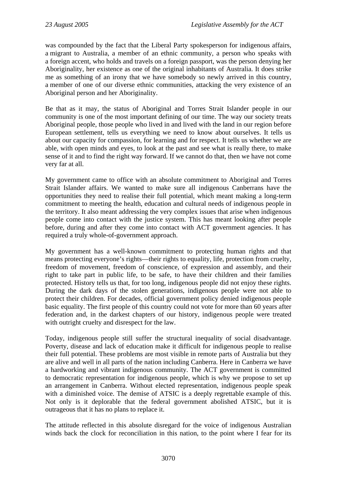was compounded by the fact that the Liberal Party spokesperson for indigenous affairs, a migrant to Australia, a member of an ethnic community, a person who speaks with a foreign accent, who holds and travels on a foreign passport, was the person denying her Aboriginality, her existence as one of the original inhabitants of Australia. It does strike me as something of an irony that we have somebody so newly arrived in this country, a member of one of our diverse ethnic communities, attacking the very existence of an Aboriginal person and her Aboriginality.

Be that as it may, the status of Aboriginal and Torres Strait Islander people in our community is one of the most important defining of our time. The way our society treats Aboriginal people, those people who lived in and lived with the land in our region before European settlement, tells us everything we need to know about ourselves. It tells us about our capacity for compassion, for learning and for respect. It tells us whether we are able, with open minds and eyes, to look at the past and see what is really there, to make sense of it and to find the right way forward. If we cannot do that, then we have not come very far at all.

My government came to office with an absolute commitment to Aboriginal and Torres Strait Islander affairs. We wanted to make sure all indigenous Canberrans have the opportunities they need to realise their full potential, which meant making a long-term commitment to meeting the health, education and cultural needs of indigenous people in the territory. It also meant addressing the very complex issues that arise when indigenous people come into contact with the justice system. This has meant looking after people before, during and after they come into contact with ACT government agencies. It has required a truly whole-of-government approach.

My government has a well-known commitment to protecting human rights and that means protecting everyone's rights—their rights to equality, life, protection from cruelty, freedom of movement, freedom of conscience, of expression and assembly, and their right to take part in public life, to be safe, to have their children and their families protected. History tells us that, for too long, indigenous people did not enjoy these rights. During the dark days of the stolen generations, indigenous people were not able to protect their children. For decades, official government policy denied indigenous people basic equality. The first people of this country could not vote for more than 60 years after federation and, in the darkest chapters of our history, indigenous people were treated with outright cruelty and disrespect for the law.

Today, indigenous people still suffer the structural inequality of social disadvantage. Poverty, disease and lack of education make it difficult for indigenous people to realise their full potential. These problems are most visible in remote parts of Australia but they are alive and well in all parts of the nation including Canberra. Here in Canberra we have a hardworking and vibrant indigenous community. The ACT government is committed to democratic representation for indigenous people, which is why we propose to set up an arrangement in Canberra. Without elected representation, indigenous people speak with a diminished voice. The demise of ATSIC is a deeply regrettable example of this. Not only is it deplorable that the federal government abolished ATSIC, but it is outrageous that it has no plans to replace it.

The attitude reflected in this absolute disregard for the voice of indigenous Australian winds back the clock for reconciliation in this nation, to the point where I fear for its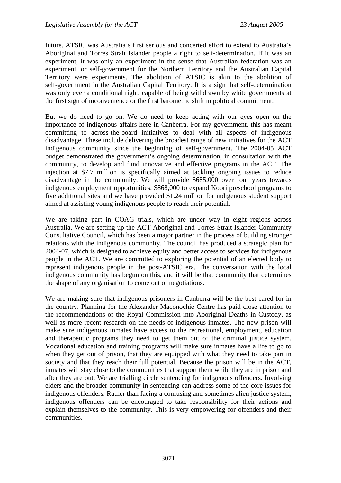future. ATSIC was Australia's first serious and concerted effort to extend to Australia's Aboriginal and Torres Strait Islander people a right to self-determination. If it was an experiment, it was only an experiment in the sense that Australian federation was an experiment, or self-government for the Northern Territory and the Australian Capital Territory were experiments. The abolition of ATSIC is akin to the abolition of self-government in the Australian Capital Territory. It is a sign that self-determination was only ever a conditional right, capable of being withdrawn by white governments at the first sign of inconvenience or the first barometric shift in political commitment.

But we do need to go on. We do need to keep acting with our eyes open on the importance of indigenous affairs here in Canberra. For my government, this has meant committing to across-the-board initiatives to deal with all aspects of indigenous disadvantage. These include delivering the broadest range of new initiatives for the ACT indigenous community since the beginning of self-government. The 2004-05 ACT budget demonstrated the government's ongoing determination, in consultation with the community, to develop and fund innovative and effective programs in the ACT. The injection at \$7.7 million is specifically aimed at tackling ongoing issues to reduce disadvantage in the community. We will provide \$685,000 over four years towards indigenous employment opportunities, \$868,000 to expand Koori preschool programs to five additional sites and we have provided \$1.24 million for indigenous student support aimed at assisting young indigenous people to reach their potential.

We are taking part in COAG trials, which are under way in eight regions across Australia. We are setting up the ACT Aboriginal and Torres Strait Islander Community Consultative Council, which has been a major partner in the process of building stronger relations with the indigenous community. The council has produced a strategic plan for 2004-07, which is designed to achieve equity and better access to services for indigenous people in the ACT. We are committed to exploring the potential of an elected body to represent indigenous people in the post-ATSIC era. The conversation with the local indigenous community has begun on this, and it will be that community that determines the shape of any organisation to come out of negotiations.

We are making sure that indigenous prisoners in Canberra will be the best cared for in the country. Planning for the Alexander Maconochie Centre has paid close attention to the recommendations of the Royal Commission into Aboriginal Deaths in Custody, as well as more recent research on the needs of indigenous inmates. The new prison will make sure indigenous inmates have access to the recreational, employment, education and therapeutic programs they need to get them out of the criminal justice system. Vocational education and training programs will make sure inmates have a life to go to when they get out of prison, that they are equipped with what they need to take part in society and that they reach their full potential. Because the prison will be in the ACT, inmates will stay close to the communities that support them while they are in prison and after they are out. We are trialling circle sentencing for indigenous offenders. Involving elders and the broader community in sentencing can address some of the core issues for indigenous offenders. Rather than facing a confusing and sometimes alien justice system, indigenous offenders can be encouraged to take responsibility for their actions and explain themselves to the community. This is very empowering for offenders and their communities.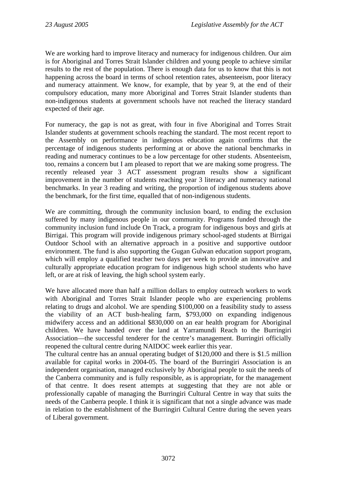We are working hard to improve literacy and numeracy for indigenous children. Our aim is for Aboriginal and Torres Strait Islander children and young people to achieve similar results to the rest of the population. There is enough data for us to know that this is not happening across the board in terms of school retention rates, absenteeism, poor literacy and numeracy attainment. We know, for example, that by year 9, at the end of their compulsory education, many more Aboriginal and Torres Strait Islander students than non-indigenous students at government schools have not reached the literacy standard expected of their age.

For numeracy, the gap is not as great, with four in five Aboriginal and Torres Strait Islander students at government schools reaching the standard. The most recent report to the Assembly on performance in indigenous education again confirms that the percentage of indigenous students performing at or above the national benchmarks in reading and numeracy continues to be a low percentage for other students. Absenteeism, too, remains a concern but I am pleased to report that we are making some progress. The recently released year 3 ACT assessment program results show a significant improvement in the number of students reaching year 3 literacy and numeracy national benchmarks. In year 3 reading and writing, the proportion of indigenous students above the benchmark, for the first time, equalled that of non-indigenous students.

We are committing, through the community inclusion board, to ending the exclusion suffered by many indigenous people in our community. Programs funded through the community inclusion fund include On Track, a program for indigenous boys and girls at Birrigai. This program will provide indigenous primary school-aged students at Birrigai Outdoor School with an alternative approach in a positive and supportive outdoor environment. The fund is also supporting the Gugan Gulwan education support program, which will employ a qualified teacher two days per week to provide an innovative and culturally appropriate education program for indigenous high school students who have left, or are at risk of leaving, the high school system early.

We have allocated more than half a million dollars to employ outreach workers to work with Aboriginal and Torres Strait Islander people who are experiencing problems relating to drugs and alcohol. We are spending \$100,000 on a feasibility study to assess the viability of an ACT bush-healing farm, \$793,000 on expanding indigenous midwifery access and an additional \$830,000 on an ear health program for Aboriginal children. We have handed over the land at Yarramundi Reach to the Burringiri Association—the successful tenderer for the centre's management. Burringiri officially reopened the cultural centre during NAIDOC week earlier this year.

The cultural centre has an annual operating budget of \$120,000 and there is \$1.5 million available for capital works in 2004-05. The board of the Burringiri Association is an independent organisation, managed exclusively by Aboriginal people to suit the needs of the Canberra community and is fully responsible, as is appropriate, for the management of that centre. It does resent attempts at suggesting that they are not able or professionally capable of managing the Burringiri Cultural Centre in way that suits the needs of the Canberra people. I think it is significant that not a single advance was made in relation to the establishment of the Burringiri Cultural Centre during the seven years of Liberal government.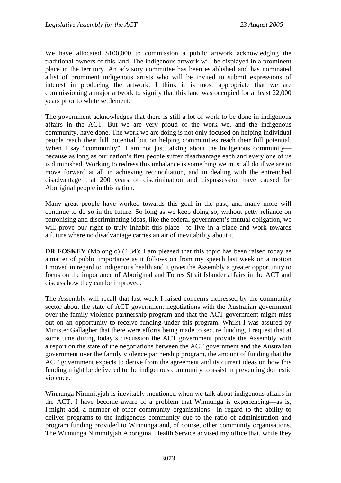We have allocated \$100,000 to commission a public artwork acknowledging the traditional owners of this land. The indigenous artwork will be displayed in a prominent place in the territory. An advisory committee has been established and has nominated a list of prominent indigenous artists who will be invited to submit expressions of interest in producing the artwork. I think it is most appropriate that we are commissioning a major artwork to signify that this land was occupied for at least 22,000 years prior to white settlement.

The government acknowledges that there is still a lot of work to be done in indigenous affairs in the ACT. But we are very proud of the work we, and the indigenous community, have done. The work we are doing is not only focused on helping individual people reach their full potential but on helping communities reach their full potential. When I say "community", I am not just talking about the indigenous community because as long as our nation's first people suffer disadvantage each and every one of us is diminished. Working to redress this imbalance is something we must all do if we are to move forward at all in achieving reconciliation, and in dealing with the entrenched disadvantage that 200 years of discrimination and dispossession have caused for Aboriginal people in this nation.

Many great people have worked towards this goal in the past, and many more will continue to do so in the future. So long as we keep doing so, without petty reliance on patronising and discriminating ideas, like the federal government's mutual obligation, we will prove our right to truly inhabit this place—to live in a place and work towards a future where no disadvantage carries an air of inevitability about it.

**DR FOSKEY** (Molonglo) (4.34): I am pleased that this topic has been raised today as a matter of public importance as it follows on from my speech last week on a motion I moved in regard to indigenous health and it gives the Assembly a greater opportunity to focus on the importance of Aboriginal and Torres Strait Islander affairs in the ACT and discuss how they can be improved.

The Assembly will recall that last week I raised concerns expressed by the community sector about the state of ACT government negotiations with the Australian government over the family violence partnership program and that the ACT government might miss out on an opportunity to receive funding under this program. Whilst I was assured by Minister Gallagher that there were efforts being made to secure funding, I request that at some time during today's discussion the ACT government provide the Assembly with a report on the state of the negotiations between the ACT government and the Australian government over the family violence partnership program, the amount of funding that the ACT government expects to derive from the agreement and its current ideas on how this funding might be delivered to the indigenous community to assist in preventing domestic violence.

Winnunga Nimmityjah is inevitably mentioned when we talk about indigenous affairs in the ACT. I have become aware of a problem that Winnunga is experiencing—as is, I might add, a number of other community organisations—in regard to the ability to deliver programs to the indigenous community due to the ratio of administration and program funding provided to Winnunga and, of course, other community organisations. The Winnunga Nimmityjah Aboriginal Health Service advised my office that, while they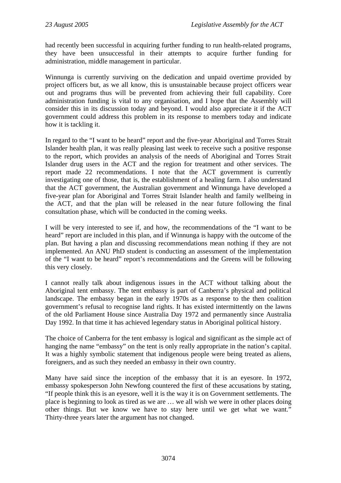had recently been successful in acquiring further funding to run health-related programs, they have been unsuccessful in their attempts to acquire further funding for administration, middle management in particular.

Winnunga is currently surviving on the dedication and unpaid overtime provided by project officers but, as we all know, this is unsustainable because project officers wear out and programs thus will be prevented from achieving their full capability. Core administration funding is vital to any organisation, and I hope that the Assembly will consider this in its discussion today and beyond. I would also appreciate it if the ACT government could address this problem in its response to members today and indicate how it is tackling it.

In regard to the "I want to be heard" report and the five-year Aboriginal and Torres Strait Islander health plan, it was really pleasing last week to receive such a positive response to the report, which provides an analysis of the needs of Aboriginal and Torres Strait Islander drug users in the ACT and the region for treatment and other services. The report made 22 recommendations. I note that the ACT government is currently investigating one of those, that is, the establishment of a healing farm. I also understand that the ACT government, the Australian government and Winnunga have developed a five-year plan for Aboriginal and Torres Strait Islander health and family wellbeing in the ACT, and that the plan will be released in the near future following the final consultation phase, which will be conducted in the coming weeks.

I will be very interested to see if, and how, the recommendations of the "I want to be heard" report are included in this plan, and if Winnunga is happy with the outcome of the plan. But having a plan and discussing recommendations mean nothing if they are not implemented. An ANU PhD student is conducting an assessment of the implementation of the "I want to be heard" report's recommendations and the Greens will be following this very closely.

I cannot really talk about indigenous issues in the ACT without talking about the Aboriginal tent embassy. The tent embassy is part of Canberra's physical and political landscape. The embassy began in the early 1970s as a response to the then coalition government's refusal to recognise land rights. It has existed intermittently on the lawns of the old Parliament House since Australia Day 1972 and permanently since Australia Day 1992. In that time it has achieved legendary status in Aboriginal political history.

The choice of Canberra for the tent embassy is logical and significant as the simple act of hanging the name "embassy" on the tent is only really appropriate in the nation's capital. It was a highly symbolic statement that indigenous people were being treated as aliens, foreigners, and as such they needed an embassy in their own country.

Many have said since the inception of the embassy that it is an eyesore. In 1972, embassy spokesperson John Newfong countered the first of these accusations by stating, "If people think this is an eyesore, well it is the way it is on Government settlements. The place is beginning to look as tired as we are … we all wish we were in other places doing other things. But we know we have to stay here until we get what we want." Thirty-three years later the argument has not changed.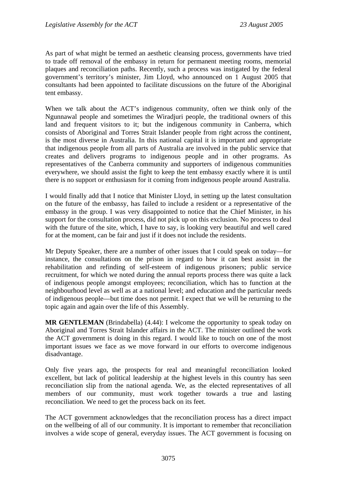As part of what might be termed an aesthetic cleansing process, governments have tried to trade off removal of the embassy in return for permanent meeting rooms, memorial plaques and reconciliation paths. Recently, such a process was instigated by the federal government's territory's minister, Jim Lloyd, who announced on 1 August 2005 that consultants had been appointed to facilitate discussions on the future of the Aboriginal tent embassy.

When we talk about the ACT's indigenous community, often we think only of the Ngunnawal people and sometimes the Wiradjuri people, the traditional owners of this land and frequent visitors to it; but the indigenous community in Canberra, which consists of Aboriginal and Torres Strait Islander people from right across the continent, is the most diverse in Australia. In this national capital it is important and appropriate that indigenous people from all parts of Australia are involved in the public service that creates and delivers programs to indigenous people and in other programs. As representatives of the Canberra community and supporters of indigenous communities everywhere, we should assist the fight to keep the tent embassy exactly where it is until there is no support or enthusiasm for it coming from indigenous people around Australia.

I would finally add that I notice that Minister Lloyd, in setting up the latest consultation on the future of the embassy, has failed to include a resident or a representative of the embassy in the group. I was very disappointed to notice that the Chief Minister, in his support for the consultation process, did not pick up on this exclusion. No process to deal with the future of the site, which, I have to say, is looking very beautiful and well cared for at the moment, can be fair and just if it does not include the residents.

Mr Deputy Speaker, there are a number of other issues that I could speak on today—for instance, the consultations on the prison in regard to how it can best assist in the rehabilitation and refinding of self-esteem of indigenous prisoners; public service recruitment, for which we noted during the annual reports process there was quite a lack of indigenous people amongst employees; reconciliation, which has to function at the neighbourhood level as well as at a national level; and education and the particular needs of indigenous people—but time does not permit. I expect that we will be returning to the topic again and again over the life of this Assembly.

**MR GENTLEMAN** (Brindabella) (4.44): I welcome the opportunity to speak today on Aboriginal and Torres Strait Islander affairs in the ACT. The minister outlined the work the ACT government is doing in this regard. I would like to touch on one of the most important issues we face as we move forward in our efforts to overcome indigenous disadvantage.

Only five years ago, the prospects for real and meaningful reconciliation looked excellent, but lack of political leadership at the highest levels in this country has seen reconciliation slip from the national agenda. We, as the elected representatives of all members of our community, must work together towards a true and lasting reconciliation. We need to get the process back on its feet.

The ACT government acknowledges that the reconciliation process has a direct impact on the wellbeing of all of our community. It is important to remember that reconciliation involves a wide scope of general, everyday issues. The ACT government is focusing on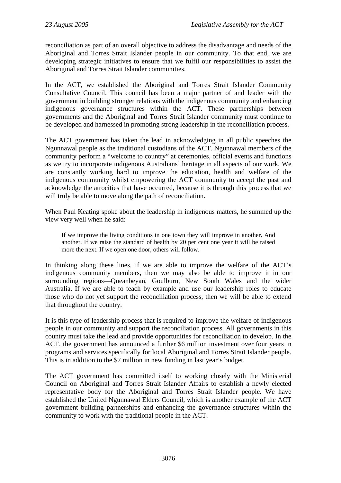reconciliation as part of an overall objective to address the disadvantage and needs of the Aboriginal and Torres Strait Islander people in our community. To that end, we are developing strategic initiatives to ensure that we fulfil our responsibilities to assist the Aboriginal and Torres Strait Islander communities.

In the ACT, we established the Aboriginal and Torres Strait Islander Community Consultative Council. This council has been a major partner of and leader with the government in building stronger relations with the indigenous community and enhancing indigenous governance structures within the ACT. These partnerships between governments and the Aboriginal and Torres Strait Islander community must continue to be developed and harnessed in promoting strong leadership in the reconciliation process.

The ACT government has taken the lead in acknowledging in all public speeches the Ngunnawal people as the traditional custodians of the ACT. Ngunnawal members of the community perform a "welcome to country" at ceremonies, official events and functions as we try to incorporate indigenous Australians' heritage in all aspects of our work. We are constantly working hard to improve the education, health and welfare of the indigenous community whilst empowering the ACT community to accept the past and acknowledge the atrocities that have occurred, because it is through this process that we will truly be able to move along the path of reconciliation.

When Paul Keating spoke about the leadership in indigenous matters, he summed up the view very well when he said:

If we improve the living conditions in one town they will improve in another. And another. If we raise the standard of health by 20 per cent one year it will be raised more the next. If we open one door, others will follow.

In thinking along these lines, if we are able to improve the welfare of the ACT's indigenous community members, then we may also be able to improve it in our surrounding regions—Queanbeyan, Goulburn, New South Wales and the wider Australia. If we are able to teach by example and use our leadership roles to educate those who do not yet support the reconciliation process, then we will be able to extend that throughout the country.

It is this type of leadership process that is required to improve the welfare of indigenous people in our community and support the reconciliation process. All governments in this country must take the lead and provide opportunities for reconciliation to develop. In the ACT, the government has announced a further \$6 million investment over four years in programs and services specifically for local Aboriginal and Torres Strait Islander people. This is in addition to the \$7 million in new funding in last year's budget.

The ACT government has committed itself to working closely with the Ministerial Council on Aboriginal and Torres Strait Islander Affairs to establish a newly elected representative body for the Aboriginal and Torres Strait Islander people. We have established the United Ngunnawal Elders Council, which is another example of the ACT government building partnerships and enhancing the governance structures within the community to work with the traditional people in the ACT.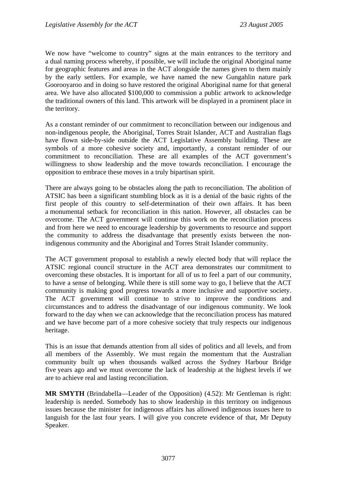We now have "welcome to country" signs at the main entrances to the territory and a dual naming process whereby, if possible, we will include the original Aboriginal name for geographic features and areas in the ACT alongside the names given to them mainly by the early settlers. For example, we have named the new Gungahlin nature park Goorooyaroo and in doing so have restored the original Aboriginal name for that general area. We have also allocated \$100,000 to commission a public artwork to acknowledge the traditional owners of this land. This artwork will be displayed in a prominent place in the territory.

As a constant reminder of our commitment to reconciliation between our indigenous and non-indigenous people, the Aboriginal, Torres Strait Islander, ACT and Australian flags have flown side-by-side outside the ACT Legislative Assembly building. These are symbols of a more cohesive society and, importantly, a constant reminder of our commitment to reconciliation. These are all examples of the ACT government's willingness to show leadership and the move towards reconciliation. I encourage the opposition to embrace these moves in a truly bipartisan spirit.

There are always going to be obstacles along the path to reconciliation. The abolition of ATSIC has been a significant stumbling block as it is a denial of the basic rights of the first people of this country to self-determination of their own affairs. It has been a monumental setback for reconciliation in this nation. However, all obstacles can be overcome. The ACT government will continue this work on the reconciliation process and from here we need to encourage leadership by governments to resource and support the community to address the disadvantage that presently exists between the nonindigenous community and the Aboriginal and Torres Strait Islander community.

The ACT government proposal to establish a newly elected body that will replace the ATSIC regional council structure in the ACT area demonstrates our commitment to overcoming these obstacles. It is important for all of us to feel a part of our community, to have a sense of belonging. While there is still some way to go, I believe that the ACT community is making good progress towards a more inclusive and supportive society. The ACT government will continue to strive to improve the conditions and circumstances and to address the disadvantage of our indigenous community. We look forward to the day when we can acknowledge that the reconciliation process has matured and we have become part of a more cohesive society that truly respects our indigenous heritage.

This is an issue that demands attention from all sides of politics and all levels, and from all members of the Assembly. We must regain the momentum that the Australian community built up when thousands walked across the Sydney Harbour Bridge five years ago and we must overcome the lack of leadership at the highest levels if we are to achieve real and lasting reconciliation.

**MR SMYTH** (Brindabella—Leader of the Opposition) (4.52): Mr Gentleman is right: leadership is needed. Somebody has to show leadership in this territory on indigenous issues because the minister for indigenous affairs has allowed indigenous issues here to languish for the last four years. I will give you concrete evidence of that, Mr Deputy Speaker.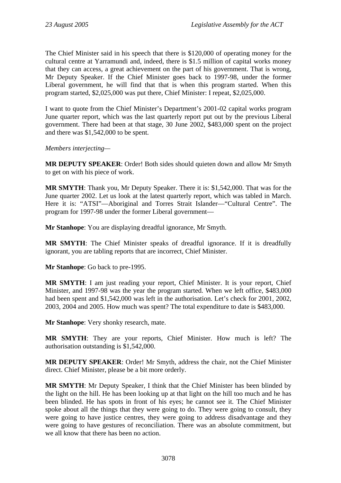The Chief Minister said in his speech that there is \$120,000 of operating money for the cultural centre at Yarramundi and, indeed, there is \$1.5 million of capital works money that they can access, a great achievement on the part of his government. That is wrong, Mr Deputy Speaker. If the Chief Minister goes back to 1997-98, under the former Liberal government, he will find that that is when this program started. When this program started, \$2,025,000 was put there, Chief Minister: I repeat, \$2,025,000.

I want to quote from the Chief Minister's Department's 2001-02 capital works program June quarter report, which was the last quarterly report put out by the previous Liberal government. There had been at that stage, 30 June 2002, \$483,000 spent on the project and there was \$1,542,000 to be spent.

*Members interjecting—* 

**MR DEPUTY SPEAKER**: Order! Both sides should quieten down and allow Mr Smyth to get on with his piece of work.

**MR SMYTH**: Thank you, Mr Deputy Speaker. There it is: \$1,542,000. That was for the June quarter 2002. Let us look at the latest quarterly report, which was tabled in March. Here it is: "ATSI"—Aboriginal and Torres Strait Islander—"Cultural Centre". The program for 1997-98 under the former Liberal government—

**Mr Stanhope**: You are displaying dreadful ignorance, Mr Smyth.

**MR SMYTH**: The Chief Minister speaks of dreadful ignorance. If it is dreadfully ignorant, you are tabling reports that are incorrect, Chief Minister.

**Mr Stanhope**: Go back to pre-1995.

**MR SMYTH**: I am just reading your report, Chief Minister. It is your report, Chief Minister, and 1997-98 was the year the program started. When we left office, \$483,000 had been spent and \$1,542,000 was left in the authorisation. Let's check for 2001, 2002, 2003, 2004 and 2005. How much was spent? The total expenditure to date is \$483,000.

**Mr Stanhope**: Very shonky research, mate.

**MR SMYTH**: They are your reports, Chief Minister. How much is left? The authorisation outstanding is \$1,542,000.

**MR DEPUTY SPEAKER**: Order! Mr Smyth, address the chair, not the Chief Minister direct. Chief Minister, please be a bit more orderly.

**MR SMYTH**: Mr Deputy Speaker, I think that the Chief Minister has been blinded by the light on the hill. He has been looking up at that light on the hill too much and he has been blinded. He has spots in front of his eyes; he cannot see it. The Chief Minister spoke about all the things that they were going to do. They were going to consult, they were going to have justice centres, they were going to address disadvantage and they were going to have gestures of reconciliation. There was an absolute commitment, but we all know that there has been no action.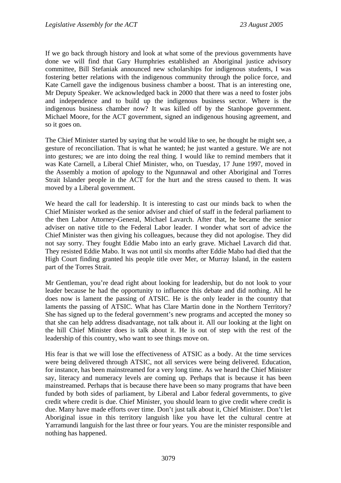If we go back through history and look at what some of the previous governments have done we will find that Gary Humphries established an Aboriginal justice advisory committee, Bill Stefaniak announced new scholarships for indigenous students, I was fostering better relations with the indigenous community through the police force, and Kate Carnell gave the indigenous business chamber a boost. That is an interesting one, Mr Deputy Speaker. We acknowledged back in 2000 that there was a need to foster jobs and independence and to build up the indigenous business sector. Where is the indigenous business chamber now? It was killed off by the Stanhope government. Michael Moore, for the ACT government, signed an indigenous housing agreement, and so it goes on.

The Chief Minister started by saying that he would like to see, he thought he might see, a gesture of reconciliation. That is what he wanted; he just wanted a gesture. We are not into gestures; we are into doing the real thing. I would like to remind members that it was Kate Carnell, a Liberal Chief Minister, who, on Tuesday, 17 June 1997, moved in the Assembly a motion of apology to the Ngunnawal and other Aboriginal and Torres Strait Islander people in the ACT for the hurt and the stress caused to them. It was moved by a Liberal government.

We heard the call for leadership. It is interesting to cast our minds back to when the Chief Minister worked as the senior adviser and chief of staff in the federal parliament to the then Labor Attorney-General, Michael Lavarch. After that, he became the senior adviser on native title to the Federal Labor leader. I wonder what sort of advice the Chief Minister was then giving his colleagues, because they did not apologise. They did not say sorry. They fought Eddie Mabo into an early grave. Michael Lavarch did that. They resisted Eddie Mabo. It was not until six months after Eddie Mabo had died that the High Court finding granted his people title over Mer, or Murray Island, in the eastern part of the Torres Strait.

Mr Gentleman, you're dead right about looking for leadership, but do not look to your leader because he had the opportunity to influence this debate and did nothing. All he does now is lament the passing of ATSIC. He is the only leader in the country that laments the passing of ATSIC. What has Clare Martin done in the Northern Territory? She has signed up to the federal government's new programs and accepted the money so that she can help address disadvantage, not talk about it. All our looking at the light on the hill Chief Minister does is talk about it. He is out of step with the rest of the leadership of this country, who want to see things move on.

His fear is that we will lose the effectiveness of ATSIC as a body. At the time services were being delivered through ATSIC, not all services were being delivered. Education, for instance, has been mainstreamed for a very long time. As we heard the Chief Minister say, literacy and numeracy levels are coming up. Perhaps that is because it has been mainstreamed. Perhaps that is because there have been so many programs that have been funded by both sides of parliament, by Liberal and Labor federal governments, to give credit where credit is due. Chief Minister, you should learn to give credit where credit is due. Many have made efforts over time. Don't just talk about it, Chief Minister. Don't let Aboriginal issue in this territory languish like you have let the cultural centre at Yarramundi languish for the last three or four years. You are the minister responsible and nothing has happened.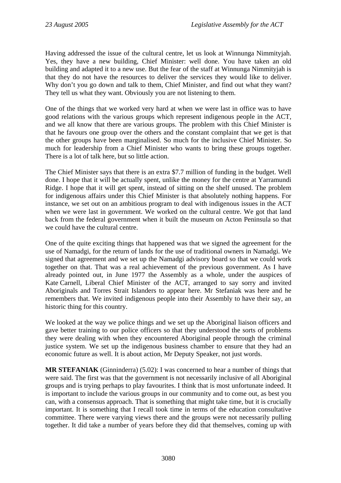Having addressed the issue of the cultural centre, let us look at Winnunga Nimmityjah. Yes, they have a new building, Chief Minister: well done. You have taken an old building and adapted it to a new use. But the fear of the staff at Winnunga Nimmityjah is that they do not have the resources to deliver the services they would like to deliver. Why don't you go down and talk to them, Chief Minister, and find out what they want? They tell us what they want. Obviously you are not listening to them.

One of the things that we worked very hard at when we were last in office was to have good relations with the various groups which represent indigenous people in the ACT, and we all know that there are various groups. The problem with this Chief Minister is that he favours one group over the others and the constant complaint that we get is that the other groups have been marginalised. So much for the inclusive Chief Minister. So much for leadership from a Chief Minister who wants to bring these groups together. There is a lot of talk here, but so little action.

The Chief Minister says that there is an extra \$7.7 million of funding in the budget. Well done. I hope that it will be actually spent, unlike the money for the centre at Yarramundi Ridge. I hope that it will get spent, instead of sitting on the shelf unused. The problem for indigenous affairs under this Chief Minister is that absolutely nothing happens. For instance, we set out on an ambitious program to deal with indigenous issues in the ACT when we were last in government. We worked on the cultural centre. We got that land back from the federal government when it built the museum on Acton Peninsula so that we could have the cultural centre.

One of the quite exciting things that happened was that we signed the agreement for the use of Namadgi, for the return of lands for the use of traditional owners in Namadgi. We signed that agreement and we set up the Namadgi advisory board so that we could work together on that. That was a real achievement of the previous government. As I have already pointed out, in June 1977 the Assembly as a whole, under the auspices of Kate Carnell, Liberal Chief Minister of the ACT, arranged to say sorry and invited Aboriginals and Torres Strait Islanders to appear here. Mr Stefaniak was here and he remembers that. We invited indigenous people into their Assembly to have their say, an historic thing for this country.

We looked at the way we police things and we set up the Aboriginal liaison officers and gave better training to our police officers so that they understood the sorts of problems they were dealing with when they encountered Aboriginal people through the criminal justice system. We set up the indigenous business chamber to ensure that they had an economic future as well. It is about action, Mr Deputy Speaker, not just words.

**MR STEFANIAK** (Ginninderra) (5.02): I was concerned to hear a number of things that were said. The first was that the government is not necessarily inclusive of all Aboriginal groups and is trying perhaps to play favourites. I think that is most unfortunate indeed. It is important to include the various groups in our community and to come out, as best you can, with a consensus approach. That is something that might take time, but it is crucially important. It is something that I recall took time in terms of the education consultative committee. There were varying views there and the groups were not necessarily pulling together. It did take a number of years before they did that themselves, coming up with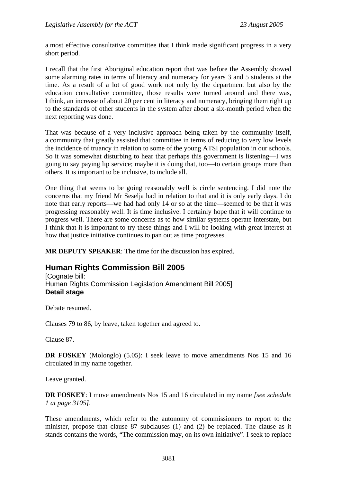a most effective consultative committee that I think made significant progress in a very short period.

I recall that the first Aboriginal education report that was before the Assembly showed some alarming rates in terms of literacy and numeracy for years 3 and 5 students at the time. As a result of a lot of good work not only by the department but also by the education consultative committee, those results were turned around and there was, I think, an increase of about 20 per cent in literacy and numeracy, bringing them right up to the standards of other students in the system after about a six-month period when the next reporting was done.

That was because of a very inclusive approach being taken by the community itself, a community that greatly assisted that committee in terms of reducing to very low levels the incidence of truancy in relation to some of the young ATSI population in our schools. So it was somewhat disturbing to hear that perhaps this government is listening—I was going to say paying lip service; maybe it is doing that, too—to certain groups more than others. It is important to be inclusive, to include all.

One thing that seems to be going reasonably well is circle sentencing. I did note the concerns that my friend Mr Seselja had in relation to that and it is only early days. I do note that early reports—we had had only 14 or so at the time—seemed to be that it was progressing reasonably well. It is time inclusive. I certainly hope that it will continue to progress well. There are some concerns as to how similar systems operate interstate, but I think that it is important to try these things and I will be looking with great interest at how that justice initiative continues to pan out as time progresses.

**MR DEPUTY SPEAKER**: The time for the discussion has expired.

# **Human Rights Commission Bill 2005**

[Cognate bill: Human Rights Commission Legislation Amendment Bill 2005] **Detail stage** 

Debate resumed.

Clauses 79 to 86, by leave, taken together and agreed to.

Clause 87.

**DR FOSKEY** (Molonglo) (5.05): I seek leave to move amendments Nos 15 and 16 circulated in my name together.

Leave granted.

**DR FOSKEY**: I move amendments Nos 15 and 16 circulated in my name *[see schedule 1 at page 3105]*.

These amendments, which refer to the autonomy of commissioners to report to the minister, propose that clause 87 subclauses (1) and (2) be replaced. The clause as it stands contains the words, "The commission may, on its own initiative". I seek to replace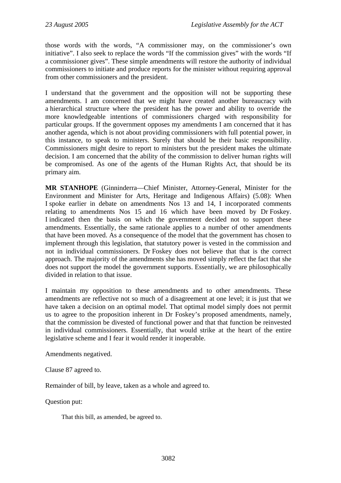those words with the words, "A commissioner may, on the commissioner's own initiative". I also seek to replace the words "If the commission gives" with the words "If a commissioner gives". These simple amendments will restore the authority of individual commissioners to initiate and produce reports for the minister without requiring approval from other commissioners and the president.

I understand that the government and the opposition will not be supporting these amendments. I am concerned that we might have created another bureaucracy with a hierarchical structure where the president has the power and ability to override the more knowledgeable intentions of commissioners charged with responsibility for particular groups. If the government opposes my amendments I am concerned that it has another agenda, which is not about providing commissioners with full potential power, in this instance, to speak to ministers. Surely that should be their basic responsibility. Commissioners might desire to report to ministers but the president makes the ultimate decision. I am concerned that the ability of the commission to deliver human rights will be compromised. As one of the agents of the Human Rights Act, that should be its primary aim.

**MR STANHOPE** (Ginninderra—Chief Minister, Attorney-General, Minister for the Environment and Minister for Arts, Heritage and Indigenous Affairs) (5.08): When I spoke earlier in debate on amendments Nos 13 and 14, I incorporated comments relating to amendments Nos 15 and 16 which have been moved by Dr Foskey. I indicated then the basis on which the government decided not to support these amendments. Essentially, the same rationale applies to a number of other amendments that have been moved. As a consequence of the model that the government has chosen to implement through this legislation, that statutory power is vested in the commission and not in individual commissioners. Dr Foskey does not believe that that is the correct approach. The majority of the amendments she has moved simply reflect the fact that she does not support the model the government supports. Essentially, we are philosophically divided in relation to that issue.

I maintain my opposition to these amendments and to other amendments. These amendments are reflective not so much of a disagreement at one level; it is just that we have taken a decision on an optimal model. That optimal model simply does not permit us to agree to the proposition inherent in Dr Foskey's proposed amendments, namely, that the commission be divested of functional power and that that function be reinvested in individual commissioners. Essentially, that would strike at the heart of the entire legislative scheme and I fear it would render it inoperable.

Amendments negatived.

Clause 87 agreed to.

Remainder of bill, by leave, taken as a whole and agreed to.

Question put:

That this bill, as amended, be agreed to.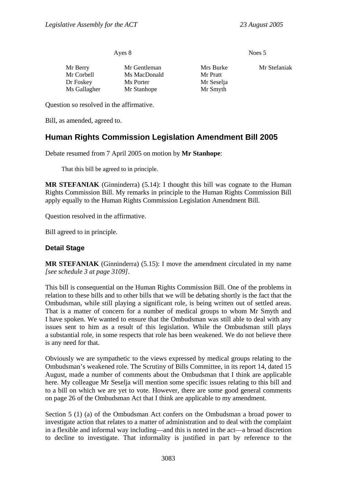| Ayes 8       |              | Noes 5     |              |
|--------------|--------------|------------|--------------|
| Mr Berry     | Mr Gentleman | Mrs Burke  | Mr Stefaniak |
| Mr Corbell   | Ms MacDonald | Mr Pratt   |              |
| Dr Foskey    | Ms Porter    | Mr Seselja |              |
| Ms Gallagher | Mr Stanhope  | Mr Smyth   |              |

Question so resolved in the affirmative.

Bill, as amended, agreed to.

# **Human Rights Commission Legislation Amendment Bill 2005**

Debate resumed from 7 April 2005 on motion by **Mr Stanhope**:

That this bill be agreed to in principle.

**MR STEFANIAK** (Ginninderra) (5.14): I thought this bill was cognate to the Human Rights Commission Bill. My remarks in principle to the Human Rights Commission Bill apply equally to the Human Rights Commission Legislation Amendment Bill.

Question resolved in the affirmative.

Bill agreed to in principle.

## **Detail Stage**

**MR STEFANIAK** (Ginninderra) (5.15): I move the amendment circulated in my name *[see schedule 3 at page 3109]*.

This bill is consequential on the Human Rights Commission Bill. One of the problems in relation to these bills and to other bills that we will be debating shortly is the fact that the Ombudsman, while still playing a significant role, is being written out of settled areas. That is a matter of concern for a number of medical groups to whom Mr Smyth and I have spoken. We wanted to ensure that the Ombudsman was still able to deal with any issues sent to him as a result of this legislation. While the Ombudsman still plays a substantial role, in some respects that role has been weakened. We do not believe there is any need for that.

Obviously we are sympathetic to the views expressed by medical groups relating to the Ombudsman's weakened role. The Scrutiny of Bills Committee, in its report 14, dated 15 August, made a number of comments about the Ombudsman that I think are applicable here. My colleague Mr Seselja will mention some specific issues relating to this bill and to a bill on which we are yet to vote. However, there are some good general comments on page 26 of the Ombudsman Act that I think are applicable to my amendment.

Section 5 (1) (a) of the Ombudsman Act confers on the Ombudsman a broad power to investigate action that relates to a matter of administration and to deal with the complaint in a flexible and informal way including—and this is noted in the act—a broad discretion to decline to investigate. That informality is justified in part by reference to the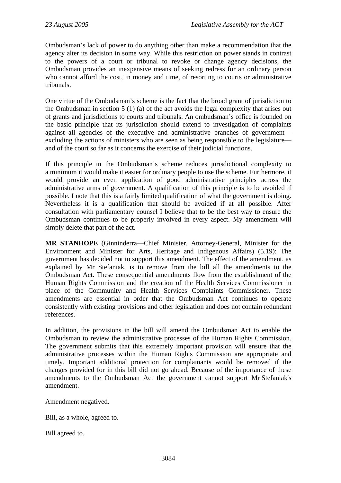Ombudsman's lack of power to do anything other than make a recommendation that the agency alter its decision in some way. While this restriction on power stands in contrast to the powers of a court or tribunal to revoke or change agency decisions, the Ombudsman provides an inexpensive means of seeking redress for an ordinary person who cannot afford the cost, in money and time, of resorting to courts or administrative tribunals.

One virtue of the Ombudsman's scheme is the fact that the broad grant of jurisdiction to the Ombudsman in section 5 (1) (a) of the act avoids the legal complexity that arises out of grants and jurisdictions to courts and tribunals. An ombudsman's office is founded on the basic principle that its jurisdiction should extend to investigation of complaints against all agencies of the executive and administrative branches of government excluding the actions of ministers who are seen as being responsible to the legislature and of the court so far as it concerns the exercise of their judicial functions.

If this principle in the Ombudsman's scheme reduces jurisdictional complexity to a minimum it would make it easier for ordinary people to use the scheme. Furthermore, it would provide an even application of good administrative principles across the administrative arms of government. A qualification of this principle is to be avoided if possible. I note that this is a fairly limited qualification of what the government is doing. Nevertheless it is a qualification that should be avoided if at all possible. After consultation with parliamentary counsel I believe that to be the best way to ensure the Ombudsman continues to be properly involved in every aspect. My amendment will simply delete that part of the act.

**MR STANHOPE** (Ginninderra—Chief Minister, Attorney-General, Minister for the Environment and Minister for Arts, Heritage and Indigenous Affairs) (5.19): The government has decided not to support this amendment. The effect of the amendment, as explained by Mr Stefaniak, is to remove from the bill all the amendments to the Ombudsman Act. These consequential amendments flow from the establishment of the Human Rights Commission and the creation of the Health Services Commissioner in place of the Community and Health Services Complaints Commissioner. These amendments are essential in order that the Ombudsman Act continues to operate consistently with existing provisions and other legislation and does not contain redundant references.

In addition, the provisions in the bill will amend the Ombudsman Act to enable the Ombudsman to review the administrative processes of the Human Rights Commission. The government submits that this extremely important provision will ensure that the administrative processes within the Human Rights Commission are appropriate and timely. Important additional protection for complainants would be removed if the changes provided for in this bill did not go ahead. Because of the importance of these amendments to the Ombudsman Act the government cannot support Mr Stefaniak's amendment.

Amendment negatived.

Bill, as a whole, agreed to.

Bill agreed to.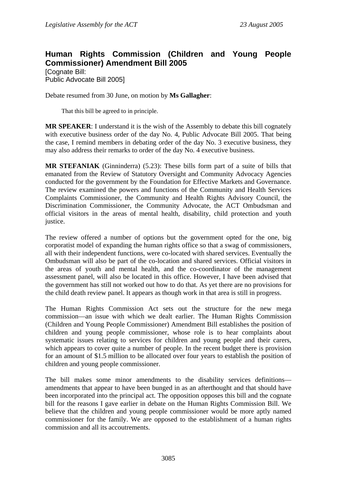# **Human Rights Commission (Children and Young People Commissioner) Amendment Bill 2005**

[Cognate Bill: Public Advocate Bill 2005]

Debate resumed from 30 June, on motion by **Ms Gallagher**:

That this bill be agreed to in principle.

**MR SPEAKER**: I understand it is the wish of the Assembly to debate this bill cognately with executive business order of the day No. 4, Public Advocate Bill 2005. That being the case, I remind members in debating order of the day No. 3 executive business, they may also address their remarks to order of the day No. 4 executive business.

**MR STEFANIAK** (Ginninderra) (5.23): These bills form part of a suite of bills that emanated from the Review of Statutory Oversight and Community Advocacy Agencies conducted for the government by the Foundation for Effective Markets and Governance. The review examined the powers and functions of the Community and Health Services Complaints Commissioner, the Community and Health Rights Advisory Council, the Discrimination Commissioner, the Community Advocate, the ACT Ombudsman and official visitors in the areas of mental health, disability, child protection and youth justice.

The review offered a number of options but the government opted for the one, big corporatist model of expanding the human rights office so that a swag of commissioners, all with their independent functions, were co-located with shared services. Eventually the Ombudsman will also be part of the co-location and shared services. Official visitors in the areas of youth and mental health, and the co-coordinator of the management assessment panel, will also be located in this office. However, I have been advised that the government has still not worked out how to do that. As yet there are no provisions for the child death review panel. It appears as though work in that area is still in progress.

The Human Rights Commission Act sets out the structure for the new mega commission—an issue with which we dealt earlier. The Human Rights Commission (Children and Young People Commissioner) Amendment Bill establishes the position of children and young people commissioner, whose role is to hear complaints about systematic issues relating to services for children and young people and their carers, which appears to cover quite a number of people. In the recent budget there is provision for an amount of \$1.5 million to be allocated over four years to establish the position of children and young people commissioner.

The bill makes some minor amendments to the disability services definitions amendments that appear to have been bunged in as an afterthought and that should have been incorporated into the principal act. The opposition opposes this bill and the cognate bill for the reasons I gave earlier in debate on the Human Rights Commission Bill. We believe that the children and young people commissioner would be more aptly named commissioner for the family. We are opposed to the establishment of a human rights commission and all its accoutrements.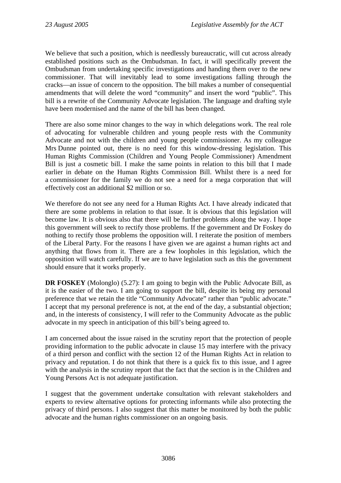We believe that such a position, which is needlessly bureaucratic, will cut across already established positions such as the Ombudsman. In fact, it will specifically prevent the Ombudsman from undertaking specific investigations and handing them over to the new commissioner. That will inevitably lead to some investigations falling through the cracks—an issue of concern to the opposition. The bill makes a number of consequential amendments that will delete the word "community" and insert the word "public". This bill is a rewrite of the Community Advocate legislation. The language and drafting style have been modernised and the name of the bill has been changed.

There are also some minor changes to the way in which delegations work. The real role of advocating for vulnerable children and young people rests with the Community Advocate and not with the children and young people commissioner. As my colleague Mrs Dunne pointed out, there is no need for this window-dressing legislation. This Human Rights Commission (Children and Young People Commissioner) Amendment Bill is just a cosmetic bill. I make the same points in relation to this bill that I made earlier in debate on the Human Rights Commission Bill. Whilst there is a need for a commissioner for the family we do not see a need for a mega corporation that will effectively cost an additional \$2 million or so.

We therefore do not see any need for a Human Rights Act. I have already indicated that there are some problems in relation to that issue. It is obvious that this legislation will become law. It is obvious also that there will be further problems along the way. I hope this government will seek to rectify those problems. If the government and Dr Foskey do nothing to rectify those problems the opposition will. I reiterate the position of members of the Liberal Party. For the reasons I have given we are against a human rights act and anything that flows from it. There are a few loopholes in this legislation, which the opposition will watch carefully. If we are to have legislation such as this the government should ensure that it works properly.

**DR FOSKEY** (Molonglo) (5.27): I am going to begin with the Public Advocate Bill, as it is the easier of the two. I am going to support the bill, despite its being my personal preference that we retain the title "Community Advocate" rather than "public advocate." I accept that my personal preference is not, at the end of the day, a substantial objection; and, in the interests of consistency, I will refer to the Community Advocate as the public advocate in my speech in anticipation of this bill's being agreed to.

I am concerned about the issue raised in the scrutiny report that the protection of people providing information to the public advocate in clause 15 may interfere with the privacy of a third person and conflict with the section 12 of the Human Rights Act in relation to privacy and reputation. I do not think that there is a quick fix to this issue, and I agree with the analysis in the scrutiny report that the fact that the section is in the Children and Young Persons Act is not adequate justification.

I suggest that the government undertake consultation with relevant stakeholders and experts to review alternative options for protecting informants while also protecting the privacy of third persons. I also suggest that this matter be monitored by both the public advocate and the human rights commissioner on an ongoing basis.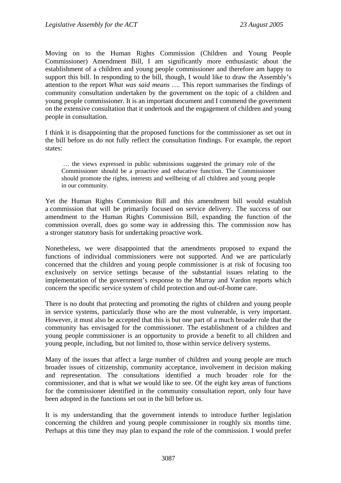Moving on to the Human Rights Commission (Children and Young People Commissioner) Amendment Bill, I am significantly more enthusiastic about the establishment of a children and young people commissioner and therefore am happy to support this bill. In responding to the bill, though, I would like to draw the Assembly's attention to the report *What was said means …*. This report summarises the findings of community consultation undertaken by the government on the topic of a children and young people commissioner. It is an important document and I commend the government on the extensive consultation that it undertook and the engagement of children and young people in consultation.

I think it is disappointing that the proposed functions for the commissioner as set out in the bill before us do not fully reflect the consultation findings. For example, the report states:

 … the views expressed in public submissions suggested the primary role of the Commissioner should be a proactive and educative function. The Commissioner should promote the rights, interests and wellbeing of all children and young people in our community.

Yet the Human Rights Commission Bill and this amendment bill would establish a commission that will be primarily focused on service delivery. The success of our amendment to the Human Rights Commission Bill, expanding the function of the commission overall, does go some way in addressing this. The commission now has a stronger statutory basis for undertaking proactive work.

Nonetheless, we were disappointed that the amendments proposed to expand the functions of individual commissioners were not supported. And we are particularly concerned that the children and young people commissioner is at risk of focusing too exclusively on service settings because of the substantial issues relating to the implementation of the government's response to the Murray and Vardon reports which concern the specific service system of child protection and out-of-home care.

There is no doubt that protecting and promoting the rights of children and young people in service systems, particularly those who are the most vulnerable, is very important. However, it must also be accepted that this is but one part of a much broader role that the community has envisaged for the commissioner. The establishment of a children and young people commissioner is an opportunity to provide a benefit to all children and young people, including, but not limited to, those within service delivery systems.

Many of the issues that affect a large number of children and young people are much broader issues of citizenship, community acceptance, involvement in decision making and representation. The consultations identified a much broader role for the commissioner, and that is what we would like to see. Of the eight key areas of functions for the commissioner identified in the community consultation report, only four have been adopted in the functions set out in the bill before us.

It is my understanding that the government intends to introduce further legislation concerning the children and young people commissioner in roughly six months time. Perhaps at this time they may plan to expand the role of the commission. I would prefer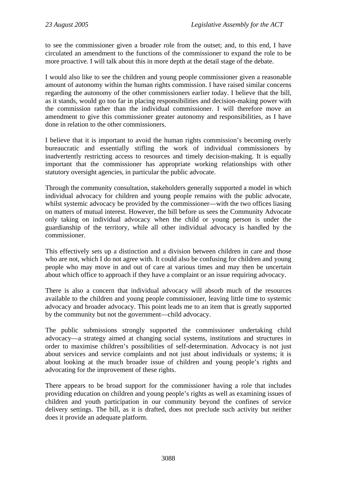to see the commissioner given a broader role from the outset; and, to this end, I have circulated an amendment to the functions of the commissioner to expand the role to be more proactive. I will talk about this in more depth at the detail stage of the debate.

I would also like to see the children and young people commissioner given a reasonable amount of autonomy within the human rights commission. I have raised similar concerns regarding the autonomy of the other commissioners earlier today. I believe that the bill, as it stands, would go too far in placing responsibilities and decision-making power with the commission rather than the individual commissioner. I will therefore move an amendment to give this commissioner greater autonomy and responsibilities, as I have done in relation to the other commissioners.

I believe that it is important to avoid the human rights commission's becoming overly bureaucratic and essentially stifling the work of individual commissioners by inadvertently restricting access to resources and timely decision-making. It is equally important that the commissioner has appropriate working relationships with other statutory oversight agencies, in particular the public advocate.

Through the community consultation, stakeholders generally supported a model in which individual advocacy for children and young people remains with the public advocate, whilst systemic advocacy be provided by the commissioner—with the two offices liasing on matters of mutual interest. However, the bill before us sees the Community Advocate only taking on individual advocacy when the child or young person is under the guardianship of the territory, while all other individual advocacy is handled by the commissioner.

This effectively sets up a distinction and a division between children in care and those who are not, which I do not agree with. It could also be confusing for children and young people who may move in and out of care at various times and may then be uncertain about which office to approach if they have a complaint or an issue requiring advocacy.

There is also a concern that individual advocacy will absorb much of the resources available to the children and young people commissioner, leaving little time to systemic advocacy and broader advocacy. This point leads me to an item that is greatly supported by the community but not the government—child advocacy.

The public submissions strongly supported the commissioner undertaking child advocacy—a strategy aimed at changing social systems, institutions and structures in order to maximise children's possibilities of self-determination. Advocacy is not just about services and service complaints and not just about individuals or systems; it is about looking at the much broader issue of children and young people's rights and advocating for the improvement of these rights.

There appears to be broad support for the commissioner having a role that includes providing education on children and young people's rights as well as examining issues of children and youth participation in our community beyond the confines of service delivery settings. The bill, as it is drafted, does not preclude such activity but neither does it provide an adequate platform.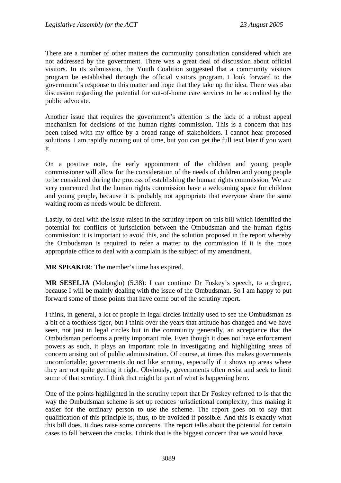There are a number of other matters the community consultation considered which are not addressed by the government. There was a great deal of discussion about official visitors. In its submission, the Youth Coalition suggested that a community visitors program be established through the official visitors program. I look forward to the government's response to this matter and hope that they take up the idea. There was also discussion regarding the potential for out-of-home care services to be accredited by the public advocate.

Another issue that requires the government's attention is the lack of a robust appeal mechanism for decisions of the human rights commission. This is a concern that has been raised with my office by a broad range of stakeholders. I cannot hear proposed solutions. I am rapidly running out of time, but you can get the full text later if you want it.

On a positive note, the early appointment of the children and young people commissioner will allow for the consideration of the needs of children and young people to be considered during the process of establishing the human rights commission. We are very concerned that the human rights commission have a welcoming space for children and young people, because it is probably not appropriate that everyone share the same waiting room as needs would be different.

Lastly, to deal with the issue raised in the scrutiny report on this bill which identified the potential for conflicts of jurisdiction between the Ombudsman and the human rights commission: it is important to avoid this, and the solution proposed in the report whereby the Ombudsman is required to refer a matter to the commission if it is the more appropriate office to deal with a complain is the subject of my amendment.

**MR SPEAKER**: The member's time has expired.

**MR SESELJA** (Molonglo) (5.38): I can continue Dr Foskey's speech, to a degree, because I will be mainly dealing with the issue of the Ombudsman. So I am happy to put forward some of those points that have come out of the scrutiny report.

I think, in general, a lot of people in legal circles initially used to see the Ombudsman as a bit of a toothless tiger, but I think over the years that attitude has changed and we have seen, not just in legal circles but in the community generally, an acceptance that the Ombudsman performs a pretty important role. Even though it does not have enforcement powers as such, it plays an important role in investigating and highlighting areas of concern arising out of public administration. Of course, at times this makes governments uncomfortable; governments do not like scrutiny, especially if it shows up areas where they are not quite getting it right. Obviously, governments often resist and seek to limit some of that scrutiny. I think that might be part of what is happening here.

One of the points highlighted in the scrutiny report that Dr Foskey referred to is that the way the Ombudsman scheme is set up reduces jurisdictional complexity, thus making it easier for the ordinary person to use the scheme. The report goes on to say that qualification of this principle is, thus, to be avoided if possible. And this is exactly what this bill does. It does raise some concerns. The report talks about the potential for certain cases to fall between the cracks. I think that is the biggest concern that we would have.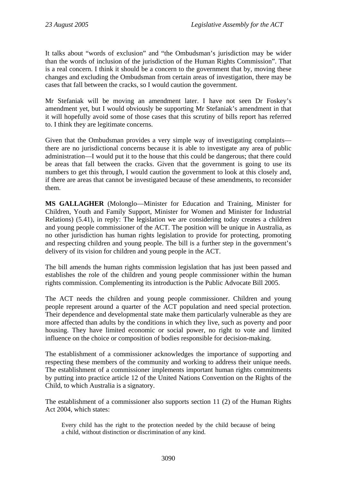It talks about "words of exclusion" and "the Ombudsman's jurisdiction may be wider than the words of inclusion of the jurisdiction of the Human Rights Commission". That is a real concern. I think it should be a concern to the government that by, moving these changes and excluding the Ombudsman from certain areas of investigation, there may be cases that fall between the cracks, so I would caution the government.

Mr Stefaniak will be moving an amendment later. I have not seen Dr Foskey's amendment yet, but I would obviously be supporting Mr Stefaniak's amendment in that it will hopefully avoid some of those cases that this scrutiny of bills report has referred to. I think they are legitimate concerns.

Given that the Ombudsman provides a very simple way of investigating complaints there are no jurisdictional concerns because it is able to investigate any area of public administration—I would put it to the house that this could be dangerous; that there could be areas that fall between the cracks. Given that the government is going to use its numbers to get this through, I would caution the government to look at this closely and, if there are areas that cannot be investigated because of these amendments, to reconsider them.

**MS GALLAGHER** (Molonglo—Minister for Education and Training, Minister for Children, Youth and Family Support, Minister for Women and Minister for Industrial Relations) (5.41), in reply: The legislation we are considering today creates a children and young people commissioner of the ACT. The position will be unique in Australia, as no other jurisdiction has human rights legislation to provide for protecting, promoting and respecting children and young people. The bill is a further step in the government's delivery of its vision for children and young people in the ACT.

The bill amends the human rights commission legislation that has just been passed and establishes the role of the children and young people commissioner within the human rights commission. Complementing its introduction is the Public Advocate Bill 2005.

The ACT needs the children and young people commissioner. Children and young people represent around a quarter of the ACT population and need special protection. Their dependence and developmental state make them particularly vulnerable as they are more affected than adults by the conditions in which they live, such as poverty and poor housing. They have limited economic or social power, no right to vote and limited influence on the choice or composition of bodies responsible for decision-making.

The establishment of a commissioner acknowledges the importance of supporting and respecting these members of the community and working to address their unique needs. The establishment of a commissioner implements important human rights commitments by putting into practice article 12 of the United Nations Convention on the Rights of the Child, to which Australia is a signatory.

The establishment of a commissioner also supports section 11 (2) of the Human Rights Act 2004, which states:

Every child has the right to the protection needed by the child because of being a child, without distinction or discrimination of any kind.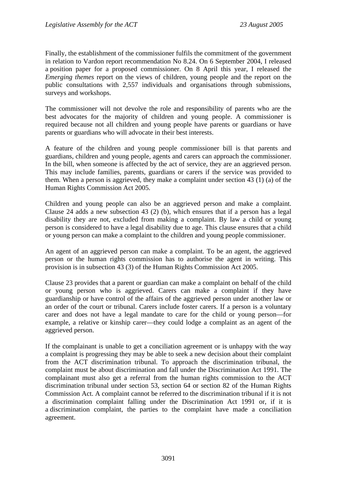Finally, the establishment of the commissioner fulfils the commitment of the government in relation to Vardon report recommendation No 8.24. On 6 September 2004, I released a position paper for a proposed commissioner. On 8 April this year, I released the *Emerging themes* report on the views of children, young people and the report on the public consultations with 2,557 individuals and organisations through submissions, surveys and workshops.

The commissioner will not devolve the role and responsibility of parents who are the best advocates for the majority of children and young people. A commissioner is required because not all children and young people have parents or guardians or have parents or guardians who will advocate in their best interests.

A feature of the children and young people commissioner bill is that parents and guardians, children and young people, agents and carers can approach the commissioner. In the bill, when someone is affected by the act of service, they are an aggrieved person. This may include families, parents, guardians or carers if the service was provided to them. When a person is aggrieved, they make a complaint under section 43 (1) (a) of the Human Rights Commission Act 2005.

Children and young people can also be an aggrieved person and make a complaint. Clause 24 adds a new subsection 43 (2) (b), which ensures that if a person has a legal disability they are not, excluded from making a complaint. By law a child or young person is considered to have a legal disability due to age. This clause ensures that a child or young person can make a complaint to the children and young people commissioner.

An agent of an aggrieved person can make a complaint. To be an agent, the aggrieved person or the human rights commission has to authorise the agent in writing. This provision is in subsection 43 (3) of the Human Rights Commission Act 2005.

Clause 23 provides that a parent or guardian can make a complaint on behalf of the child or young person who is aggrieved. Carers can make a complaint if they have guardianship or have control of the affairs of the aggrieved person under another law or an order of the court or tribunal. Carers include foster carers. If a person is a voluntary carer and does not have a legal mandate to care for the child or young person—for example, a relative or kinship carer—they could lodge a complaint as an agent of the aggrieved person.

If the complainant is unable to get a conciliation agreement or is unhappy with the way a complaint is progressing they may be able to seek a new decision about their complaint from the ACT discrimination tribunal. To approach the discrimination tribunal, the complaint must be about discrimination and fall under the Discrimination Act 1991. The complainant must also get a referral from the human rights commission to the ACT discrimination tribunal under section 53, section 64 or section 82 of the Human Rights Commission Act. A complaint cannot be referred to the discrimination tribunal if it is not a discrimination complaint falling under the Discrimination Act 1991 or, if it is a discrimination complaint, the parties to the complaint have made a conciliation agreement.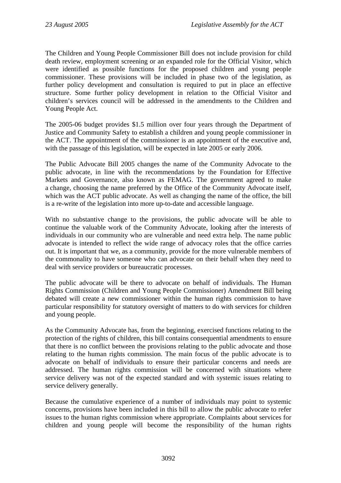The Children and Young People Commissioner Bill does not include provision for child death review, employment screening or an expanded role for the Official Visitor, which were identified as possible functions for the proposed children and young people commissioner. These provisions will be included in phase two of the legislation, as further policy development and consultation is required to put in place an effective structure. Some further policy development in relation to the Official Visitor and children's services council will be addressed in the amendments to the Children and Young People Act.

The 2005-06 budget provides \$1.5 million over four years through the Department of Justice and Community Safety to establish a children and young people commissioner in the ACT. The appointment of the commissioner is an appointment of the executive and, with the passage of this legislation, will be expected in late 2005 or early 2006.

The Public Advocate Bill 2005 changes the name of the Community Advocate to the public advocate, in line with the recommendations by the Foundation for Effective Markets and Governance, also known as FEMAG. The government agreed to make a change, choosing the name preferred by the Office of the Community Advocate itself, which was the ACT public advocate. As well as changing the name of the office, the bill is a re-write of the legislation into more up-to-date and accessible language.

With no substantive change to the provisions, the public advocate will be able to continue the valuable work of the Community Advocate, looking after the interests of individuals in our community who are vulnerable and need extra help. The name public advocate is intended to reflect the wide range of advocacy roles that the office carries out. It is important that we, as a community, provide for the more vulnerable members of the commonality to have someone who can advocate on their behalf when they need to deal with service providers or bureaucratic processes.

The public advocate will be there to advocate on behalf of individuals. The Human Rights Commission (Children and Young People Commissioner) Amendment Bill being debated will create a new commissioner within the human rights commission to have particular responsibility for statutory oversight of matters to do with services for children and young people.

As the Community Advocate has, from the beginning, exercised functions relating to the protection of the rights of children, this bill contains consequential amendments to ensure that there is no conflict between the provisions relating to the public advocate and those relating to the human rights commission. The main focus of the public advocate is to advocate on behalf of individuals to ensure their particular concerns and needs are addressed. The human rights commission will be concerned with situations where service delivery was not of the expected standard and with systemic issues relating to service delivery generally.

Because the cumulative experience of a number of individuals may point to systemic concerns, provisions have been included in this bill to allow the public advocate to refer issues to the human rights commission where appropriate. Complaints about services for children and young people will become the responsibility of the human rights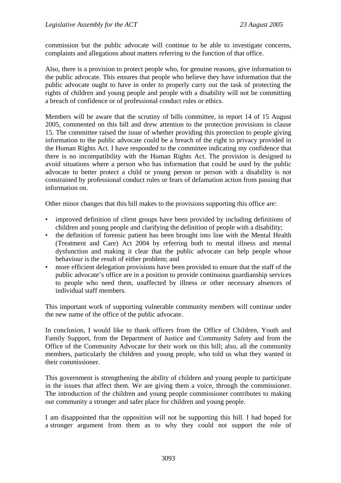commission but the public advocate will continue to be able to investigate concerns, complaints and allegations about matters referring to the function of that office.

Also, there is a provision to protect people who, for genuine reasons, give information to the public advocate. This ensures that people who believe they have information that the public advocate ought to have in order to properly carry out the task of protecting the rights of children and young people and people with a disability will not be committing a breach of confidence or of professional conduct rules or ethics.

Members will be aware that the scrutiny of bills committee, in report 14 of 15 August 2005, commented on this bill and drew attention to the protection provisions in clause 15. The committee raised the issue of whether providing this protection to people giving information to the public advocate could be a breach of the right to privacy provided in the Human Rights Act. I have responded to the committee indicating my confidence that there is no incompatibility with the Human Rights Act. The provision is designed to avoid situations where a person who has information that could be used by the public advocate to better protect a child or young person or person with a disability is not constrained by professional conduct rules or fears of defamation action from passing that information on.

Other minor changes that this bill makes to the provisions supporting this office are:

- improved definition of client groups have been provided by including definitions of children and young people and clarifying the definition of people with a disability;
- the definition of forensic patient has been brought into line with the Mental Health (Treatment and Care) Act 2004 by referring both to mental illness and mental dysfunction and making it clear that the public advocate can help people whose behaviour is the result of either problem; and
- more efficient delegation provisions have been provided to ensure that the staff of the public advocate's office are in a position to provide continuous guardianship services to people who need them, unaffected by illness or other necessary absences of individual staff members.

This important work of supporting vulnerable community members will continue under the new name of the office of the public advocate.

In conclusion, I would like to thank officers from the Office of Children, Youth and Family Support, from the Department of Justice and Community Safety and from the Office of the Community Advocate for their work on this bill; also, all the community members, particularly the children and young people, who told us what they wanted in their commissioner.

This government is strengthening the ability of children and young people to participate in the issues that affect them. We are giving them a voice, through the commissioner. The introduction of the children and young people commissioner contributes to making our community a stronger and safer place for children and young people.

I am disappointed that the opposition will not be supporting this bill. I had hoped for a stronger argument from them as to why they could not support the role of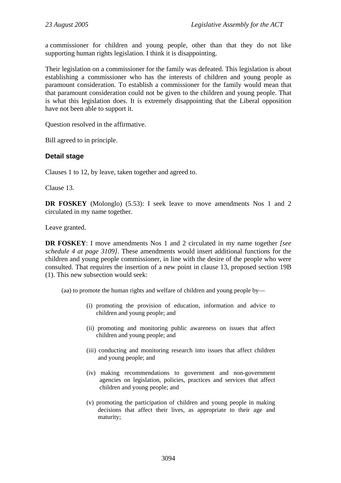a commissioner for children and young people, other than that they do not like supporting human rights legislation. I think it is disappointing.

Their legislation on a commissioner for the family was defeated. This legislation is about establishing a commissioner who has the interests of children and young people as paramount consideration. To establish a commissioner for the family would mean that that paramount consideration could not be given to the children and young people. That is what this legislation does. It is extremely disappointing that the Liberal opposition have not been able to support it.

Question resolved in the affirmative.

Bill agreed to in principle.

## **Detail stage**

Clauses 1 to 12, by leave, taken together and agreed to.

Clause 13.

**DR FOSKEY** (Molonglo) (5.53): I seek leave to move amendments Nos 1 and 2 circulated in my name together.

Leave granted.

**DR FOSKEY**: I move amendments Nos 1 and 2 circulated in my name together *[see schedule 4 at page 3109]*. These amendments would insert additional functions for the children and young people commissioner, in line with the desire of the people who were consulted. That requires the insertion of a new point in clause 13, proposed section 19B (1). This new subsection would seek:

(aa) to promote the human rights and welfare of children and young people by—

- (i) promoting the provision of education, information and advice to children and young people; and
- (ii) promoting and monitoring public awareness on issues that affect children and young people; and
- (iii) conducting and monitoring research into issues that affect children and young people; and
- (iv) making recommendations to government and non-government agencies on legislation, policies, practices and services that affect children and young people; and
- (v) promoting the participation of children and young people in making decisions that affect their lives, as appropriate to their age and maturity;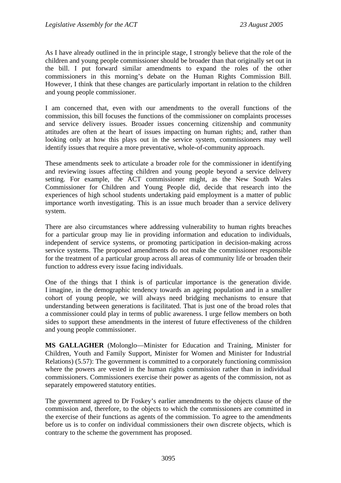As I have already outlined in the in principle stage, I strongly believe that the role of the children and young people commissioner should be broader than that originally set out in the bill. I put forward similar amendments to expand the roles of the other commissioners in this morning's debate on the Human Rights Commission Bill. However, I think that these changes are particularly important in relation to the children and young people commissioner.

I am concerned that, even with our amendments to the overall functions of the commission, this bill focuses the functions of the commissioner on complaints processes and service delivery issues. Broader issues concerning citizenship and community attitudes are often at the heart of issues impacting on human rights; and, rather than looking only at how this plays out in the service system, commissioners may well identify issues that require a more preventative, whole-of-community approach.

These amendments seek to articulate a broader role for the commissioner in identifying and reviewing issues affecting children and young people beyond a service delivery setting. For example, the ACT commissioner might, as the New South Wales Commissioner for Children and Young People did, decide that research into the experiences of high school students undertaking paid employment is a matter of public importance worth investigating. This is an issue much broader than a service delivery system.

There are also circumstances where addressing vulnerability to human rights breaches for a particular group may lie in providing information and education to individuals, independent of service systems, or promoting participation in decision-making across service systems. The proposed amendments do not make the commissioner responsible for the treatment of a particular group across all areas of community life or broaden their function to address every issue facing individuals.

One of the things that I think is of particular importance is the generation divide. I imagine, in the demographic tendency towards an ageing population and in a smaller cohort of young people, we will always need bridging mechanisms to ensure that understanding between generations is facilitated. That is just one of the broad roles that a commissioner could play in terms of public awareness. I urge fellow members on both sides to support these amendments in the interest of future effectiveness of the children and young people commissioner.

**MS GALLAGHER** (Molonglo—Minister for Education and Training, Minister for Children, Youth and Family Support, Minister for Women and Minister for Industrial Relations) (5.57): The government is committed to a corporately functioning commission where the powers are vested in the human rights commission rather than in individual commissioners. Commissioners exercise their power as agents of the commission, not as separately empowered statutory entities.

The government agreed to Dr Foskey's earlier amendments to the objects clause of the commission and, therefore, to the objects to which the commissioners are committed in the exercise of their functions as agents of the commission. To agree to the amendments before us is to confer on individual commissioners their own discrete objects, which is contrary to the scheme the government has proposed.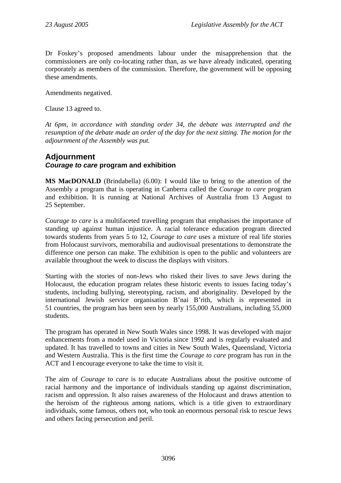Dr Foskey's proposed amendments labour under the misapprehension that the commissioners are only co-locating rather than, as we have already indicated, operating corporately as members of the commission. Therefore, the government will be opposing these amendments.

Amendments negatived.

Clause 13 agreed to.

*At 6pm, in accordance with standing order 34, the debate was interrupted and the resumption of the debate made an order of the day for the next sitting. The motion for the adjournment of the Assembly was put.* 

# **Adjournment**  *Courage to care* **program and exhibition**

**MS MacDONALD** (Brindabella) (6.00): I would like to bring to the attention of the Assembly a program that is operating in Canberra called the *Courage to care* program and exhibition. It is running at National Archives of Australia from 13 August to 25 September.

*Courage to care* is a multifaceted travelling program that emphasises the importance of standing up against human injustice. A racial tolerance education program directed towards students from years 5 to 12, *Courage to care* uses a mixture of real life stories from Holocaust survivors, memorabilia and audiovisual presentations to demonstrate the difference one person can make. The exhibition is open to the public and volunteers are available throughout the week to discuss the displays with visitors.

Starting with the stories of non-Jews who risked their lives to save Jews during the Holocaust, the education program relates these historic events to issues facing today's students, including bullying, stereotyping, racism, and aboriginality. Developed by the international Jewish service organisation B'nai B'rith, which is represented in 51 countries, the program has been seen by nearly 155,000 Australians, including 55,000 students.

The program has operated in New South Wales since 1998. It was developed with major enhancements from a model used in Victoria since 1992 and is regularly evaluated and updated. It has travelled to towns and cities in New South Wales, Queensland, Victoria and Western Australia. This is the first time the *Courage to care* program has run in the ACT and I encourage everyone to take the time to visit it.

The aim of *Courage to care* is to educate Australians about the positive outcome of racial harmony and the importance of individuals standing up against discrimination, racism and oppression. It also raises awareness of the Holocaust and draws attention to the heroism of the righteous among nations, which is a title given to extraordinary individuals, some famous, others not, who took an enormous personal risk to rescue Jews and others facing persecution and peril.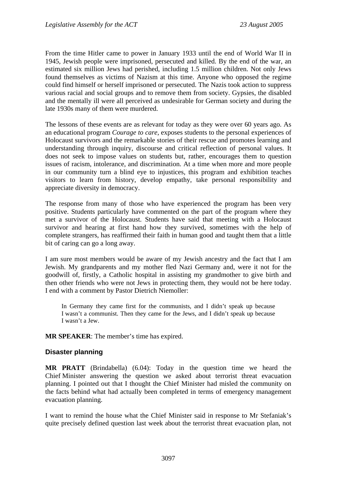From the time Hitler came to power in January 1933 until the end of World War II in 1945, Jewish people were imprisoned, persecuted and killed. By the end of the war, an estimated six million Jews had perished, including 1.5 million children. Not only Jews found themselves as victims of Nazism at this time. Anyone who opposed the regime could find himself or herself imprisoned or persecuted. The Nazis took action to suppress various racial and social groups and to remove them from society. Gypsies, the disabled and the mentally ill were all perceived as undesirable for German society and during the late 1930s many of them were murdered.

The lessons of these events are as relevant for today as they were over 60 years ago. As an educational program *Courage to care*, exposes students to the personal experiences of Holocaust survivors and the remarkable stories of their rescue and promotes learning and understanding through inquiry, discourse and critical reflection of personal values. It does not seek to impose values on students but, rather, encourages them to question issues of racism, intolerance, and discrimination. At a time when more and more people in our community turn a blind eye to injustices, this program and exhibition teaches visitors to learn from history, develop empathy, take personal responsibility and appreciate diversity in democracy.

The response from many of those who have experienced the program has been very positive. Students particularly have commented on the part of the program where they met a survivor of the Holocaust. Students have said that meeting with a Holocaust survivor and hearing at first hand how they survived, sometimes with the help of complete strangers, has reaffirmed their faith in human good and taught them that a little bit of caring can go a long away.

I am sure most members would be aware of my Jewish ancestry and the fact that I am Jewish. My grandparents and my mother fled Nazi Germany and, were it not for the goodwill of, firstly, a Catholic hospital in assisting my grandmother to give birth and then other friends who were not Jews in protecting them, they would not be here today. I end with a comment by Pastor Dietrich Niemoller:

In Germany they came first for the communists, and I didn't speak up because I wasn't a communist. Then they came for the Jews, and I didn't speak up because I wasn't a Jew.

**MR SPEAKER**: The member's time has expired.

## **Disaster planning**

**MR PRATT** (Brindabella) (6.04): Today in the question time we heard the Chief Minister answering the question we asked about terrorist threat evacuation planning. I pointed out that I thought the Chief Minister had misled the community on the facts behind what had actually been completed in terms of emergency management evacuation planning.

I want to remind the house what the Chief Minister said in response to Mr Stefaniak's quite precisely defined question last week about the terrorist threat evacuation plan, not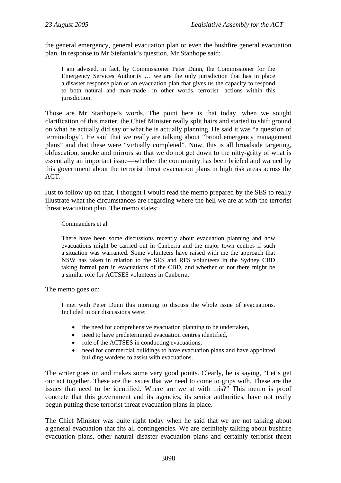the general emergency, general evacuation plan or even the bushfire general evacuation plan. In response to Mr Stefaniak's question, Mr Stanhope said:

I am advised, in fact, by Commissioner Peter Dunn, the Commissioner for the Emergency Services Authority … we are the only jurisdiction that has in place a disaster response plan or an evacuation plan that gives us the capacity to respond to both natural and man-made—in other words, terrorist—actions within this jurisdiction.

Those are Mr Stanhope's words. The point here is that today, when we sought clarification of this matter, the Chief Minister really split hairs and started to shift ground on what he actually did say or what he is actually planning. He said it was "a question of terminology". He said that we really are talking about "broad emergency management plans" and that these were "virtually completed". Now, this is all broadside targeting, obfuscation, smoke and mirrors so that we do not get down to the nitty-gritty of what is essentially an important issue—whether the community has been briefed and warned by this government about the terrorist threat evacuation plans in high risk areas across the ACT.

Just to follow up on that, I thought I would read the memo prepared by the SES to really illustrate what the circumstances are regarding where the hell we are at with the terrorist threat evacuation plan. The memo states:

### Commanders et al

There have been some discussions recently about evacuation planning and how evacuations might be carried out in Canberra and the major town centres if such a situation was warranted. Some volunteers have raised with me the approach that NSW has taken in relation to the SES and RFS volunteers in the Sydney CBD taking formal part in evacuations of the CBD, and whether or not there might be a similar role for ACTSES volunteers in Canberra.

The memo goes on:

I met with Peter Dunn this morning to discuss the whole issue of evacuations. Included in our discussions were:

- the need for comprehensive evacuation planning to be undertaken,
- need to have predetermined evacuation centres identified,
- role of the ACTSES in conducting evacuations,
- need for commercial buildings to have evacuation plans and have appointed building wardens to assist with evacuations.

The writer goes on and makes some very good points. Clearly, he is saying, "Let's get our act together. These are the issues that we need to come to grips with. These are the issues that need to be identified. Where are we at with this?" This memo is proof concrete that this government and its agencies, its senior authorities, have not really begun putting these terrorist threat evacuation plans in place.

The Chief Minister was quite right today when he said that we are not talking about a general evacuation that fits all contingencies. We are definitely talking about bushfire evacuation plans, other natural disaster evacuation plans and certainly terrorist threat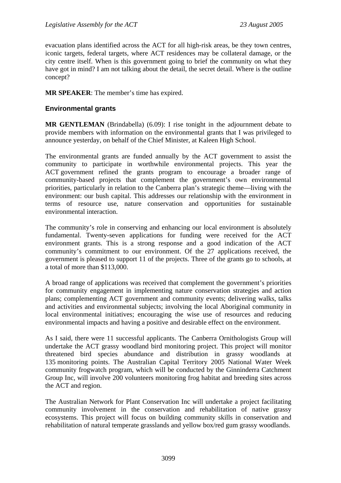evacuation plans identified across the ACT for all high-risk areas, be they town centres, iconic targets, federal targets, where ACT residences may be collateral damage, or the city centre itself. When is this government going to brief the community on what they have got in mind? I am not talking about the detail, the secret detail. Where is the outline concept?

**MR SPEAKER**: The member's time has expired.

## **Environmental grants**

**MR GENTLEMAN** (Brindabella) (6.09): I rise tonight in the adjournment debate to provide members with information on the environmental grants that I was privileged to announce yesterday, on behalf of the Chief Minister, at Kaleen High School.

The environmental grants are funded annually by the ACT government to assist the community to participate in worthwhile environmental projects. This year the ACT government refined the grants program to encourage a broader range of community-based projects that complement the government's own environmental priorities, particularly in relation to the Canberra plan's strategic theme—living with the environment: our bush capital. This addresses our relationship with the environment in terms of resource use, nature conservation and opportunities for sustainable environmental interaction.

The community's role in conserving and enhancing our local environment is absolutely fundamental. Twenty-seven applications for funding were received for the ACT environment grants. This is a strong response and a good indication of the ACT community's commitment to our environment. Of the 27 applications received, the government is pleased to support 11 of the projects. Three of the grants go to schools, at a total of more than \$113,000.

A broad range of applications was received that complement the government's priorities for community engagement in implementing nature conservation strategies and action plans; complementing ACT government and community events; delivering walks, talks and activities and environmental subjects; involving the local Aboriginal community in local environmental initiatives; encouraging the wise use of resources and reducing environmental impacts and having a positive and desirable effect on the environment.

As I said, there were 11 successful applicants. The Canberra Ornithologists Group will undertake the ACT grassy woodland bird monitoring project. This project will monitor threatened bird species abundance and distribution in grassy woodlands at 135 monitoring points. The Australian Capital Territory 2005 National Water Week community frogwatch program, which will be conducted by the Ginninderra Catchment Group Inc, will involve 200 volunteers monitoring frog habitat and breeding sites across the ACT and region.

The Australian Network for Plant Conservation Inc will undertake a project facilitating community involvement in the conservation and rehabilitation of native grassy ecosystems. This project will focus on building community skills in conservation and rehabilitation of natural temperate grasslands and yellow box/red gum grassy woodlands.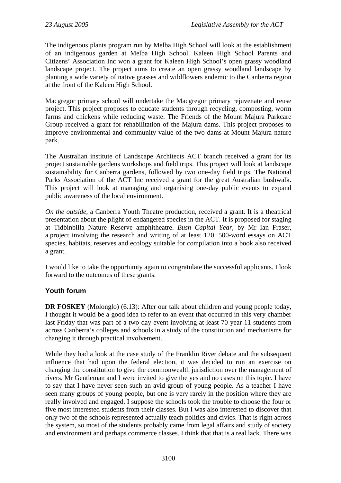The indigenous plants program run by Melba High School will look at the establishment of an indigenous garden at Melba High School. Kaleen High School Parents and Citizens' Association Inc won a grant for Kaleen High School's open grassy woodland landscape project. The project aims to create an open grassy woodland landscape by planting a wide variety of native grasses and wildflowers endemic to the Canberra region at the front of the Kaleen High School.

Macgregor primary school will undertake the Macgregor primary rejuvenate and reuse project. This project proposes to educate students through recycling, composting, worm farms and chickens while reducing waste. The Friends of the Mount Majura Parkcare Group received a grant for rehabilitation of the Majura dams. This project proposes to improve environmental and community value of the two dams at Mount Majura nature park.

The Australian institute of Landscape Architects ACT branch received a grant for its project sustainable gardens workshops and field trips. This project will look at landscape sustainability for Canberra gardens, followed by two one-day field trips. The National Parks Association of the ACT Inc received a grant for the great Australian bushwalk. This project will look at managing and organising one-day public events to expand public awareness of the local environment.

*On the outside,* a Canberra Youth Theatre production, received a grant. It is a theatrical presentation about the plight of endangered species in the ACT. It is proposed for staging at Tidbinbilla Nature Reserve amphitheatre. *Bush Capital Year*, by Mr Ian Fraser, a project involving the research and writing of at least 120, 500-word essays on ACT species, habitats, reserves and ecology suitable for compilation into a book also received a grant.

I would like to take the opportunity again to congratulate the successful applicants. I look forward to the outcomes of these grants.

## **Youth forum**

**DR FOSKEY** (Molonglo) (6.13): After our talk about children and young people today, I thought it would be a good idea to refer to an event that occurred in this very chamber last Friday that was part of a two-day event involving at least 70 year 11 students from across Canberra's colleges and schools in a study of the constitution and mechanisms for changing it through practical involvement.

While they had a look at the case study of the Franklin River debate and the subsequent influence that had upon the federal election, it was decided to run an exercise on changing the constitution to give the commonwealth jurisdiction over the management of rivers. Mr Gentleman and I were invited to give the yes and no cases on this topic. I have to say that I have never seen such an avid group of young people. As a teacher I have seen many groups of young people, but one is very rarely in the position where they are really involved and engaged. I suppose the schools took the trouble to choose the four or five most interested students from their classes. But I was also interested to discover that only two of the schools represented actually teach politics and civics. That is right across the system, so most of the students probably came from legal affairs and study of society and environment and perhaps commerce classes. I think that that is a real lack. There was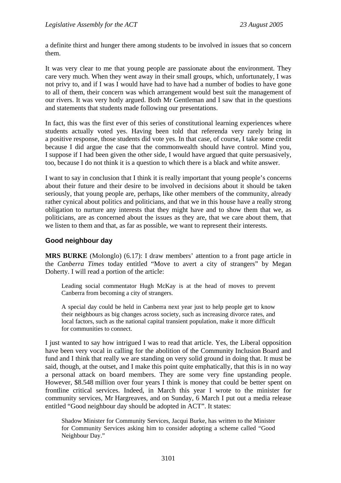a definite thirst and hunger there among students to be involved in issues that so concern them.

It was very clear to me that young people are passionate about the environment. They care very much. When they went away in their small groups, which, unfortunately, I was not privy to, and if I was I would have had to have had a number of bodies to have gone to all of them, their concern was which arrangement would best suit the management of our rivers. It was very hotly argued. Both Mr Gentleman and I saw that in the questions and statements that students made following our presentations.

In fact, this was the first ever of this series of constitutional learning experiences where students actually voted yes. Having been told that referenda very rarely bring in a positive response, those students did vote yes. In that case, of course, I take some credit because I did argue the case that the commonwealth should have control. Mind you, I suppose if I had been given the other side, I would have argued that quite persuasively, too, because I do not think it is a question to which there is a black and white answer.

I want to say in conclusion that I think it is really important that young people's concerns about their future and their desire to be involved in decisions about it should be taken seriously, that young people are, perhaps, like other members of the community, already rather cynical about politics and politicians, and that we in this house have a really strong obligation to nurture any interests that they might have and to show them that we, as politicians, are as concerned about the issues as they are, that we care about them, that we listen to them and that, as far as possible, we want to represent their interests.

## **Good neighbour day**

**MRS BURKE** (Molonglo) (6.17): I draw members' attention to a front page article in the *Canberra Times* today entitled "Move to avert a city of strangers" by Megan Doherty. I will read a portion of the article:

Leading social commentator Hugh McKay is at the head of moves to prevent Canberra from becoming a city of strangers.

A special day could be held in Canberra next year just to help people get to know their neighbours as big changes across society, such as increasing divorce rates, and local factors, such as the national capital transient population, make it more difficult for communities to connect.

I just wanted to say how intrigued I was to read that article. Yes, the Liberal opposition have been very vocal in calling for the abolition of the Community Inclusion Board and fund and I think that really we are standing on very solid ground in doing that. It must be said, though, at the outset, and I make this point quite emphatically, that this is in no way a personal attack on board members. They are some very fine upstanding people. However, \$8.548 million over four years I think is money that could be better spent on frontline critical services. Indeed, in March this year I wrote to the minister for community services, Mr Hargreaves, and on Sunday, 6 March I put out a media release entitled "Good neighbour day should be adopted in ACT". It states:

Shadow Minister for Community Services, Jacqui Burke, has written to the Minister for Community Services asking him to consider adopting a scheme called "Good Neighbour Day."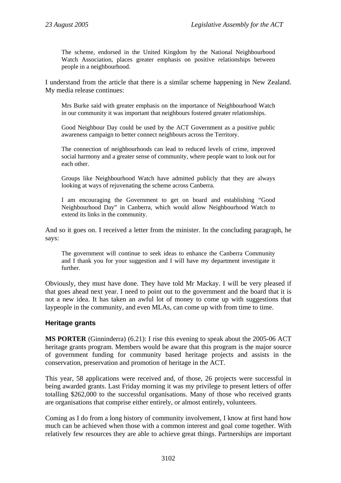The scheme, endorsed in the United Kingdom by the National Neighbourhood Watch Association, places greater emphasis on positive relationships between people in a neighbourhood.

I understand from the article that there is a similar scheme happening in New Zealand. My media release continues:

Mrs Burke said with greater emphasis on the importance of Neighbourhood Watch in our community it was important that neighbours fostered greater relationships.

Good Neighbour Day could be used by the ACT Government as a positive public awareness campaign to better connect neighbours across the Territory.

The connection of neighbourhoods can lead to reduced levels of crime, improved social harmony and a greater sense of community, where people want to look out for each other.

Groups like Neighbourhood Watch have admitted publicly that they are always looking at ways of rejuvenating the scheme across Canberra.

I am encouraging the Government to get on board and establishing "Good Neighbourhood Day" in Canberra, which would allow Neighbourhood Watch to extend its links in the community.

And so it goes on. I received a letter from the minister. In the concluding paragraph, he says:

The government will continue to seek ideas to enhance the Canberra Community and I thank you for your suggestion and I will have my department investigate it further.

Obviously, they must have done. They have told Mr Mackay. I will be very pleased if that goes ahead next year. I need to point out to the government and the board that it is not a new idea. It has taken an awful lot of money to come up with suggestions that laypeople in the community, and even MLAs, can come up with from time to time.

## **Heritage grants**

**MS PORTER** (Ginninderra) (6.21): I rise this evening to speak about the 2005-06 ACT heritage grants program. Members would be aware that this program is the major source of government funding for community based heritage projects and assists in the conservation, preservation and promotion of heritage in the ACT.

This year, 58 applications were received and, of those, 26 projects were successful in being awarded grants. Last Friday morning it was my privilege to present letters of offer totalling \$262,000 to the successful organisations. Many of those who received grants are organisations that comprise either entirely, or almost entirely, volunteers.

Coming as I do from a long history of community involvement, I know at first hand how much can be achieved when those with a common interest and goal come together. With relatively few resources they are able to achieve great things. Partnerships are important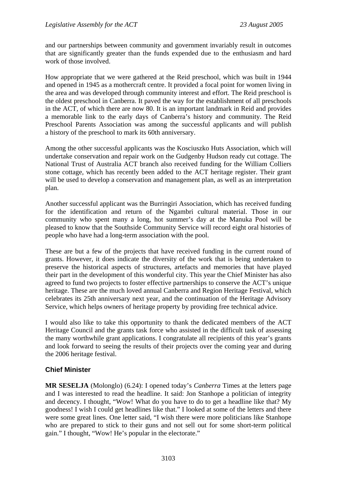and our partnerships between community and government invariably result in outcomes that are significantly greater than the funds expended due to the enthusiasm and hard work of those involved.

How appropriate that we were gathered at the Reid preschool, which was built in 1944 and opened in 1945 as a mothercraft centre. It provided a focal point for women living in the area and was developed through community interest and effort. The Reid preschool is the oldest preschool in Canberra. It paved the way for the establishment of all preschools in the ACT, of which there are now 80. It is an important landmark in Reid and provides a memorable link to the early days of Canberra's history and community. The Reid Preschool Parents Association was among the successful applicants and will publish a history of the preschool to mark its 60th anniversary.

Among the other successful applicants was the Kosciuszko Huts Association, which will undertake conservation and repair work on the Gudgenby Hudson ready cut cottage. The National Trust of Australia ACT branch also received funding for the William Colliers stone cottage, which has recently been added to the ACT heritage register. Their grant will be used to develop a conservation and management plan, as well as an interpretation plan.

Another successful applicant was the Burringiri Association, which has received funding for the identification and return of the Ngambri cultural material. Those in our community who spent many a long, hot summer's day at the Manuka Pool will be pleased to know that the Southside Community Service will record eight oral histories of people who have had a long-term association with the pool.

These are but a few of the projects that have received funding in the current round of grants. However, it does indicate the diversity of the work that is being undertaken to preserve the historical aspects of structures, artefacts and memories that have played their part in the development of this wonderful city. This year the Chief Minister has also agreed to fund two projects to foster effective partnerships to conserve the ACT's unique heritage. These are the much loved annual Canberra and Region Heritage Festival, which celebrates its 25th anniversary next year, and the continuation of the Heritage Advisory Service, which helps owners of heritage property by providing free technical advice.

I would also like to take this opportunity to thank the dedicated members of the ACT Heritage Council and the grants task force who assisted in the difficult task of assessing the many worthwhile grant applications. I congratulate all recipients of this year's grants and look forward to seeing the results of their projects over the coming year and during the 2006 heritage festival.

## **Chief Minister**

**MR SESELJA** (Molonglo) (6.24): I opened today's *Canberra* Times at the letters page and I was interested to read the headline. It said: Jon Stanhope a politician of integrity and decency. I thought, "Wow! What do you have to do to get a headline like that? My goodness! I wish I could get headlines like that." I looked at some of the letters and there were some great lines. One letter said, "I wish there were more politicians like Stanhope who are prepared to stick to their guns and not sell out for some short-term political gain." I thought, "Wow! He's popular in the electorate."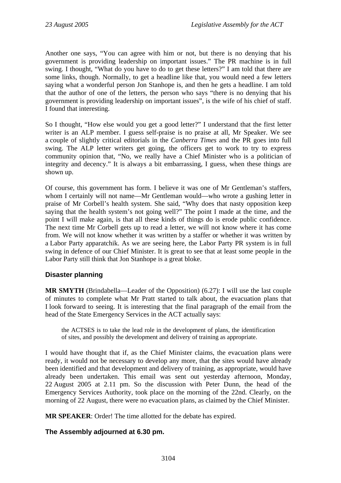Another one says, "You can agree with him or not, but there is no denying that his government is providing leadership on important issues." The PR machine is in full swing. I thought, "What do you have to do to get these letters?" I am told that there are some links, though. Normally, to get a headline like that, you would need a few letters saying what a wonderful person Jon Stanhope is, and then he gets a headline. I am told that the author of one of the letters, the person who says "there is no denying that his government is providing leadership on important issues", is the wife of his chief of staff. I found that interesting.

So I thought, "How else would you get a good letter?" I understand that the first letter writer is an ALP member. I guess self-praise is no praise at all, Mr Speaker. We see a couple of slightly critical editorials in the *Canberra Times* and the PR goes into full swing. The ALP letter writers get going, the officers get to work to try to express community opinion that, "No, we really have a Chief Minister who is a politician of integrity and decency." It is always a bit embarrassing, I guess, when these things are shown up.

Of course, this government has form. I believe it was one of Mr Gentleman's staffers, whom I certainly will not name—Mr Gentleman would—who wrote a gushing letter in praise of Mr Corbell's health system. She said, "Why does that nasty opposition keep saying that the health system's not going well?" The point I made at the time, and the point I will make again, is that all these kinds of things do is erode public confidence. The next time Mr Corbell gets up to read a letter, we will not know where it has come from. We will not know whether it was written by a staffer or whether it was written by a Labor Party apparatchik. As we are seeing here, the Labor Party PR system is in full swing in defence of our Chief Minister. It is great to see that at least some people in the Labor Party still think that Jon Stanhope is a great bloke.

## **Disaster planning**

**MR SMYTH** (Brindabella—Leader of the Opposition) (6.27): I will use the last couple of minutes to complete what Mr Pratt started to talk about, the evacuation plans that I look forward to seeing. It is interesting that the final paragraph of the email from the head of the State Emergency Services in the ACT actually says:

the ACTSES is to take the lead role in the development of plans, the identification of sites, and possibly the development and delivery of training as appropriate.

I would have thought that if, as the Chief Minister claims, the evacuation plans were ready, it would not be necessary to develop any more, that the sites would have already been identified and that development and delivery of training, as appropriate, would have already been undertaken. This email was sent out yesterday afternoon, Monday, 22 August 2005 at 2.11 pm. So the discussion with Peter Dunn, the head of the Emergency Services Authority, took place on the morning of the 22nd. Clearly, on the morning of 22 August, there were no evacuation plans, as claimed by the Chief Minister.

**MR SPEAKER**: Order! The time allotted for the debate has expired.

## **The Assembly adjourned at 6.30 pm.**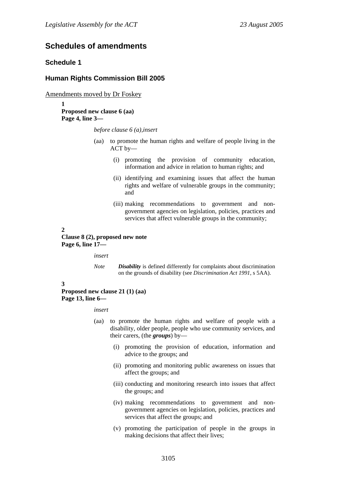## **Schedules of amendments**

### **Schedule 1**

### **Human Rights Commission Bill 2005**

Amendments moved by Dr Foskey

**1 Proposed new clause 6 (aa) Page 4, line 3—** 

*before clause 6 (a),insert* 

- (aa) to promote the human rights and welfare of people living in the ACT by—
	- (i) promoting the provision of community education, information and advice in relation to human rights; and
	- (ii) identifying and examining issues that affect the human rights and welfare of vulnerable groups in the community; and
	- (iii) making recommendations to government and nongovernment agencies on legislation, policies, practices and services that affect vulnerable groups in the community;

**2** 

**Clause 8 (2), proposed new note Page 6, line 17—** 

*insert* 

*Note Disability* is defined differently for complaints about discrimination on the grounds of disability (see *Discrimination Act 1991*, s 5AA).

**3** 

**Proposed new clause 21 (1) (aa) Page 13, line 6—** 

*insert* 

- (aa) to promote the human rights and welfare of people with a disability, older people, people who use community services, and their carers, (the *groups*) by—
	- (i) promoting the provision of education, information and advice to the groups; and
	- (ii) promoting and monitoring public awareness on issues that affect the groups; and
	- (iii) conducting and monitoring research into issues that affect the groups; and
	- (iv) making recommendations to government and nongovernment agencies on legislation, policies, practices and services that affect the groups; and
	- (v) promoting the participation of people in the groups in making decisions that affect their lives;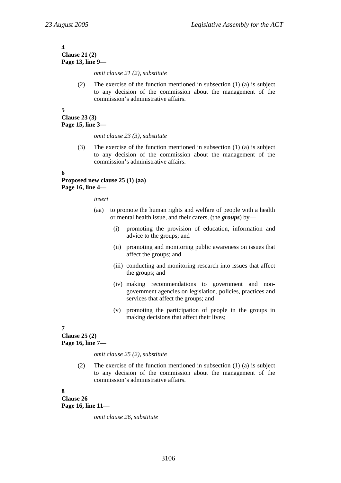#### **4 Clause 21 (2) Page 13, line 9—**

*omit clause 21 (2), substitute* 

(2) The exercise of the function mentioned in subsection (1) (a) is subject to any decision of the commission about the management of the commission's administrative affairs.

**5 Clause 23 (3) Page 15, line 3—** 

*omit clause 23 (3), substitute* 

(3) The exercise of the function mentioned in subsection (1) (a) is subject to any decision of the commission about the management of the commission's administrative affairs.

**6** 

## **Proposed new clause 25 (1) (aa) Page 16, line 4—**

*insert* 

- (aa) to promote the human rights and welfare of people with a health or mental health issue, and their carers, (the *groups*) by—
	- (i) promoting the provision of education, information and advice to the groups; and
	- (ii) promoting and monitoring public awareness on issues that affect the groups; and
	- (iii) conducting and monitoring research into issues that affect the groups; and
	- (iv) making recommendations to government and nongovernment agencies on legislation, policies, practices and services that affect the groups; and
	- (v) promoting the participation of people in the groups in making decisions that affect their lives;

**7** 

**Clause 25 (2) Page 16, line 7—** 

*omit clause 25 (2), substitute* 

(2) The exercise of the function mentioned in subsection (1) (a) is subject to any decision of the commission about the management of the commission's administrative affairs.

**8** 

**Clause 26 Page 16, line 11—** 

*omit clause 26, substitute*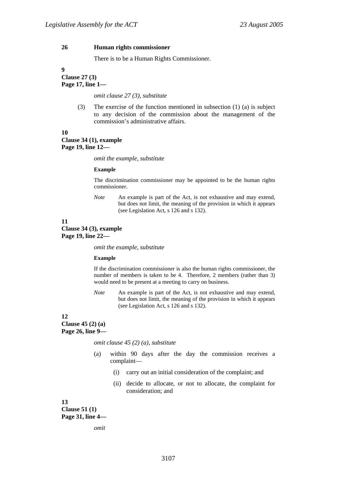#### **26 Human rights commissioner**

There is to be a Human Rights Commissioner.

**9 Clause 27 (3) Page 17, line 1—** 

*omit clause 27 (3), substitute* 

(3) The exercise of the function mentioned in subsection (1) (a) is subject to any decision of the commission about the management of the commission's administrative affairs.

**10** 

**Clause 34 (1), example Page 19, line 12—** 

*omit the example, substitute* 

#### **Example**

The discrimination commissioner may be appointed to be the human rights commissioner.

*Note* An example is part of the Act, is not exhaustive and may extend, but does not limit, the meaning of the provision in which it appears (see Legislation Act, s 126 and s 132).

#### **11**

**Clause 34 (3), example Page 19, line 22—** 

*omit the example, substitute* 

#### **Example**

If the discrimination commissioner is also the human rights commissioner, the number of members is taken to be 4. Therefore, 2 members (rather than 3) would need to be present at a meeting to carry on business.

*Note* An example is part of the Act, is not exhaustive and may extend, but does not limit, the meaning of the provision in which it appears (see Legislation Act, s 126 and s 132).

#### **12**

**Clause 45 (2) (a) Page 26, line 9—** 

*omit clause 45 (2) (a), substitute* 

- (a) within 90 days after the day the commission receives a complaint—
	- (i) carry out an initial consideration of the complaint; and
	- (ii) decide to allocate, or not to allocate, the complaint for consideration; and

**13** 

**Clause 51 (1) Page 31, line 4—** 

*omit*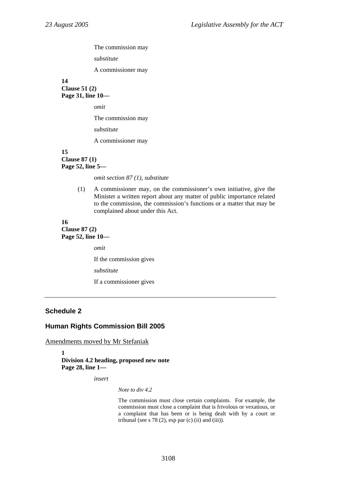The commission may

*substitute* 

A commissioner may

**14 Clause 51 (2) Page 31, line 10—** 

*omit* 

The commission may

*substitute* 

A commissioner may

#### **15 Clause 87 (1) Page 52, line 5—**

*omit section 87 (1), substitute* 

(1) A commissioner may, on the commissioner's own initiative, give the Minister a written report about any matter of public importance related to the commission, the commission's functions or a matter that may be complained about under this Act.

### **16 Clause 87 (2) Page 52, line 10—**

*omit*  If the commission gives *substitute*  If a commissioner gives

## **Schedule 2**

### **Human Rights Commission Bill 2005**

Amendments moved by Mr Stefaniak

**1 Division 4.2 heading, proposed new note Page 28, line 1—** 

*insert* 

*Note to div 4.2* 

The commission must close certain complaints. For example, the commission must close a complaint that is frivolous or vexatious, or a complaint that has been or is being dealt with by a court or tribunal (see s  $78(2)$ , esp par (c) (ii) and (iii)).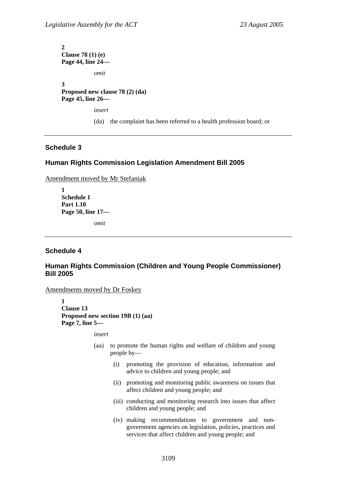**2 Clause 78 (1) (e) Page 44, line 24**  *omit*  **3 Proposed new clause 78 (2) (da) Page 45, line 26**  *insert*  (da) the complaint has been referred to a health profession board; or

## **Schedule 3**

### **Human Rights Commission Legislation Amendment Bill 2005**

Amendment moved by Mr Stefaniak

**1 Schedule 1 Part 1.10 Page 50, line 17—** 

*omit* 

### **Schedule 4**

## **Human Rights Commission (Children and Young People Commissioner) Bill 2005**

Amendments moved by Dr Foskey

**1 Clause 13 Proposed new section 19B (1) (aa) Page 7, line 5—** 

*insert* 

- (aa) to promote the human rights and welfare of children and young people by—
	- (i) promoting the provision of education, information and advice to children and young people; and
	- (ii) promoting and monitoring public awareness on issues that affect children and young people; and
	- (iii) conducting and monitoring research into issues that affect children and young people; and
	- (iv) making recommendations to government and nongovernment agencies on legislation, policies, practices and services that affect children and young people; and